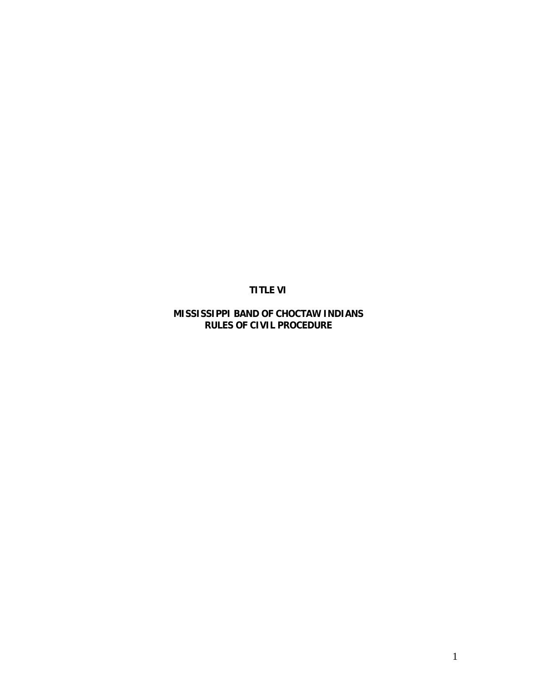**TITLE VI** 

**MISSISSIPPI BAND OF CHOCTAW INDIANS RULES OF CIVIL PROCEDURE**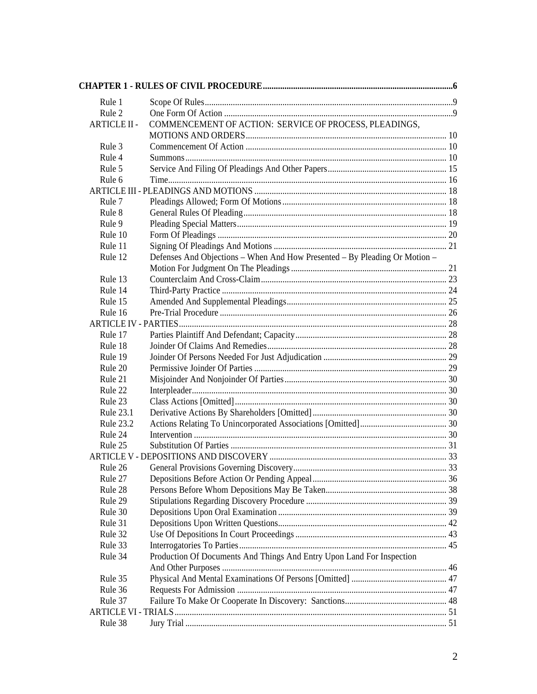| Rule 1              |                                                                            |  |
|---------------------|----------------------------------------------------------------------------|--|
| Rule 2              |                                                                            |  |
| <b>ARTICLE II -</b> | COMMENCEMENT OF ACTION: SERVICE OF PROCESS, PLEADINGS,                     |  |
|                     |                                                                            |  |
| Rule 3              |                                                                            |  |
| Rule 4              |                                                                            |  |
| Rule 5              |                                                                            |  |
| Rule 6              |                                                                            |  |
|                     |                                                                            |  |
| Rule 7              |                                                                            |  |
| Rule 8              |                                                                            |  |
| Rule 9              |                                                                            |  |
| Rule 10             |                                                                            |  |
| Rule 11             |                                                                            |  |
| Rule 12             | Defenses And Objections - When And How Presented - By Pleading Or Motion - |  |
|                     |                                                                            |  |
| Rule 13             |                                                                            |  |
| Rule 14             |                                                                            |  |
| Rule 15             |                                                                            |  |
| Rule 16             |                                                                            |  |
|                     |                                                                            |  |
| Rule 17             |                                                                            |  |
| Rule 18             |                                                                            |  |
| Rule 19             |                                                                            |  |
| Rule 20             |                                                                            |  |
| Rule 21             |                                                                            |  |
| Rule 22             |                                                                            |  |
| Rule 23             |                                                                            |  |
| Rule 23.1           |                                                                            |  |
| <b>Rule 23.2</b>    |                                                                            |  |
| Rule 24             |                                                                            |  |
| Rule 25             |                                                                            |  |
|                     |                                                                            |  |
| Rule 26             |                                                                            |  |
| Rule 27             |                                                                            |  |
| Rule 28             |                                                                            |  |
| Rule 29             |                                                                            |  |
| Rule 30             |                                                                            |  |
| Rule 31             |                                                                            |  |
| Rule 32             |                                                                            |  |
| Rule 33             |                                                                            |  |
| Rule 34             | Production Of Documents And Things And Entry Upon Land For Inspection      |  |
|                     |                                                                            |  |
| Rule 35             |                                                                            |  |
| Rule 36             |                                                                            |  |
| Rule 37             |                                                                            |  |
|                     |                                                                            |  |
| Rule 38             |                                                                            |  |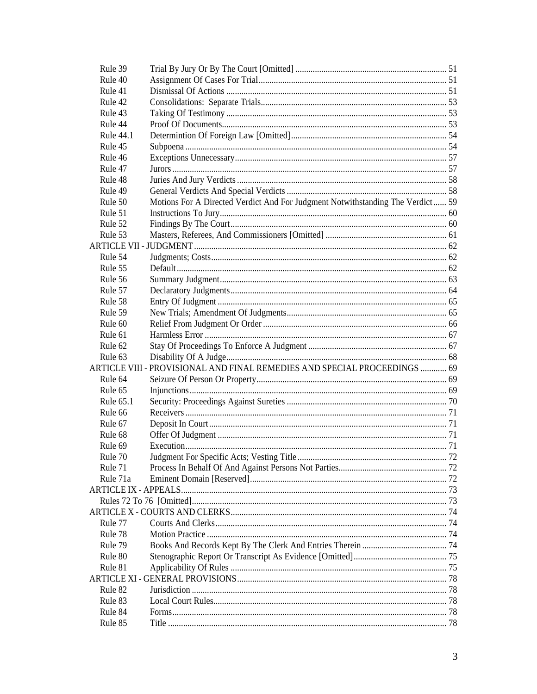| Rule 39          |                                                                                |  |
|------------------|--------------------------------------------------------------------------------|--|
| Rule 40          |                                                                                |  |
| Rule 41          |                                                                                |  |
| Rule 42          |                                                                                |  |
| Rule 43          |                                                                                |  |
| Rule 44          |                                                                                |  |
| <b>Rule 44.1</b> |                                                                                |  |
| Rule 45          |                                                                                |  |
| Rule 46          |                                                                                |  |
| Rule 47          |                                                                                |  |
| Rule 48          |                                                                                |  |
| Rule 49          |                                                                                |  |
| Rule 50          | Motions For A Directed Verdict And For Judgment Notwithstanding The Verdict 59 |  |
| Rule 51          |                                                                                |  |
| Rule 52          |                                                                                |  |
| Rule 53          |                                                                                |  |
|                  |                                                                                |  |
| Rule 54          |                                                                                |  |
| Rule 55          |                                                                                |  |
| Rule 56          |                                                                                |  |
| Rule 57          |                                                                                |  |
| Rule 58          |                                                                                |  |
| Rule 59          |                                                                                |  |
| Rule 60          |                                                                                |  |
| Rule 61          |                                                                                |  |
| Rule 62          |                                                                                |  |
| Rule 63          |                                                                                |  |
|                  | ARTICLE VIII - PROVISIONAL AND FINAL REMEDIES AND SPECIAL PROCEEDINGS  69      |  |
| Rule 64          |                                                                                |  |
| Rule 65          |                                                                                |  |
| <b>Rule 65.1</b> |                                                                                |  |
| Rule 66          |                                                                                |  |
| Rule 67          |                                                                                |  |
| Rule 68          |                                                                                |  |
| Rule 69          |                                                                                |  |
| Rule 70          |                                                                                |  |
| Rule 71          |                                                                                |  |
| Rule 71a         |                                                                                |  |
|                  |                                                                                |  |
|                  |                                                                                |  |
|                  |                                                                                |  |
| Rule 77          |                                                                                |  |
| Rule 78          |                                                                                |  |
| Rule 79          |                                                                                |  |
| Rule 80          |                                                                                |  |
| Rule 81          |                                                                                |  |
|                  |                                                                                |  |
| Rule 82          |                                                                                |  |
| Rule 83          |                                                                                |  |
| Rule 84          |                                                                                |  |
| Rule 85          |                                                                                |  |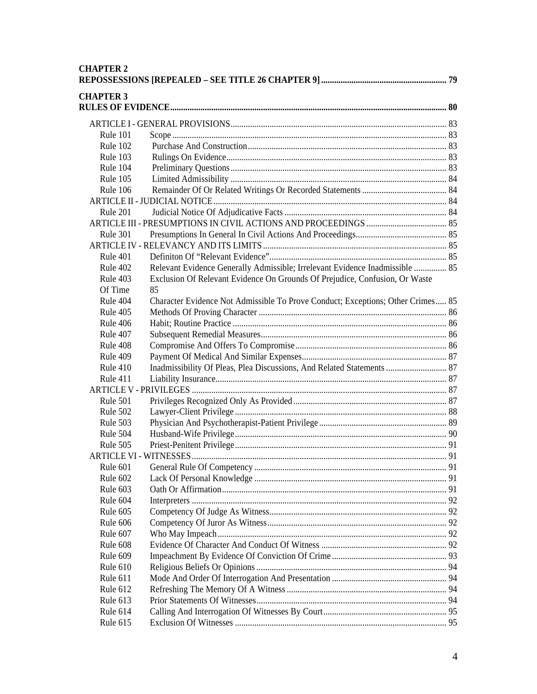# **CHAPTER 2**

| <b>CHAPTER 3</b>     |                                                                                 |    |
|----------------------|---------------------------------------------------------------------------------|----|
|                      |                                                                                 |    |
| Rule 101             |                                                                                 |    |
| Rule 102             |                                                                                 |    |
| Rule 103             |                                                                                 |    |
| Rule 104             |                                                                                 |    |
| <b>Rule 105</b>      |                                                                                 |    |
| <b>Rule 106</b>      |                                                                                 |    |
|                      |                                                                                 |    |
| Rule 201             |                                                                                 |    |
|                      |                                                                                 |    |
| Rule 301             |                                                                                 |    |
|                      |                                                                                 |    |
| Rule 401             |                                                                                 |    |
| Rule 402             | Relevant Evidence Generally Admissible; Irrelevant Evidence Inadmissible  85    |    |
| Rule 403             | Exclusion Of Relevant Evidence On Grounds Of Prejudice, Confusion, Or Waste     |    |
| Of Time              | 85                                                                              |    |
| Rule 404             | Character Evidence Not Admissible To Prove Conduct; Exceptions; Other Crimes 85 |    |
| Rule 405             |                                                                                 |    |
| Rule 406             |                                                                                 |    |
| Rule 407             |                                                                                 |    |
| Rule 408             |                                                                                 |    |
| Rule 409             |                                                                                 |    |
| Rule 410             | Inadmissibility Of Pleas, Plea Discussions, And Related Statements  87          |    |
| Rule 411             |                                                                                 |    |
|                      |                                                                                 |    |
| Rule 501             |                                                                                 |    |
| Rule 502<br>Rule 503 |                                                                                 |    |
| <b>Rule 504</b>      |                                                                                 |    |
| Rule 505             |                                                                                 |    |
|                      |                                                                                 |    |
| Rule $601$           |                                                                                 | 91 |
| Rule 602             |                                                                                 |    |
| Rule 603             |                                                                                 |    |
| Rule 604             |                                                                                 |    |
| Rule 605             |                                                                                 |    |
| Rule 606             |                                                                                 |    |
| Rule 607             |                                                                                 |    |
| Rule 608             |                                                                                 |    |
| Rule 609             |                                                                                 |    |
| <b>Rule 610</b>      |                                                                                 |    |
| Rule 611             |                                                                                 |    |
| Rule 612             |                                                                                 |    |
| Rule 613             |                                                                                 |    |
| Rule 614             |                                                                                 |    |
| Rule 615             |                                                                                 |    |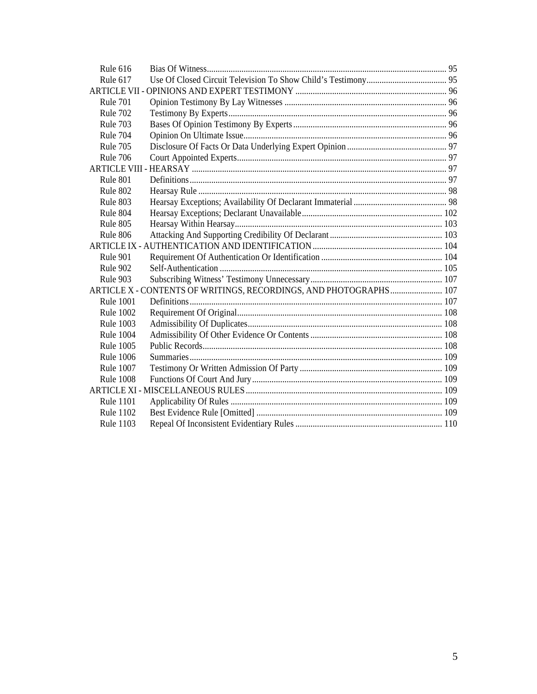| <b>Rule 616</b>                                                   |  |  |
|-------------------------------------------------------------------|--|--|
| Rule 617                                                          |  |  |
|                                                                   |  |  |
| Rule 701                                                          |  |  |
| Rule 702                                                          |  |  |
| Rule 703                                                          |  |  |
| <b>Rule 704</b>                                                   |  |  |
| <b>Rule 705</b>                                                   |  |  |
| <b>Rule 706</b>                                                   |  |  |
|                                                                   |  |  |
| Rule 801                                                          |  |  |
| Rule 802                                                          |  |  |
| Rule 803                                                          |  |  |
| Rule 804                                                          |  |  |
| Rule 805                                                          |  |  |
| <b>Rule 806</b>                                                   |  |  |
|                                                                   |  |  |
| Rule 901                                                          |  |  |
| Rule 902                                                          |  |  |
| Rule 903                                                          |  |  |
| ARTICLE X - CONTENTS OF WRITINGS, RECORDINGS, AND PHOTOGRAPHS 107 |  |  |
| <b>Rule 1001</b>                                                  |  |  |
| <b>Rule 1002</b>                                                  |  |  |
| <b>Rule 1003</b>                                                  |  |  |
| <b>Rule 1004</b>                                                  |  |  |
| <b>Rule 1005</b>                                                  |  |  |
| <b>Rule 1006</b>                                                  |  |  |
| <b>Rule 1007</b>                                                  |  |  |
| <b>Rule 1008</b>                                                  |  |  |
|                                                                   |  |  |
| <b>Rule 1101</b>                                                  |  |  |
| <b>Rule 1102</b>                                                  |  |  |
| <b>Rule 1103</b>                                                  |  |  |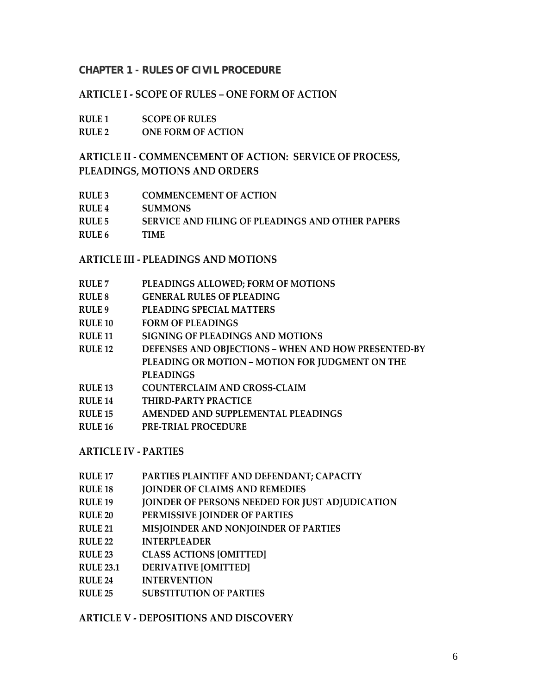# **CHAPTER 1 - RULES OF CIVIL PROCEDURE**

# **ARTICLE I ‐ SCOPE OF RULES – ONE FORM OF ACTION**

- **RULE 1 SCOPE OF RULES**
- **RULE 2 ONE FORM OF ACTION**

# **ARTICLE II ‐ COMMENCEMENT OF ACTION: SERVICE OF PROCESS, PLEADINGS, MOTIONS AND ORDERS**

- **RULE 3 COMMENCEMENT OF ACTION**
- **RULE 4 SUMMONS**
- **RULE 5 SERVICE AND FILING OF PLEADINGS AND OTHER PAPERS**
- **RULE 6 TIME**

**ARTICLE III ‐ PLEADINGS AND MOTIONS**

- **RULE 7 PLEADINGS ALLOWED; FORM OF MOTIONS**
- **RULE 8 GENERAL RULES OF PLEADING**
- **RULE 9 PLEADING SPECIAL MATTERS**
- **RULE 10 FORM OF PLEADINGS**
- **RULE 11 SIGNING OF PLEADINGS AND MOTIONS**
- **RULE 12 DEFENSES AND OBJECTIONS – WHEN AND HOW PRESENTED‐BY PLEADING OR MOTION – MOTION FOR JUDGMENT ON THE PLEADINGS**
- **RULE 13 COUNTERCLAIM AND CROSS‐CLAIM**
- **RULE 14 THIRD‐PARTY PRACTICE**
- **RULE 15 AMENDED AND SUPPLEMENTAL PLEADINGS**
- **RULE 16 PRE‐TRIAL PROCEDURE**

## **ARTICLE IV ‐ PARTIES**

- **RULE 17 PARTIES PLAINTIFF AND DEFENDANT; CAPACITY**
- **RULE 18 JOINDER OF CLAIMS AND REMEDIES**
- **RULE 19 JOINDER OF PERSONS NEEDED FOR JUST ADJUDICATION**
- **RULE 20 PERMISSIVE JOINDER OF PARTIES**
- **RULE 21 MISJOINDER AND NONJOINDER OF PARTIES**
- **RULE 22 INTERPLEADER**
- **RULE 23 CLASS ACTIONS [OMITTED]**
- **RULE 23.1 DERIVATIVE [OMITTED]**
- **RULE 24 INTERVENTION**
- **RULE 25 SUBSTITUTION OF PARTIES**

**ARTICLE V ‐ DEPOSITIONS AND DISCOVERY**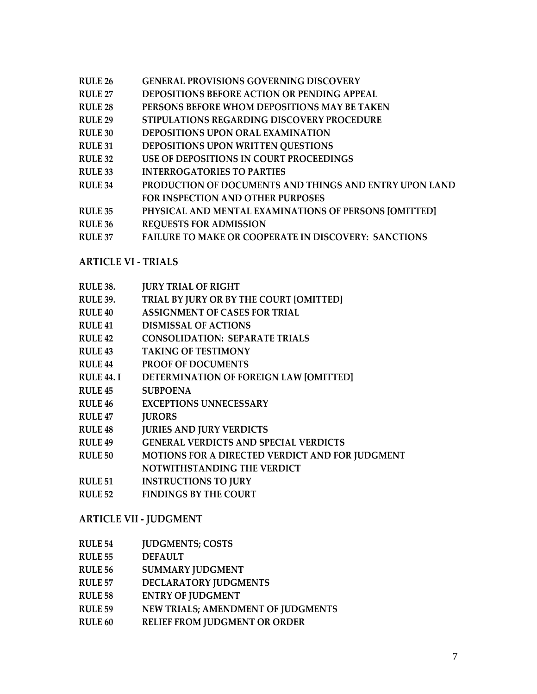- **RULE 26 GENERAL PROVISIONS GOVERNING DISCOVERY**
- **RULE 27 DEPOSITIONS BEFORE ACTION OR PENDING APPEAL**
- **RULE 28 PERSONS BEFORE WHOM DEPOSITIONS MAY BE TAKEN**
- **RULE 29 STIPULATIONS REGARDING DISCOVERY PROCEDURE**
- **RULE 30 DEPOSITIONS UPON ORAL EXAMINATION**
- **RULE 31 DEPOSITIONS UPON WRITTEN QUESTIONS**
- **RULE 32 USE OF DEPOSITIONS IN COURT PROCEEDINGS**
- **RULE 33 INTERROGATORIES TO PARTIES**
- **RULE 34 PRODUCTION OF DOCUMENTS AND THINGS AND ENTRY UPON LAND FOR INSPECTION AND OTHER PURPOSES**
- **RULE 35 PHYSICAL AND MENTAL EXAMINATIONS OF PERSONS [OMITTED]**
- **RULE 36 REQUESTS FOR ADMISSION**
- **RULE 37 FAILURE TO MAKE OR COOPERATE IN DISCOVERY: SANCTIONS**

# **ARTICLE VI ‐ TRIALS**

- **RULE 38. JURY TRIAL OF RIGHT**
- **RULE 39. TRIAL BY JURY OR BY THE COURT [OMITTED]**
- **RULE 40 ASSIGNMENT OF CASES FOR TRIAL**
- **RULE 41 DISMISSAL OF ACTIONS**
- **RULE 42 CONSOLIDATION: SEPARATE TRIALS**
- **RULE 43 TAKING OF TESTIMONY**
- **RULE 44 PROOF OF DOCUMENTS**
- **RULE 44. I DETERMINATION OF FOREIGN LAW [OMITTED]**
- **RULE 45 SUBPOENA**
- **RULE 46 EXCEPTIONS UNNECESSARY**
- **RULE 47 JURORS**
- **RULE 48 JURIES AND JURY VERDICTS**
- **RULE 49 GENERAL VERDICTS AND SPECIAL VERDICTS**
- **RULE 50 MOTIONS FOR A DIRECTED VERDICT AND FOR JUDGMENT NOTWITHSTANDING THE VERDICT**
- **RULE 51 INSTRUCTIONS TO JURY**
- **RULE 52 FINDINGS BY THE COURT**

# **ARTICLE VII ‐ JUDGMENT**

- **RULE 54 JUDGMENTS; COSTS**
- **RULE 55 DEFAULT**
- **RULE 56 SUMMARY JUDGMENT**
- **RULE 57 DECLARATORY JUDGMENTS**
- **RULE 58 ENTRY OF JUDGMENT**
- **RULE 59 NEW TRIALS; AMENDMENT OF JUDGMENTS**
- **RULE 60 RELIEF FROM JUDGMENT OR ORDER**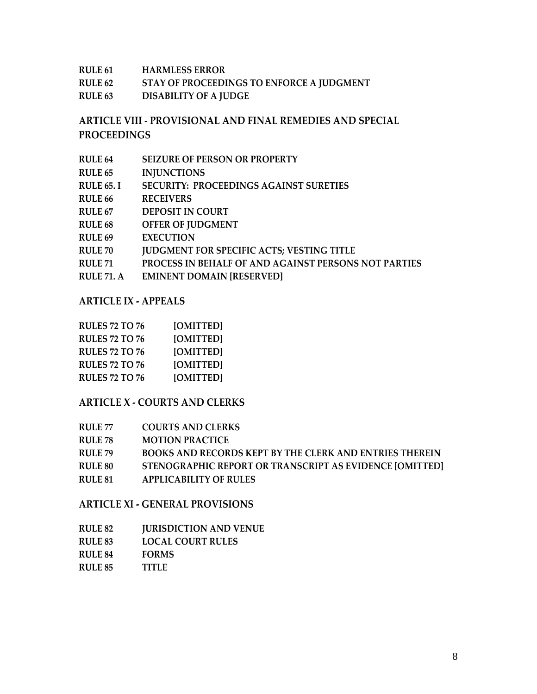- **RULE 61 HARMLESS ERROR**
- **RULE 62 STAY OF PROCEEDINGS TO ENFORCE A JUDGMENT**
- **RULE 63 DISABILITY OF A JUDGE**

# **ARTICLE VIII ‐ PROVISIONAL AND FINAL REMEDIES AND SPECIAL PROCEEDINGS**

- **RULE 64 SEIZURE OF PERSON OR PROPERTY**
- **RULE 65 INJUNCTIONS**
- **RULE 65. I SECURITY: PROCEEDINGS AGAINST SURETIES**
- **RULE 66 RECEIVERS**
- **RULE 67 DEPOSIT IN COURT**
- **RULE 68 OFFER OF JUDGMENT**
- **RULE 69 EXECUTION**
- **RULE 70 JUDGMENT FOR SPECIFIC ACTS; VESTING TITLE**
- **RULE 71 PROCESS IN BEHALF OF AND AGAINST PERSONS NOT PARTIES**
- **RULE 71. A EMINENT DOMAIN [RESERVED]**

## **ARTICLE IX ‐ APPEALS**

| <b>RULES 72 TO 76</b> | <b>[OMITTED]</b> |
|-----------------------|------------------|
| <b>RULES 72 TO 76</b> | <b>[OMITTED]</b> |
| <b>RULES 72 TO 76</b> | [OMITTED]        |
| <b>RULES 72 TO 76</b> | <b>[OMITTED]</b> |
| <b>RULES 72 TO 76</b> | <b>[OMITTED]</b> |

## **ARTICLE X ‐ COURTS AND CLERKS**

- **RULE 77 COURTS AND CLERKS**
- **RULE 78 MOTION PRACTICE**
- **RULE 79 BOOKS AND RECORDS KEPT BY THE CLERK AND ENTRIES THEREIN**
- **RULE 80 STENOGRAPHIC REPORT OR TRANSCRIPT AS EVIDENCE [OMITTED]**
- **RULE 81 APPLICABILITY OF RULES**

# **ARTICLE XI ‐ GENERAL PROVISIONS**

- **RULE 82 JURISDICTION AND VENUE**
- **RULE 83 LOCAL COURT RULES**
- **RULE 84 FORMS**
- **RULE 85 TITLE**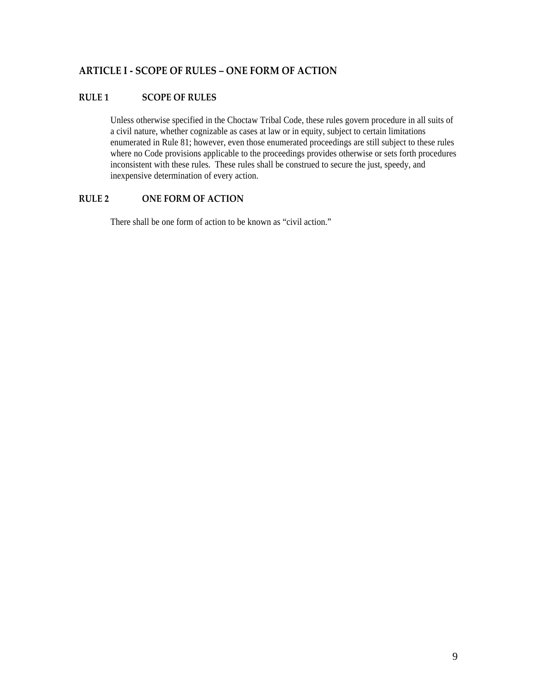# **ARTICLE I ‐ SCOPE OF RULES – ONE FORM OF ACTION**

### **RULE 1 SCOPE OF RULES**

 Unless otherwise specified in the Choctaw Tribal Code, these rules govern procedure in all suits of a civil nature, whether cognizable as cases at law or in equity, subject to certain limitations enumerated in Rule 81; however, even those enumerated proceedings are still subject to these rules where no Code provisions applicable to the proceedings provides otherwise or sets forth procedures inconsistent with these rules. These rules shall be construed to secure the just, speedy, and inexpensive determination of every action.

### **RULE 2 ONE FORM OF ACTION**

There shall be one form of action to be known as "civil action."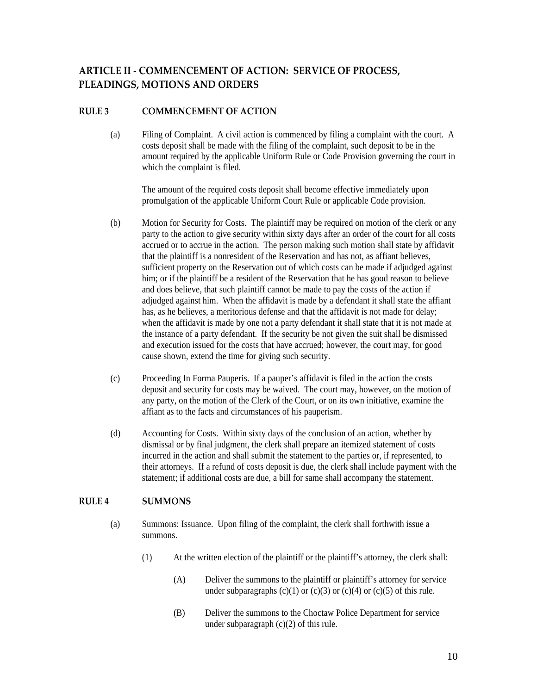# **ARTICLE II ‐ COMMENCEMENT OF ACTION: SERVICE OF PROCESS, PLEADINGS, MOTIONS AND ORDERS**

## **RULE 3 COMMENCEMENT OF ACTION**

(a) Filing of Complaint. A civil action is commenced by filing a complaint with the court. A costs deposit shall be made with the filing of the complaint, such deposit to be in the amount required by the applicable Uniform Rule or Code Provision governing the court in which the complaint is filed.

The amount of the required costs deposit shall become effective immediately upon promulgation of the applicable Uniform Court Rule or applicable Code provision.

- (b) Motion for Security for Costs. The plaintiff may be required on motion of the clerk or any party to the action to give security within sixty days after an order of the court for all costs accrued or to accrue in the action. The person making such motion shall state by affidavit that the plaintiff is a nonresident of the Reservation and has not, as affiant believes, sufficient property on the Reservation out of which costs can be made if adjudged against him; or if the plaintiff be a resident of the Reservation that he has good reason to believe and does believe, that such plaintiff cannot be made to pay the costs of the action if adjudged against him. When the affidavit is made by a defendant it shall state the affiant has, as he believes, a meritorious defense and that the affidavit is not made for delay; when the affidavit is made by one not a party defendant it shall state that it is not made at the instance of a party defendant. If the security be not given the suit shall be dismissed and execution issued for the costs that have accrued; however, the court may, for good cause shown, extend the time for giving such security.
- (c) Proceeding In Forma Pauperis. If a pauper's affidavit is filed in the action the costs deposit and security for costs may be waived. The court may, however, on the motion of any party, on the motion of the Clerk of the Court, or on its own initiative, examine the affiant as to the facts and circumstances of his pauperism.
- (d) Accounting for Costs. Within sixty days of the conclusion of an action, whether by dismissal or by final judgment, the clerk shall prepare an itemized statement of costs incurred in the action and shall submit the statement to the parties or, if represented, to their attorneys. If a refund of costs deposit is due, the clerk shall include payment with the statement; if additional costs are due, a bill for same shall accompany the statement.

## **RULE 4 SUMMONS**

- (a) Summons: Issuance. Upon filing of the complaint, the clerk shall forthwith issue a summons.
	- (1) At the written election of the plaintiff or the plaintiff's attorney, the clerk shall:
		- (A) Deliver the summons to the plaintiff or plaintiff's attorney for service under subparagraphs  $(c)(1)$  or  $(c)(3)$  or  $(c)(4)$  or  $(c)(5)$  of this rule.
		- (B) Deliver the summons to the Choctaw Police Department for service under subparagraph  $(c)(2)$  of this rule.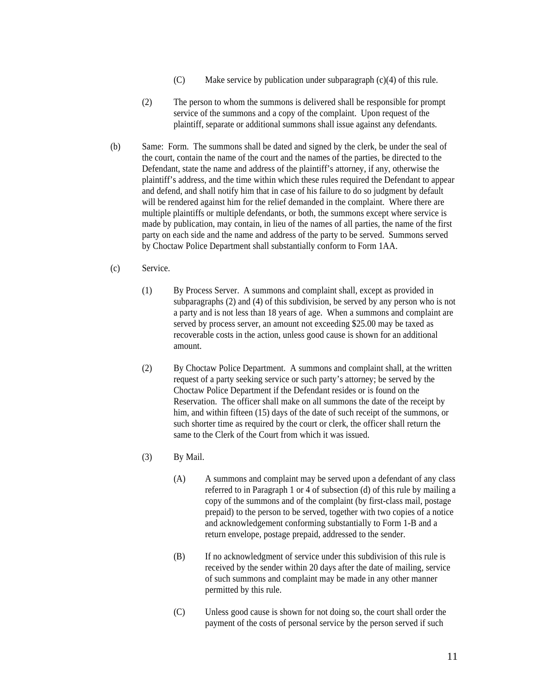- (C) Make service by publication under subparagraph (c)(4) of this rule.
- (2) The person to whom the summons is delivered shall be responsible for prompt service of the summons and a copy of the complaint. Upon request of the plaintiff, separate or additional summons shall issue against any defendants.
- (b) Same: Form. The summons shall be dated and signed by the clerk, be under the seal of the court, contain the name of the court and the names of the parties, be directed to the Defendant, state the name and address of the plaintiff's attorney, if any, otherwise the plaintiff's address, and the time within which these rules required the Defendant to appear and defend, and shall notify him that in case of his failure to do so judgment by default will be rendered against him for the relief demanded in the complaint. Where there are multiple plaintiffs or multiple defendants, or both, the summons except where service is made by publication, may contain, in lieu of the names of all parties, the name of the first party on each side and the name and address of the party to be served. Summons served by Choctaw Police Department shall substantially conform to Form 1AA.
- (c) Service.
	- (1) By Process Server. A summons and complaint shall, except as provided in subparagraphs (2) and (4) of this subdivision, be served by any person who is not a party and is not less than 18 years of age. When a summons and complaint are served by process server, an amount not exceeding \$25.00 may be taxed as recoverable costs in the action, unless good cause is shown for an additional amount.
	- (2) By Choctaw Police Department. A summons and complaint shall, at the written request of a party seeking service or such party's attorney; be served by the Choctaw Police Department if the Defendant resides or is found on the Reservation. The officer shall make on all summons the date of the receipt by him, and within fifteen (15) days of the date of such receipt of the summons, or such shorter time as required by the court or clerk, the officer shall return the same to the Clerk of the Court from which it was issued.
	- (3) By Mail.
		- (A) A summons and complaint may be served upon a defendant of any class referred to in Paragraph 1 or 4 of subsection (d) of this rule by mailing a copy of the summons and of the complaint (by first-class mail, postage prepaid) to the person to be served, together with two copies of a notice and acknowledgement conforming substantially to Form 1-B and a return envelope, postage prepaid, addressed to the sender.
		- (B) If no acknowledgment of service under this subdivision of this rule is received by the sender within 20 days after the date of mailing, service of such summons and complaint may be made in any other manner permitted by this rule.
		- (C) Unless good cause is shown for not doing so, the court shall order the payment of the costs of personal service by the person served if such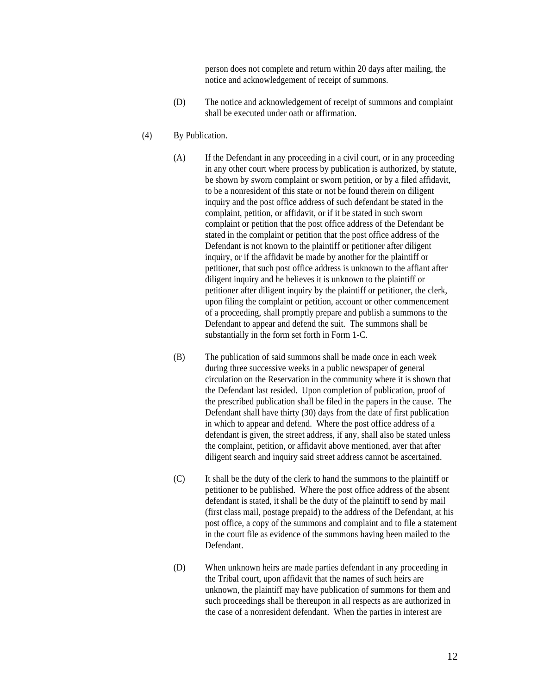person does not complete and return within 20 days after mailing, the notice and acknowledgement of receipt of summons.

- (D) The notice and acknowledgement of receipt of summons and complaint shall be executed under oath or affirmation.
- (4) By Publication.
	- (A) If the Defendant in any proceeding in a civil court, or in any proceeding in any other court where process by publication is authorized, by statute, be shown by sworn complaint or sworn petition, or by a filed affidavit, to be a nonresident of this state or not be found therein on diligent inquiry and the post office address of such defendant be stated in the complaint, petition, or affidavit, or if it be stated in such sworn complaint or petition that the post office address of the Defendant be stated in the complaint or petition that the post office address of the Defendant is not known to the plaintiff or petitioner after diligent inquiry, or if the affidavit be made by another for the plaintiff or petitioner, that such post office address is unknown to the affiant after diligent inquiry and he believes it is unknown to the plaintiff or petitioner after diligent inquiry by the plaintiff or petitioner, the clerk, upon filing the complaint or petition, account or other commencement of a proceeding, shall promptly prepare and publish a summons to the Defendant to appear and defend the suit. The summons shall be substantially in the form set forth in Form 1-C.
	- (B) The publication of said summons shall be made once in each week during three successive weeks in a public newspaper of general circulation on the Reservation in the community where it is shown that the Defendant last resided. Upon completion of publication, proof of the prescribed publication shall be filed in the papers in the cause. The Defendant shall have thirty (30) days from the date of first publication in which to appear and defend. Where the post office address of a defendant is given, the street address, if any, shall also be stated unless the complaint, petition, or affidavit above mentioned, aver that after diligent search and inquiry said street address cannot be ascertained.
	- (C) It shall be the duty of the clerk to hand the summons to the plaintiff or petitioner to be published. Where the post office address of the absent defendant is stated, it shall be the duty of the plaintiff to send by mail (first class mail, postage prepaid) to the address of the Defendant, at his post office, a copy of the summons and complaint and to file a statement in the court file as evidence of the summons having been mailed to the Defendant.
	- (D) When unknown heirs are made parties defendant in any proceeding in the Tribal court, upon affidavit that the names of such heirs are unknown, the plaintiff may have publication of summons for them and such proceedings shall be thereupon in all respects as are authorized in the case of a nonresident defendant. When the parties in interest are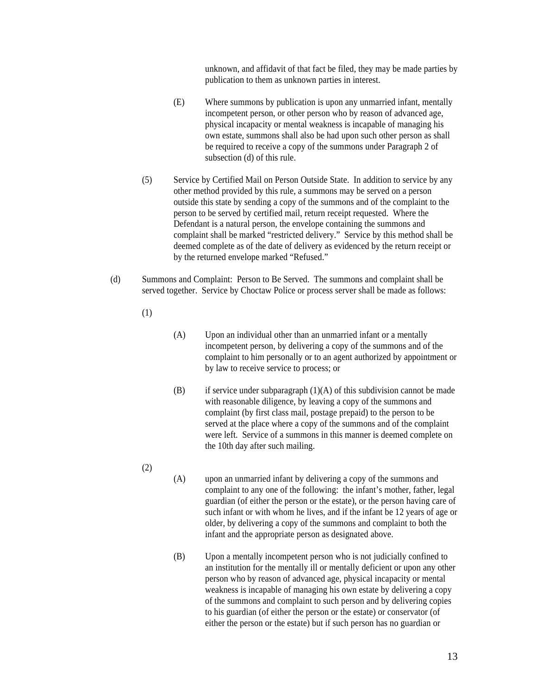unknown, and affidavit of that fact be filed, they may be made parties by publication to them as unknown parties in interest.

- (E) Where summons by publication is upon any unmarried infant, mentally incompetent person, or other person who by reason of advanced age, physical incapacity or mental weakness is incapable of managing his own estate, summons shall also be had upon such other person as shall be required to receive a copy of the summons under Paragraph 2 of subsection (d) of this rule.
- (5) Service by Certified Mail on Person Outside State. In addition to service by any other method provided by this rule, a summons may be served on a person outside this state by sending a copy of the summons and of the complaint to the person to be served by certified mail, return receipt requested. Where the Defendant is a natural person, the envelope containing the summons and complaint shall be marked "restricted delivery." Service by this method shall be deemed complete as of the date of delivery as evidenced by the return receipt or by the returned envelope marked "Refused."
- (d) Summons and Complaint: Person to Be Served. The summons and complaint shall be served together. Service by Choctaw Police or process server shall be made as follows:
	- (1)
- (A) Upon an individual other than an unmarried infant or a mentally incompetent person, by delivering a copy of the summons and of the complaint to him personally or to an agent authorized by appointment or by law to receive service to process; or
- (B) if service under subparagraph  $(1)(A)$  of this subdivision cannot be made with reasonable diligence, by leaving a copy of the summons and complaint (by first class mail, postage prepaid) to the person to be served at the place where a copy of the summons and of the complaint were left. Service of a summons in this manner is deemed complete on the 10th day after such mailing.
- (2)
- (A) upon an unmarried infant by delivering a copy of the summons and complaint to any one of the following: the infant's mother, father, legal guardian (of either the person or the estate), or the person having care of such infant or with whom he lives, and if the infant be 12 years of age or older, by delivering a copy of the summons and complaint to both the infant and the appropriate person as designated above.
- (B) Upon a mentally incompetent person who is not judicially confined to an institution for the mentally ill or mentally deficient or upon any other person who by reason of advanced age, physical incapacity or mental weakness is incapable of managing his own estate by delivering a copy of the summons and complaint to such person and by delivering copies to his guardian (of either the person or the estate) or conservator (of either the person or the estate) but if such person has no guardian or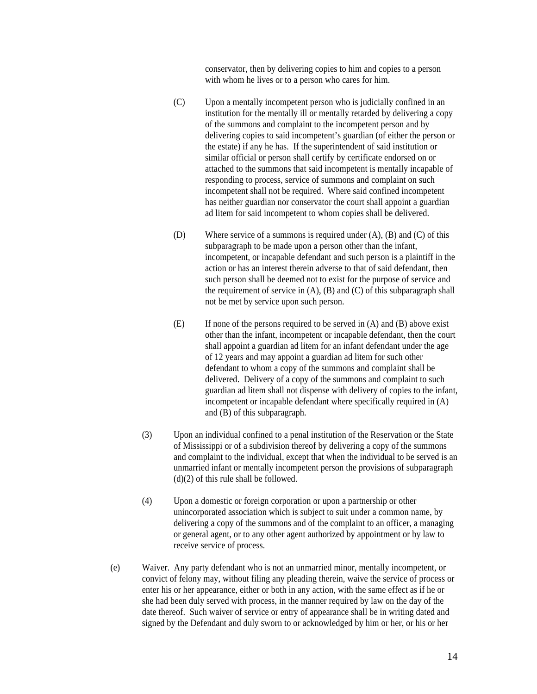conservator, then by delivering copies to him and copies to a person with whom he lives or to a person who cares for him.

- (C) Upon a mentally incompetent person who is judicially confined in an institution for the mentally ill or mentally retarded by delivering a copy of the summons and complaint to the incompetent person and by delivering copies to said incompetent's guardian (of either the person or the estate) if any he has. If the superintendent of said institution or similar official or person shall certify by certificate endorsed on or attached to the summons that said incompetent is mentally incapable of responding to process, service of summons and complaint on such incompetent shall not be required. Where said confined incompetent has neither guardian nor conservator the court shall appoint a guardian ad litem for said incompetent to whom copies shall be delivered.
- (D) Where service of a summons is required under (A), (B) and (C) of this subparagraph to be made upon a person other than the infant, incompetent, or incapable defendant and such person is a plaintiff in the action or has an interest therein adverse to that of said defendant, then such person shall be deemed not to exist for the purpose of service and the requirement of service in  $(A)$ ,  $(B)$  and  $(C)$  of this subparagraph shall not be met by service upon such person.
- $(E)$  If none of the persons required to be served in  $(A)$  and  $(B)$  above exist other than the infant, incompetent or incapable defendant, then the court shall appoint a guardian ad litem for an infant defendant under the age of 12 years and may appoint a guardian ad litem for such other defendant to whom a copy of the summons and complaint shall be delivered. Delivery of a copy of the summons and complaint to such guardian ad litem shall not dispense with delivery of copies to the infant, incompetent or incapable defendant where specifically required in (A) and (B) of this subparagraph.
- (3) Upon an individual confined to a penal institution of the Reservation or the State of Mississippi or of a subdivision thereof by delivering a copy of the summons and complaint to the individual, except that when the individual to be served is an unmarried infant or mentally incompetent person the provisions of subparagraph  $(d)(2)$  of this rule shall be followed.
- (4) Upon a domestic or foreign corporation or upon a partnership or other unincorporated association which is subject to suit under a common name, by delivering a copy of the summons and of the complaint to an officer, a managing or general agent, or to any other agent authorized by appointment or by law to receive service of process.
- (e) Waiver. Any party defendant who is not an unmarried minor, mentally incompetent, or convict of felony may, without filing any pleading therein, waive the service of process or enter his or her appearance, either or both in any action, with the same effect as if he or she had been duly served with process, in the manner required by law on the day of the date thereof. Such waiver of service or entry of appearance shall be in writing dated and signed by the Defendant and duly sworn to or acknowledged by him or her, or his or her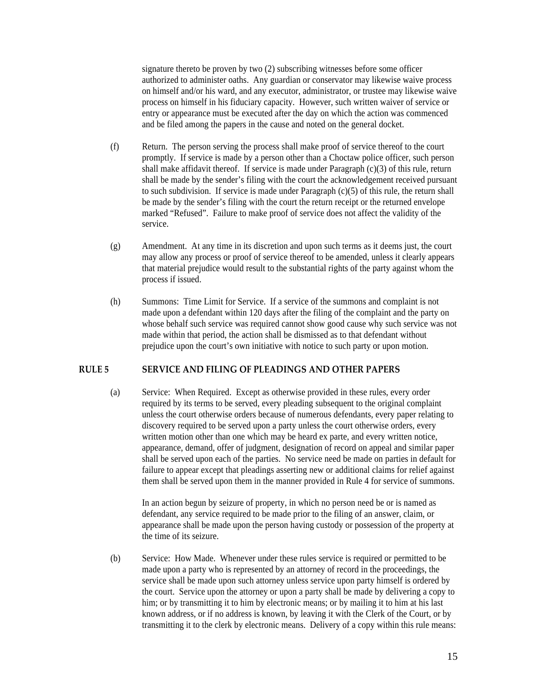signature thereto be proven by two (2) subscribing witnesses before some officer authorized to administer oaths. Any guardian or conservator may likewise waive process on himself and/or his ward, and any executor, administrator, or trustee may likewise waive process on himself in his fiduciary capacity. However, such written waiver of service or entry or appearance must be executed after the day on which the action was commenced and be filed among the papers in the cause and noted on the general docket.

- (f) Return. The person serving the process shall make proof of service thereof to the court promptly. If service is made by a person other than a Choctaw police officer, such person shall make affidavit thereof. If service is made under Paragraph (c)(3) of this rule, return shall be made by the sender's filing with the court the acknowledgement received pursuant to such subdivision. If service is made under Paragraph  $(c)(5)$  of this rule, the return shall be made by the sender's filing with the court the return receipt or the returned envelope marked "Refused". Failure to make proof of service does not affect the validity of the service.
- (g) Amendment. At any time in its discretion and upon such terms as it deems just, the court may allow any process or proof of service thereof to be amended, unless it clearly appears that material prejudice would result to the substantial rights of the party against whom the process if issued.
- (h) Summons: Time Limit for Service. If a service of the summons and complaint is not made upon a defendant within 120 days after the filing of the complaint and the party on whose behalf such service was required cannot show good cause why such service was not made within that period, the action shall be dismissed as to that defendant without prejudice upon the court's own initiative with notice to such party or upon motion.

#### **RULE 5 SERVICE AND FILING OF PLEADINGS AND OTHER PAPERS**

(a) Service: When Required. Except as otherwise provided in these rules, every order required by its terms to be served, every pleading subsequent to the original complaint unless the court otherwise orders because of numerous defendants, every paper relating to discovery required to be served upon a party unless the court otherwise orders, every written motion other than one which may be heard ex parte, and every written notice, appearance, demand, offer of judgment, designation of record on appeal and similar paper shall be served upon each of the parties. No service need be made on parties in default for failure to appear except that pleadings asserting new or additional claims for relief against them shall be served upon them in the manner provided in Rule 4 for service of summons.

In an action begun by seizure of property, in which no person need be or is named as defendant, any service required to be made prior to the filing of an answer, claim, or appearance shall be made upon the person having custody or possession of the property at the time of its seizure.

(b) Service: How Made. Whenever under these rules service is required or permitted to be made upon a party who is represented by an attorney of record in the proceedings, the service shall be made upon such attorney unless service upon party himself is ordered by the court. Service upon the attorney or upon a party shall be made by delivering a copy to him; or by transmitting it to him by electronic means; or by mailing it to him at his last known address, or if no address is known, by leaving it with the Clerk of the Court, or by transmitting it to the clerk by electronic means. Delivery of a copy within this rule means: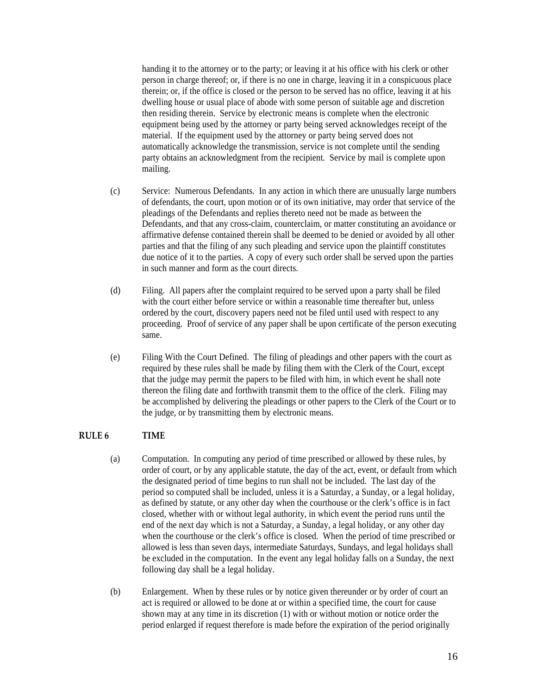handing it to the attorney or to the party; or leaving it at his office with his clerk or other person in charge thereof; or, if there is no one in charge, leaving it in a conspicuous place therein; or, if the office is closed or the person to be served has no office, leaving it at his dwelling house or usual place of abode with some person of suitable age and discretion then residing therein. Service by electronic means is complete when the electronic equipment being used by the attorney or party being served acknowledges receipt of the material. If the equipment used by the attorney or party being served does not automatically acknowledge the transmission, service is not complete until the sending party obtains an acknowledgment from the recipient. Service by mail is complete upon mailing.

- (c) Service: Numerous Defendants. In any action in which there are unusually large numbers of defendants, the court, upon motion or of its own initiative, may order that service of the pleadings of the Defendants and replies thereto need not be made as between the Defendants, and that any cross-claim, counterclaim, or matter constituting an avoidance or affirmative defense contained therein shall be deemed to be denied or avoided by all other parties and that the filing of any such pleading and service upon the plaintiff constitutes due notice of it to the parties. A copy of every such order shall be served upon the parties in such manner and form as the court directs.
- (d) Filing. All papers after the complaint required to be served upon a party shall be filed with the court either before service or within a reasonable time thereafter but, unless ordered by the court, discovery papers need not be filed until used with respect to any proceeding. Proof of service of any paper shall be upon certificate of the person executing same.
- (e) Filing With the Court Defined. The filing of pleadings and other papers with the court as required by these rules shall be made by filing them with the Clerk of the Court, except that the judge may permit the papers to be filed with him, in which event he shall note thereon the filing date and forthwith transmit them to the office of the clerk. Filing may be accomplished by delivering the pleadings or other papers to the Clerk of the Court or to the judge, or by transmitting them by electronic means.

#### **RULE 6 TIME**

- (a) Computation. In computing any period of time prescribed or allowed by these rules, by order of court, or by any applicable statute, the day of the act, event, or default from which the designated period of time begins to run shall not be included. The last day of the period so computed shall be included, unless it is a Saturday, a Sunday, or a legal holiday, as defined by statute, or any other day when the courthouse or the clerk's office is in fact closed, whether with or without legal authority, in which event the period runs until the end of the next day which is not a Saturday, a Sunday, a legal holiday, or any other day when the courthouse or the clerk's office is closed. When the period of time prescribed or allowed is less than seven days, intermediate Saturdays, Sundays, and legal holidays shall be excluded in the computation. In the event any legal holiday falls on a Sunday, the next following day shall be a legal holiday.
- (b) Enlargement. When by these rules or by notice given thereunder or by order of court an act is required or allowed to be done at or within a specified time, the court for cause shown may at any time in its discretion (1) with or without motion or notice order the period enlarged if request therefore is made before the expiration of the period originally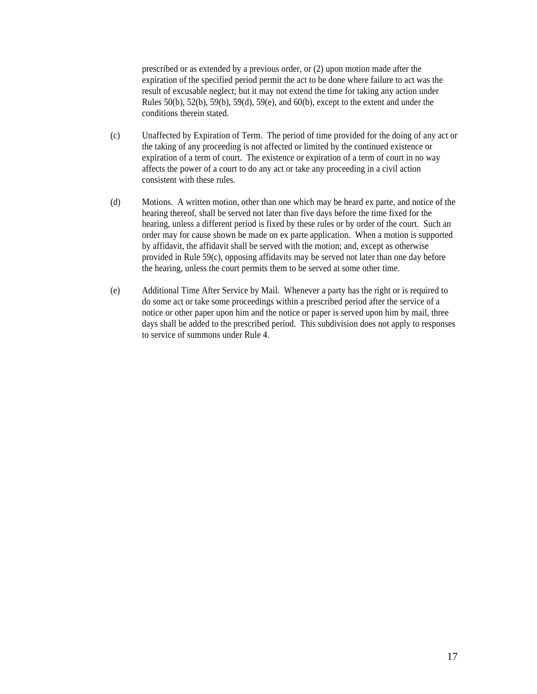prescribed or as extended by a previous order, or (2) upon motion made after the expiration of the specified period permit the act to be done where failure to act was the result of excusable neglect; but it may not extend the time for taking any action under Rules  $50(b)$ ,  $52(b)$ ,  $59(b)$ ,  $59(d)$ ,  $59(e)$ , and  $60(b)$ , except to the extent and under the conditions therein stated.

- (c) Unaffected by Expiration of Term. The period of time provided for the doing of any act or the taking of any proceeding is not affected or limited by the continued existence or expiration of a term of court. The existence or expiration of a term of court in no way affects the power of a court to do any act or take any proceeding in a civil action consistent with these rules.
- (d) Motions. A written motion, other than one which may be heard ex parte, and notice of the hearing thereof, shall be served not later than five days before the time fixed for the hearing, unless a different period is fixed by these rules or by order of the court. Such an order may for cause shown be made on ex parte application. When a motion is supported by affidavit, the affidavit shall be served with the motion; and, except as otherwise provided in Rule 59(c), opposing affidavits may be served not later than one day before the hearing, unless the court permits them to be served at some other time.
- (e) Additional Time After Service by Mail. Whenever a party has the right or is required to do some act or take some proceedings within a prescribed period after the service of a notice or other paper upon him and the notice or paper is served upon him by mail, three days shall be added to the prescribed period. This subdivision does not apply to responses to service of summons under Rule 4.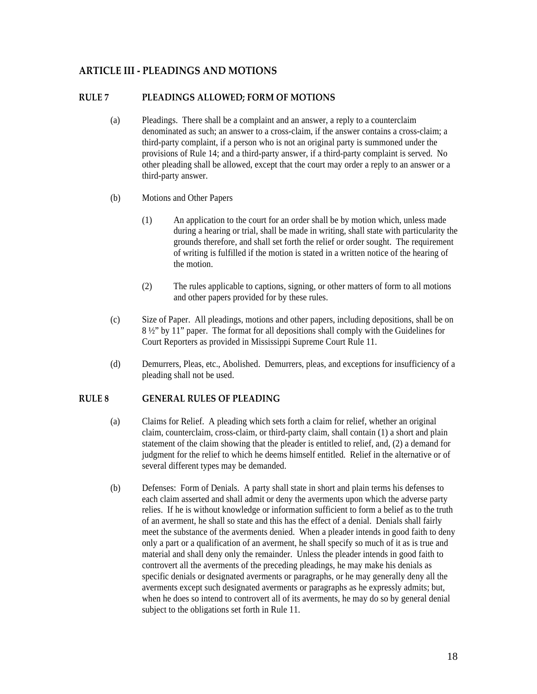# **ARTICLE III ‐ PLEADINGS AND MOTIONS**

#### **RULE 7 PLEADINGS ALLOWED; FORM OF MOTIONS**

- (a) Pleadings. There shall be a complaint and an answer, a reply to a counterclaim denominated as such; an answer to a cross-claim, if the answer contains a cross-claim; a third-party complaint, if a person who is not an original party is summoned under the provisions of Rule 14; and a third-party answer, if a third-party complaint is served. No other pleading shall be allowed, except that the court may order a reply to an answer or a third-party answer.
- (b) Motions and Other Papers
	- (1) An application to the court for an order shall be by motion which, unless made during a hearing or trial, shall be made in writing, shall state with particularity the grounds therefore, and shall set forth the relief or order sought. The requirement of writing is fulfilled if the motion is stated in a written notice of the hearing of the motion.
	- (2) The rules applicable to captions, signing, or other matters of form to all motions and other papers provided for by these rules.
- (c) Size of Paper. All pleadings, motions and other papers, including depositions, shall be on 8 ½" by 11" paper. The format for all depositions shall comply with the Guidelines for Court Reporters as provided in Mississippi Supreme Court Rule 11.
- (d) Demurrers, Pleas, etc., Abolished. Demurrers, pleas, and exceptions for insufficiency of a pleading shall not be used.

#### **RULE 8 GENERAL RULES OF PLEADING**

- (a) Claims for Relief. A pleading which sets forth a claim for relief, whether an original claim, counterclaim, cross-claim, or third-party claim, shall contain (1) a short and plain statement of the claim showing that the pleader is entitled to relief, and, (2) a demand for judgment for the relief to which he deems himself entitled. Relief in the alternative or of several different types may be demanded.
- (b) Defenses: Form of Denials. A party shall state in short and plain terms his defenses to each claim asserted and shall admit or deny the averments upon which the adverse party relies. If he is without knowledge or information sufficient to form a belief as to the truth of an averment, he shall so state and this has the effect of a denial. Denials shall fairly meet the substance of the averments denied. When a pleader intends in good faith to deny only a part or a qualification of an averment, he shall specify so much of it as is true and material and shall deny only the remainder. Unless the pleader intends in good faith to controvert all the averments of the preceding pleadings, he may make his denials as specific denials or designated averments or paragraphs, or he may generally deny all the averments except such designated averments or paragraphs as he expressly admits; but, when he does so intend to controvert all of its averments, he may do so by general denial subject to the obligations set forth in Rule 11.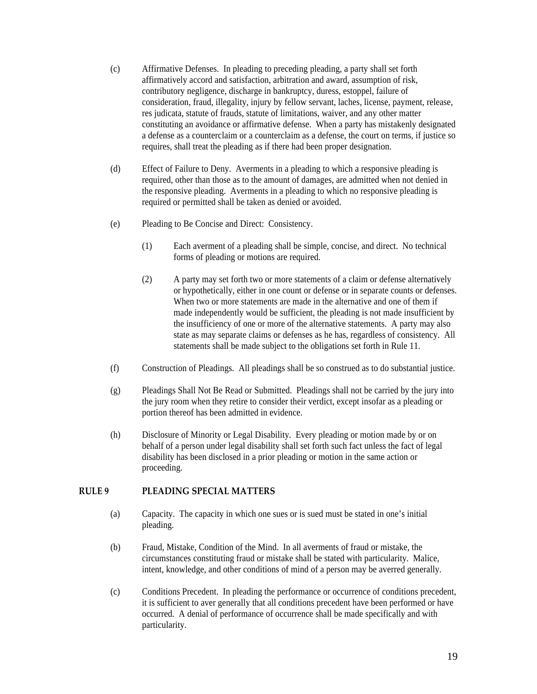- (c) Affirmative Defenses. In pleading to preceding pleading, a party shall set forth affirmatively accord and satisfaction, arbitration and award, assumption of risk, contributory negligence, discharge in bankruptcy, duress, estoppel, failure of consideration, fraud, illegality, injury by fellow servant, laches, license, payment, release, res judicata, statute of frauds, statute of limitations, waiver, and any other matter constituting an avoidance or affirmative defense. When a party has mistakenly designated a defense as a counterclaim or a counterclaim as a defense, the court on terms, if justice so requires, shall treat the pleading as if there had been proper designation.
- (d) Effect of Failure to Deny. Averments in a pleading to which a responsive pleading is required, other than those as to the amount of damages, are admitted when not denied in the responsive pleading. Averments in a pleading to which no responsive pleading is required or permitted shall be taken as denied or avoided.
- (e) Pleading to Be Concise and Direct: Consistency.
	- (1) Each averment of a pleading shall be simple, concise, and direct. No technical forms of pleading or motions are required.
	- (2) A party may set forth two or more statements of a claim or defense alternatively or hypothetically, either in one count or defense or in separate counts or defenses. When two or more statements are made in the alternative and one of them if made independently would be sufficient, the pleading is not made insufficient by the insufficiency of one or more of the alternative statements. A party may also state as may separate claims or defenses as he has, regardless of consistency. All statements shall be made subject to the obligations set forth in Rule 11.
- (f) Construction of Pleadings. All pleadings shall be so construed as to do substantial justice.
- (g) Pleadings Shall Not Be Read or Submitted. Pleadings shall not be carried by the jury into the jury room when they retire to consider their verdict, except insofar as a pleading or portion thereof has been admitted in evidence.
- (h) Disclosure of Minority or Legal Disability. Every pleading or motion made by or on behalf of a person under legal disability shall set forth such fact unless the fact of legal disability has been disclosed in a prior pleading or motion in the same action or proceeding.

#### **RULE 9 PLEADING SPECIAL MATTERS**

- (a) Capacity. The capacity in which one sues or is sued must be stated in one's initial pleading.
- (b) Fraud, Mistake, Condition of the Mind. In all averments of fraud or mistake, the circumstances constituting fraud or mistake shall be stated with particularity. Malice, intent, knowledge, and other conditions of mind of a person may be averred generally.
- (c) Conditions Precedent. In pleading the performance or occurrence of conditions precedent, it is sufficient to aver generally that all conditions precedent have been performed or have occurred. A denial of performance of occurrence shall be made specifically and with particularity.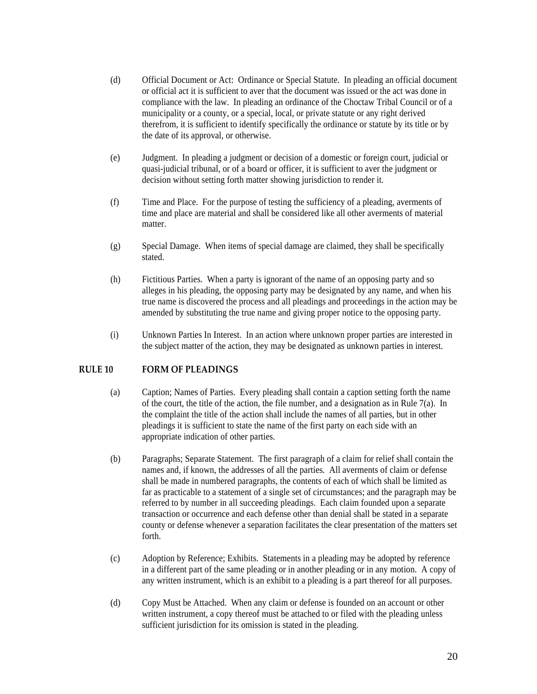- (d) Official Document or Act: Ordinance or Special Statute. In pleading an official document or official act it is sufficient to aver that the document was issued or the act was done in compliance with the law. In pleading an ordinance of the Choctaw Tribal Council or of a municipality or a county, or a special, local, or private statute or any right derived therefrom, it is sufficient to identify specifically the ordinance or statute by its title or by the date of its approval, or otherwise.
- (e) Judgment. In pleading a judgment or decision of a domestic or foreign court, judicial or quasi-judicial tribunal, or of a board or officer, it is sufficient to aver the judgment or decision without setting forth matter showing jurisdiction to render it.
- (f) Time and Place. For the purpose of testing the sufficiency of a pleading, averments of time and place are material and shall be considered like all other averments of material matter.
- (g) Special Damage. When items of special damage are claimed, they shall be specifically stated.
- (h) Fictitious Parties. When a party is ignorant of the name of an opposing party and so alleges in his pleading, the opposing party may be designated by any name, and when his true name is discovered the process and all pleadings and proceedings in the action may be amended by substituting the true name and giving proper notice to the opposing party.
- (i) Unknown Parties In Interest. In an action where unknown proper parties are interested in the subject matter of the action, they may be designated as unknown parties in interest.

#### **RULE 10 FORM OF PLEADINGS**

- (a) Caption; Names of Parties. Every pleading shall contain a caption setting forth the name of the court, the title of the action, the file number, and a designation as in Rule 7(a). In the complaint the title of the action shall include the names of all parties, but in other pleadings it is sufficient to state the name of the first party on each side with an appropriate indication of other parties.
- (b) Paragraphs; Separate Statement. The first paragraph of a claim for relief shall contain the names and, if known, the addresses of all the parties. All averments of claim or defense shall be made in numbered paragraphs, the contents of each of which shall be limited as far as practicable to a statement of a single set of circumstances; and the paragraph may be referred to by number in all succeeding pleadings. Each claim founded upon a separate transaction or occurrence and each defense other than denial shall be stated in a separate county or defense whenever a separation facilitates the clear presentation of the matters set forth.
- (c) Adoption by Reference; Exhibits. Statements in a pleading may be adopted by reference in a different part of the same pleading or in another pleading or in any motion. A copy of any written instrument, which is an exhibit to a pleading is a part thereof for all purposes.
- (d) Copy Must be Attached. When any claim or defense is founded on an account or other written instrument, a copy thereof must be attached to or filed with the pleading unless sufficient jurisdiction for its omission is stated in the pleading.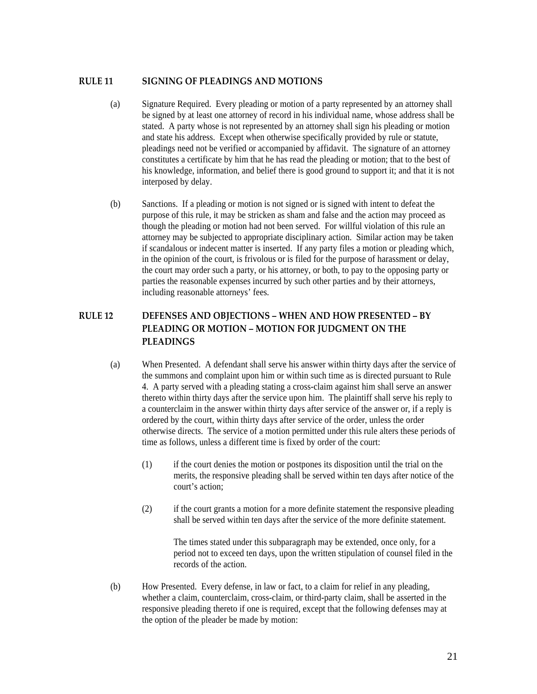#### **RULE 11 SIGNING OF PLEADINGS AND MOTIONS**

- (a) Signature Required. Every pleading or motion of a party represented by an attorney shall be signed by at least one attorney of record in his individual name, whose address shall be stated. A party whose is not represented by an attorney shall sign his pleading or motion and state his address. Except when otherwise specifically provided by rule or statute, pleadings need not be verified or accompanied by affidavit. The signature of an attorney constitutes a certificate by him that he has read the pleading or motion; that to the best of his knowledge, information, and belief there is good ground to support it; and that it is not interposed by delay.
- (b) Sanctions. If a pleading or motion is not signed or is signed with intent to defeat the purpose of this rule, it may be stricken as sham and false and the action may proceed as though the pleading or motion had not been served. For willful violation of this rule an attorney may be subjected to appropriate disciplinary action. Similar action may be taken if scandalous or indecent matter is inserted. If any party files a motion or pleading which, in the opinion of the court, is frivolous or is filed for the purpose of harassment or delay, the court may order such a party, or his attorney, or both, to pay to the opposing party or parties the reasonable expenses incurred by such other parties and by their attorneys, including reasonable attorneys' fees.

# **RULE 12 DEFENSES AND OBJECTIONS – WHEN AND HOW PRESENTED – BY PLEADING OR MOTION – MOTION FOR JUDGMENT ON THE PLEADINGS**

- (a) When Presented. A defendant shall serve his answer within thirty days after the service of the summons and complaint upon him or within such time as is directed pursuant to Rule 4. A party served with a pleading stating a cross-claim against him shall serve an answer thereto within thirty days after the service upon him. The plaintiff shall serve his reply to a counterclaim in the answer within thirty days after service of the answer or, if a reply is ordered by the court, within thirty days after service of the order, unless the order otherwise directs. The service of a motion permitted under this rule alters these periods of time as follows, unless a different time is fixed by order of the court:
	- (1) if the court denies the motion or postpones its disposition until the trial on the merits, the responsive pleading shall be served within ten days after notice of the court's action;
	- (2) if the court grants a motion for a more definite statement the responsive pleading shall be served within ten days after the service of the more definite statement.

The times stated under this subparagraph may be extended, once only, for a period not to exceed ten days, upon the written stipulation of counsel filed in the records of the action.

(b) How Presented. Every defense, in law or fact, to a claim for relief in any pleading, whether a claim, counterclaim, cross-claim, or third-party claim, shall be asserted in the responsive pleading thereto if one is required, except that the following defenses may at the option of the pleader be made by motion: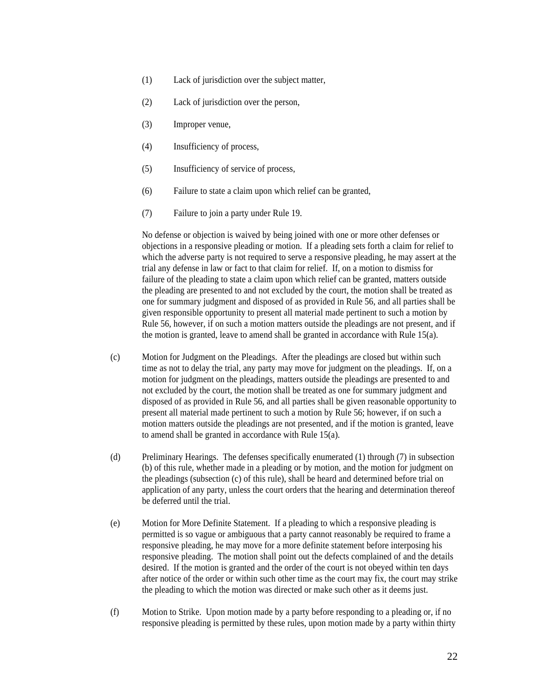- (1) Lack of jurisdiction over the subject matter,
- (2) Lack of jurisdiction over the person,
- (3) Improper venue,
- (4) Insufficiency of process,
- (5) Insufficiency of service of process,
- (6) Failure to state a claim upon which relief can be granted,
- (7) Failure to join a party under Rule 19.

No defense or objection is waived by being joined with one or more other defenses or objections in a responsive pleading or motion. If a pleading sets forth a claim for relief to which the adverse party is not required to serve a responsive pleading, he may assert at the trial any defense in law or fact to that claim for relief. If, on a motion to dismiss for failure of the pleading to state a claim upon which relief can be granted, matters outside the pleading are presented to and not excluded by the court, the motion shall be treated as one for summary judgment and disposed of as provided in Rule 56, and all parties shall be given responsible opportunity to present all material made pertinent to such a motion by Rule 56, however, if on such a motion matters outside the pleadings are not present, and if the motion is granted, leave to amend shall be granted in accordance with Rule 15(a).

- (c) Motion for Judgment on the Pleadings. After the pleadings are closed but within such time as not to delay the trial, any party may move for judgment on the pleadings. If, on a motion for judgment on the pleadings, matters outside the pleadings are presented to and not excluded by the court, the motion shall be treated as one for summary judgment and disposed of as provided in Rule 56, and all parties shall be given reasonable opportunity to present all material made pertinent to such a motion by Rule 56; however, if on such a motion matters outside the pleadings are not presented, and if the motion is granted, leave to amend shall be granted in accordance with Rule 15(a).
- (d) Preliminary Hearings. The defenses specifically enumerated (1) through (7) in subsection (b) of this rule, whether made in a pleading or by motion, and the motion for judgment on the pleadings (subsection (c) of this rule), shall be heard and determined before trial on application of any party, unless the court orders that the hearing and determination thereof be deferred until the trial.
- (e) Motion for More Definite Statement. If a pleading to which a responsive pleading is permitted is so vague or ambiguous that a party cannot reasonably be required to frame a responsive pleading, he may move for a more definite statement before interposing his responsive pleading. The motion shall point out the defects complained of and the details desired. If the motion is granted and the order of the court is not obeyed within ten days after notice of the order or within such other time as the court may fix, the court may strike the pleading to which the motion was directed or make such other as it deems just.
- (f) Motion to Strike. Upon motion made by a party before responding to a pleading or, if no responsive pleading is permitted by these rules, upon motion made by a party within thirty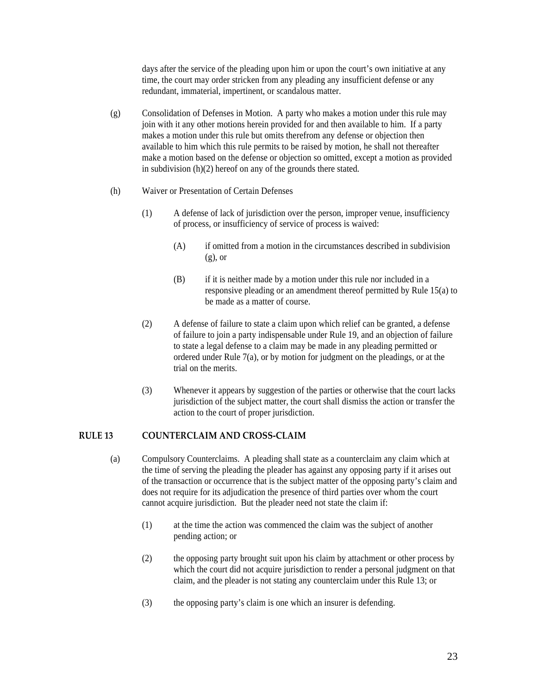days after the service of the pleading upon him or upon the court's own initiative at any time, the court may order stricken from any pleading any insufficient defense or any redundant, immaterial, impertinent, or scandalous matter.

- (g) Consolidation of Defenses in Motion. A party who makes a motion under this rule may join with it any other motions herein provided for and then available to him. If a party makes a motion under this rule but omits therefrom any defense or objection then available to him which this rule permits to be raised by motion, he shall not thereafter make a motion based on the defense or objection so omitted, except a motion as provided in subdivision (h)(2) hereof on any of the grounds there stated.
- (h) Waiver or Presentation of Certain Defenses
	- (1) A defense of lack of jurisdiction over the person, improper venue, insufficiency of process, or insufficiency of service of process is waived:
		- (A) if omitted from a motion in the circumstances described in subdivision (g), or
		- (B) if it is neither made by a motion under this rule nor included in a responsive pleading or an amendment thereof permitted by Rule 15(a) to be made as a matter of course.
	- (2) A defense of failure to state a claim upon which relief can be granted, a defense of failure to join a party indispensable under Rule 19, and an objection of failure to state a legal defense to a claim may be made in any pleading permitted or ordered under Rule 7(a), or by motion for judgment on the pleadings, or at the trial on the merits.
	- (3) Whenever it appears by suggestion of the parties or otherwise that the court lacks jurisdiction of the subject matter, the court shall dismiss the action or transfer the action to the court of proper jurisdiction.

#### **RULE 13 COUNTERCLAIM AND CROSS‐CLAIM**

- (a) Compulsory Counterclaims. A pleading shall state as a counterclaim any claim which at the time of serving the pleading the pleader has against any opposing party if it arises out of the transaction or occurrence that is the subject matter of the opposing party's claim and does not require for its adjudication the presence of third parties over whom the court cannot acquire jurisdiction. But the pleader need not state the claim if:
	- (1) at the time the action was commenced the claim was the subject of another pending action; or
	- (2) the opposing party brought suit upon his claim by attachment or other process by which the court did not acquire jurisdiction to render a personal judgment on that claim, and the pleader is not stating any counterclaim under this Rule 13; or
	- (3) the opposing party's claim is one which an insurer is defending.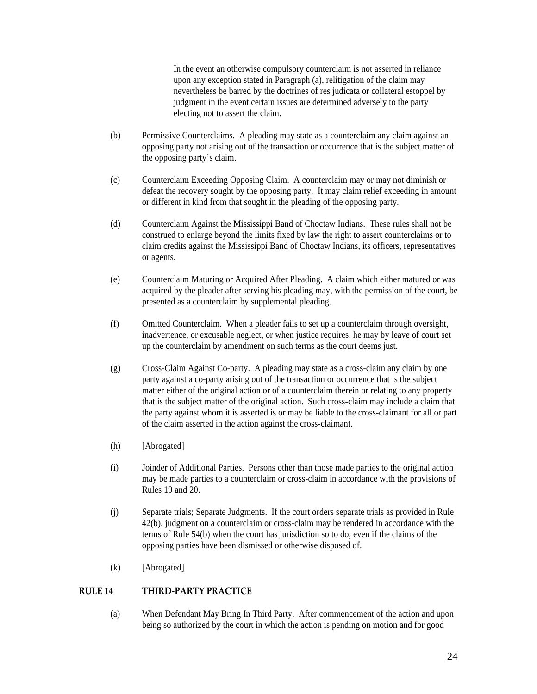In the event an otherwise compulsory counterclaim is not asserted in reliance upon any exception stated in Paragraph (a), relitigation of the claim may nevertheless be barred by the doctrines of res judicata or collateral estoppel by judgment in the event certain issues are determined adversely to the party electing not to assert the claim.

- (b) Permissive Counterclaims. A pleading may state as a counterclaim any claim against an opposing party not arising out of the transaction or occurrence that is the subject matter of the opposing party's claim.
- (c) Counterclaim Exceeding Opposing Claim. A counterclaim may or may not diminish or defeat the recovery sought by the opposing party. It may claim relief exceeding in amount or different in kind from that sought in the pleading of the opposing party.
- (d) Counterclaim Against the Mississippi Band of Choctaw Indians. These rules shall not be construed to enlarge beyond the limits fixed by law the right to assert counterclaims or to claim credits against the Mississippi Band of Choctaw Indians, its officers, representatives or agents.
- (e) Counterclaim Maturing or Acquired After Pleading. A claim which either matured or was acquired by the pleader after serving his pleading may, with the permission of the court, be presented as a counterclaim by supplemental pleading.
- (f) Omitted Counterclaim. When a pleader fails to set up a counterclaim through oversight, inadvertence, or excusable neglect, or when justice requires, he may by leave of court set up the counterclaim by amendment on such terms as the court deems just.
- (g) Cross-Claim Against Co-party. A pleading may state as a cross-claim any claim by one party against a co-party arising out of the transaction or occurrence that is the subject matter either of the original action or of a counterclaim therein or relating to any property that is the subject matter of the original action. Such cross-claim may include a claim that the party against whom it is asserted is or may be liable to the cross-claimant for all or part of the claim asserted in the action against the cross-claimant.
- (h) [Abrogated]
- (i) Joinder of Additional Parties. Persons other than those made parties to the original action may be made parties to a counterclaim or cross-claim in accordance with the provisions of Rules 19 and 20.
- (j) Separate trials; Separate Judgments. If the court orders separate trials as provided in Rule 42(b), judgment on a counterclaim or cross-claim may be rendered in accordance with the terms of Rule 54(b) when the court has jurisdiction so to do, even if the claims of the opposing parties have been dismissed or otherwise disposed of.
- (k) [Abrogated]

#### **RULE 14 THIRD‐PARTY PRACTICE**

(a) When Defendant May Bring In Third Party. After commencement of the action and upon being so authorized by the court in which the action is pending on motion and for good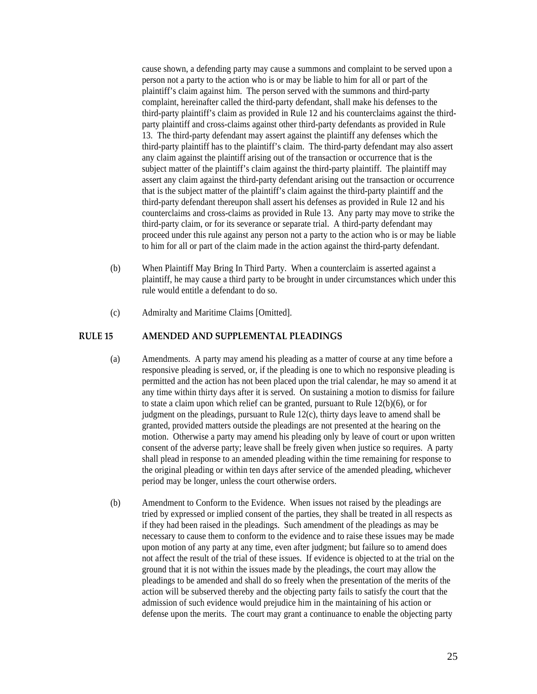cause shown, a defending party may cause a summons and complaint to be served upon a person not a party to the action who is or may be liable to him for all or part of the plaintiff's claim against him. The person served with the summons and third-party complaint, hereinafter called the third-party defendant, shall make his defenses to the third-party plaintiff's claim as provided in Rule 12 and his counterclaims against the thirdparty plaintiff and cross-claims against other third-party defendants as provided in Rule 13. The third-party defendant may assert against the plaintiff any defenses which the third-party plaintiff has to the plaintiff's claim. The third-party defendant may also assert any claim against the plaintiff arising out of the transaction or occurrence that is the subject matter of the plaintiff's claim against the third-party plaintiff. The plaintiff may assert any claim against the third-party defendant arising out the transaction or occurrence that is the subject matter of the plaintiff's claim against the third-party plaintiff and the third-party defendant thereupon shall assert his defenses as provided in Rule 12 and his counterclaims and cross-claims as provided in Rule 13. Any party may move to strike the third-party claim, or for its severance or separate trial. A third-party defendant may proceed under this rule against any person not a party to the action who is or may be liable to him for all or part of the claim made in the action against the third-party defendant.

- (b) When Plaintiff May Bring In Third Party. When a counterclaim is asserted against a plaintiff, he may cause a third party to be brought in under circumstances which under this rule would entitle a defendant to do so.
- (c) Admiralty and Maritime Claims [Omitted].

#### **RULE 15 AMENDED AND SUPPLEMENTAL PLEADINGS**

- (a) Amendments. A party may amend his pleading as a matter of course at any time before a responsive pleading is served, or, if the pleading is one to which no responsive pleading is permitted and the action has not been placed upon the trial calendar, he may so amend it at any time within thirty days after it is served. On sustaining a motion to dismiss for failure to state a claim upon which relief can be granted, pursuant to Rule 12(b)(6), or for judgment on the pleadings, pursuant to Rule 12(c), thirty days leave to amend shall be granted, provided matters outside the pleadings are not presented at the hearing on the motion. Otherwise a party may amend his pleading only by leave of court or upon written consent of the adverse party; leave shall be freely given when justice so requires. A party shall plead in response to an amended pleading within the time remaining for response to the original pleading or within ten days after service of the amended pleading, whichever period may be longer, unless the court otherwise orders.
- (b) Amendment to Conform to the Evidence. When issues not raised by the pleadings are tried by expressed or implied consent of the parties, they shall be treated in all respects as if they had been raised in the pleadings. Such amendment of the pleadings as may be necessary to cause them to conform to the evidence and to raise these issues may be made upon motion of any party at any time, even after judgment; but failure so to amend does not affect the result of the trial of these issues. If evidence is objected to at the trial on the ground that it is not within the issues made by the pleadings, the court may allow the pleadings to be amended and shall do so freely when the presentation of the merits of the action will be subserved thereby and the objecting party fails to satisfy the court that the admission of such evidence would prejudice him in the maintaining of his action or defense upon the merits. The court may grant a continuance to enable the objecting party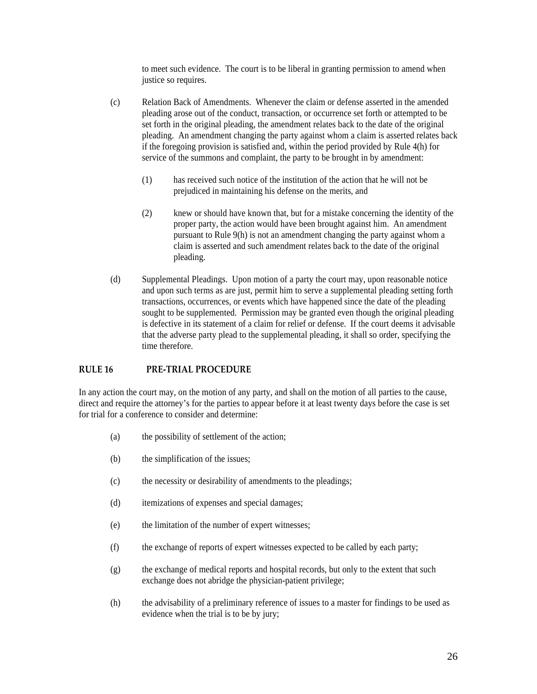to meet such evidence. The court is to be liberal in granting permission to amend when justice so requires.

- (c) Relation Back of Amendments. Whenever the claim or defense asserted in the amended pleading arose out of the conduct, transaction, or occurrence set forth or attempted to be set forth in the original pleading, the amendment relates back to the date of the original pleading. An amendment changing the party against whom a claim is asserted relates back if the foregoing provision is satisfied and, within the period provided by Rule 4(h) for service of the summons and complaint, the party to be brought in by amendment:
	- (1) has received such notice of the institution of the action that he will not be prejudiced in maintaining his defense on the merits, and
	- (2) knew or should have known that, but for a mistake concerning the identity of the proper party, the action would have been brought against him. An amendment pursuant to Rule 9(h) is not an amendment changing the party against whom a claim is asserted and such amendment relates back to the date of the original pleading.
- (d) Supplemental Pleadings. Upon motion of a party the court may, upon reasonable notice and upon such terms as are just, permit him to serve a supplemental pleading setting forth transactions, occurrences, or events which have happened since the date of the pleading sought to be supplemented. Permission may be granted even though the original pleading is defective in its statement of a claim for relief or defense. If the court deems it advisable that the adverse party plead to the supplemental pleading, it shall so order, specifying the time therefore.

#### **RULE 16 PRE‐TRIAL PROCEDURE**

In any action the court may, on the motion of any party, and shall on the motion of all parties to the cause, direct and require the attorney's for the parties to appear before it at least twenty days before the case is set for trial for a conference to consider and determine:

- (a) the possibility of settlement of the action;
- (b) the simplification of the issues;
- (c) the necessity or desirability of amendments to the pleadings;
- (d) itemizations of expenses and special damages;
- (e) the limitation of the number of expert witnesses;
- (f) the exchange of reports of expert witnesses expected to be called by each party;
- (g) the exchange of medical reports and hospital records, but only to the extent that such exchange does not abridge the physician-patient privilege;
- (h) the advisability of a preliminary reference of issues to a master for findings to be used as evidence when the trial is to be by jury;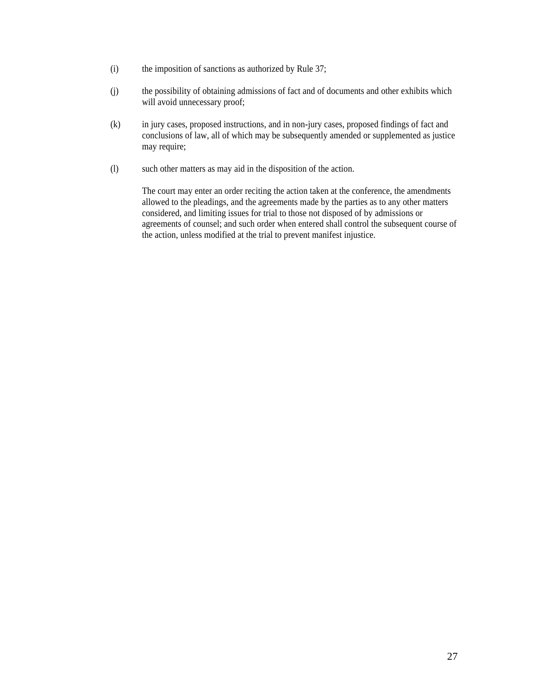- (i) the imposition of sanctions as authorized by Rule 37;
- (j) the possibility of obtaining admissions of fact and of documents and other exhibits which will avoid unnecessary proof;
- (k) in jury cases, proposed instructions, and in non-jury cases, proposed findings of fact and conclusions of law, all of which may be subsequently amended or supplemented as justice may require;
- (l) such other matters as may aid in the disposition of the action.

The court may enter an order reciting the action taken at the conference, the amendments allowed to the pleadings, and the agreements made by the parties as to any other matters considered, and limiting issues for trial to those not disposed of by admissions or agreements of counsel; and such order when entered shall control the subsequent course of the action, unless modified at the trial to prevent manifest injustice.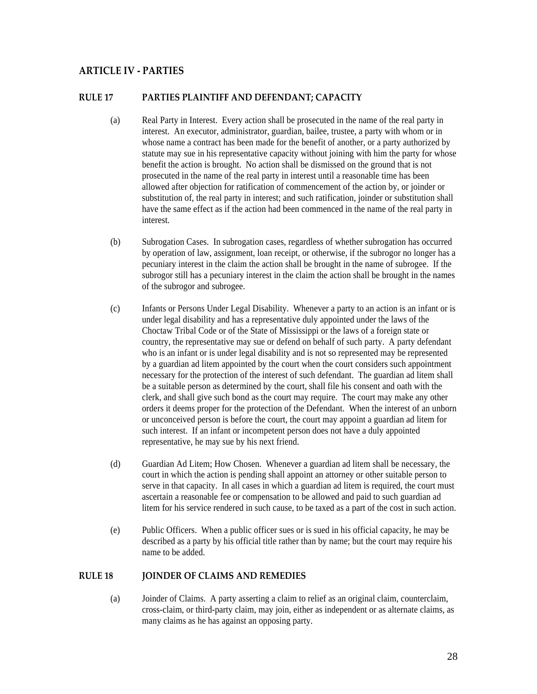### **ARTICLE IV ‐ PARTIES**

#### **RULE 17 PARTIES PLAINTIFF AND DEFENDANT; CAPACITY**

- (a) Real Party in Interest. Every action shall be prosecuted in the name of the real party in interest. An executor, administrator, guardian, bailee, trustee, a party with whom or in whose name a contract has been made for the benefit of another, or a party authorized by statute may sue in his representative capacity without joining with him the party for whose benefit the action is brought. No action shall be dismissed on the ground that is not prosecuted in the name of the real party in interest until a reasonable time has been allowed after objection for ratification of commencement of the action by, or joinder or substitution of, the real party in interest; and such ratification, joinder or substitution shall have the same effect as if the action had been commenced in the name of the real party in interest.
- (b) Subrogation Cases. In subrogation cases, regardless of whether subrogation has occurred by operation of law, assignment, loan receipt, or otherwise, if the subrogor no longer has a pecuniary interest in the claim the action shall be brought in the name of subrogee. If the subrogor still has a pecuniary interest in the claim the action shall be brought in the names of the subrogor and subrogee.
- (c) Infants or Persons Under Legal Disability. Whenever a party to an action is an infant or is under legal disability and has a representative duly appointed under the laws of the Choctaw Tribal Code or of the State of Mississippi or the laws of a foreign state or country, the representative may sue or defend on behalf of such party. A party defendant who is an infant or is under legal disability and is not so represented may be represented by a guardian ad litem appointed by the court when the court considers such appointment necessary for the protection of the interest of such defendant. The guardian ad litem shall be a suitable person as determined by the court, shall file his consent and oath with the clerk, and shall give such bond as the court may require. The court may make any other orders it deems proper for the protection of the Defendant. When the interest of an unborn or unconceived person is before the court, the court may appoint a guardian ad litem for such interest. If an infant or incompetent person does not have a duly appointed representative, he may sue by his next friend.
- (d) Guardian Ad Litem; How Chosen. Whenever a guardian ad litem shall be necessary, the court in which the action is pending shall appoint an attorney or other suitable person to serve in that capacity. In all cases in which a guardian ad litem is required, the court must ascertain a reasonable fee or compensation to be allowed and paid to such guardian ad litem for his service rendered in such cause, to be taxed as a part of the cost in such action.
- (e) Public Officers. When a public officer sues or is sued in his official capacity, he may be described as a party by his official title rather than by name; but the court may require his name to be added.

#### **RULE 18 JOINDER OF CLAIMS AND REMEDIES**

(a) Joinder of Claims. A party asserting a claim to relief as an original claim, counterclaim, cross-claim, or third-party claim, may join, either as independent or as alternate claims, as many claims as he has against an opposing party.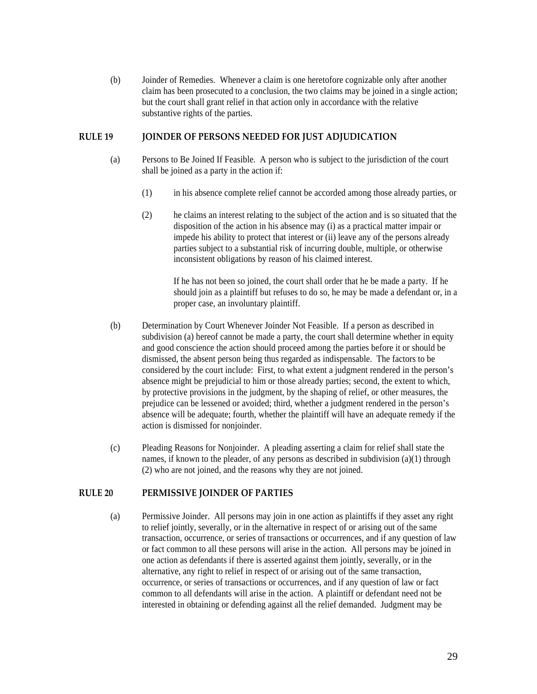(b) Joinder of Remedies. Whenever a claim is one heretofore cognizable only after another claim has been prosecuted to a conclusion, the two claims may be joined in a single action; but the court shall grant relief in that action only in accordance with the relative substantive rights of the parties.

#### **RULE 19 JOINDER OF PERSONS NEEDED FOR JUST ADJUDICATION**

- (a) Persons to Be Joined If Feasible. A person who is subject to the jurisdiction of the court shall be joined as a party in the action if:
	- (1) in his absence complete relief cannot be accorded among those already parties, or
	- (2) he claims an interest relating to the subject of the action and is so situated that the disposition of the action in his absence may (i) as a practical matter impair or impede his ability to protect that interest or (ii) leave any of the persons already parties subject to a substantial risk of incurring double, multiple, or otherwise inconsistent obligations by reason of his claimed interest.

If he has not been so joined, the court shall order that he be made a party. If he should join as a plaintiff but refuses to do so, he may be made a defendant or, in a proper case, an involuntary plaintiff.

- (b) Determination by Court Whenever Joinder Not Feasible. If a person as described in subdivision (a) hereof cannot be made a party, the court shall determine whether in equity and good conscience the action should proceed among the parties before it or should be dismissed, the absent person being thus regarded as indispensable. The factors to be considered by the court include: First, to what extent a judgment rendered in the person's absence might be prejudicial to him or those already parties; second, the extent to which, by protective provisions in the judgment, by the shaping of relief, or other measures, the prejudice can be lessened or avoided; third, whether a judgment rendered in the person's absence will be adequate; fourth, whether the plaintiff will have an adequate remedy if the action is dismissed for nonjoinder.
- (c) Pleading Reasons for Nonjoinder. A pleading asserting a claim for relief shall state the names, if known to the pleader, of any persons as described in subdivision (a)(1) through (2) who are not joined, and the reasons why they are not joined.

#### **RULE 20 PERMISSIVE JOINDER OF PARTIES**

(a) Permissive Joinder. All persons may join in one action as plaintiffs if they asset any right to relief jointly, severally, or in the alternative in respect of or arising out of the same transaction, occurrence, or series of transactions or occurrences, and if any question of law or fact common to all these persons will arise in the action. All persons may be joined in one action as defendants if there is asserted against them jointly, severally, or in the alternative, any right to relief in respect of or arising out of the same transaction, occurrence, or series of transactions or occurrences, and if any question of law or fact common to all defendants will arise in the action. A plaintiff or defendant need not be interested in obtaining or defending against all the relief demanded. Judgment may be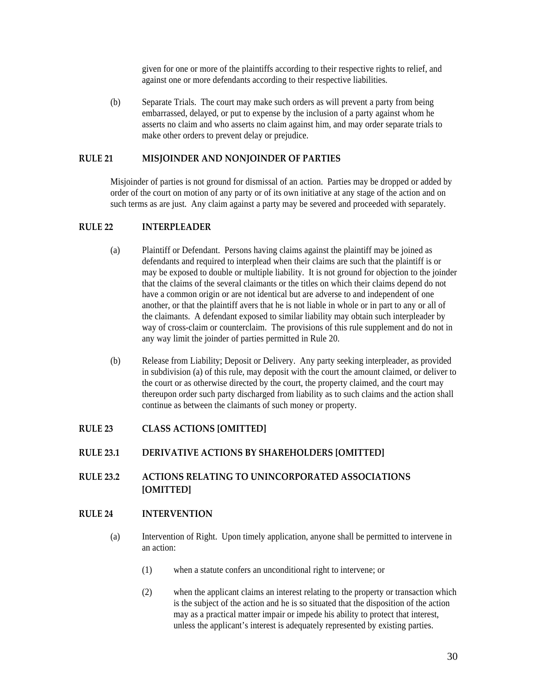given for one or more of the plaintiffs according to their respective rights to relief, and against one or more defendants according to their respective liabilities.

(b) Separate Trials. The court may make such orders as will prevent a party from being embarrassed, delayed, or put to expense by the inclusion of a party against whom he asserts no claim and who asserts no claim against him, and may order separate trials to make other orders to prevent delay or prejudice.

#### **RULE 21 MISJOINDER AND NONJOINDER OF PARTIES**

Misjoinder of parties is not ground for dismissal of an action. Parties may be dropped or added by order of the court on motion of any party or of its own initiative at any stage of the action and on such terms as are just. Any claim against a party may be severed and proceeded with separately.

#### **RULE 22 INTERPLEADER**

- (a) Plaintiff or Defendant. Persons having claims against the plaintiff may be joined as defendants and required to interplead when their claims are such that the plaintiff is or may be exposed to double or multiple liability. It is not ground for objection to the joinder that the claims of the several claimants or the titles on which their claims depend do not have a common origin or are not identical but are adverse to and independent of one another, or that the plaintiff avers that he is not liable in whole or in part to any or all of the claimants. A defendant exposed to similar liability may obtain such interpleader by way of cross-claim or counterclaim. The provisions of this rule supplement and do not in any way limit the joinder of parties permitted in Rule 20.
- (b) Release from Liability; Deposit or Delivery. Any party seeking interpleader, as provided in subdivision (a) of this rule, may deposit with the court the amount claimed, or deliver to the court or as otherwise directed by the court, the property claimed, and the court may thereupon order such party discharged from liability as to such claims and the action shall continue as between the claimants of such money or property.

#### **RULE 23 CLASS ACTIONS [OMITTED]**

#### **RULE 23.1 DERIVATIVE ACTIONS BY SHAREHOLDERS [OMITTED]**

## **RULE 23.2 ACTIONS RELATING TO UNINCORPORATED ASSOCIATIONS [OMITTED]**

#### **RULE 24 INTERVENTION**

- (a) Intervention of Right. Upon timely application, anyone shall be permitted to intervene in an action:
	- (1) when a statute confers an unconditional right to intervene; or
	- (2) when the applicant claims an interest relating to the property or transaction which is the subject of the action and he is so situated that the disposition of the action may as a practical matter impair or impede his ability to protect that interest, unless the applicant's interest is adequately represented by existing parties.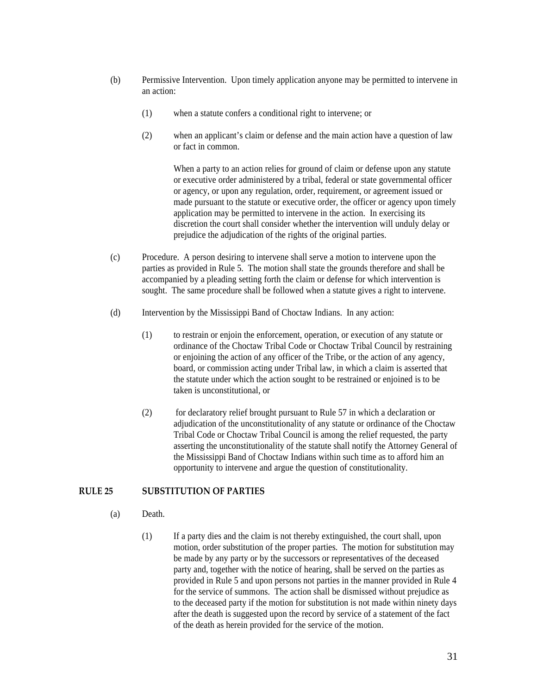- (b) Permissive Intervention. Upon timely application anyone may be permitted to intervene in an action:
	- (1) when a statute confers a conditional right to intervene; or
	- (2) when an applicant's claim or defense and the main action have a question of law or fact in common.

When a party to an action relies for ground of claim or defense upon any statute or executive order administered by a tribal, federal or state governmental officer or agency, or upon any regulation, order, requirement, or agreement issued or made pursuant to the statute or executive order, the officer or agency upon timely application may be permitted to intervene in the action. In exercising its discretion the court shall consider whether the intervention will unduly delay or prejudice the adjudication of the rights of the original parties.

- (c) Procedure. A person desiring to intervene shall serve a motion to intervene upon the parties as provided in Rule 5. The motion shall state the grounds therefore and shall be accompanied by a pleading setting forth the claim or defense for which intervention is sought. The same procedure shall be followed when a statute gives a right to intervene.
- (d) Intervention by the Mississippi Band of Choctaw Indians. In any action:
	- (1) to restrain or enjoin the enforcement, operation, or execution of any statute or ordinance of the Choctaw Tribal Code or Choctaw Tribal Council by restraining or enjoining the action of any officer of the Tribe, or the action of any agency, board, or commission acting under Tribal law, in which a claim is asserted that the statute under which the action sought to be restrained or enjoined is to be taken is unconstitutional, or
	- (2) for declaratory relief brought pursuant to Rule 57 in which a declaration or adjudication of the unconstitutionality of any statute or ordinance of the Choctaw Tribal Code or Choctaw Tribal Council is among the relief requested, the party asserting the unconstitutionality of the statute shall notify the Attorney General of the Mississippi Band of Choctaw Indians within such time as to afford him an opportunity to intervene and argue the question of constitutionality.

#### **RULE 25 SUBSTITUTION OF PARTIES**

- (a) Death.
	- (1) If a party dies and the claim is not thereby extinguished, the court shall, upon motion, order substitution of the proper parties. The motion for substitution may be made by any party or by the successors or representatives of the deceased party and, together with the notice of hearing, shall be served on the parties as provided in Rule 5 and upon persons not parties in the manner provided in Rule 4 for the service of summons. The action shall be dismissed without prejudice as to the deceased party if the motion for substitution is not made within ninety days after the death is suggested upon the record by service of a statement of the fact of the death as herein provided for the service of the motion.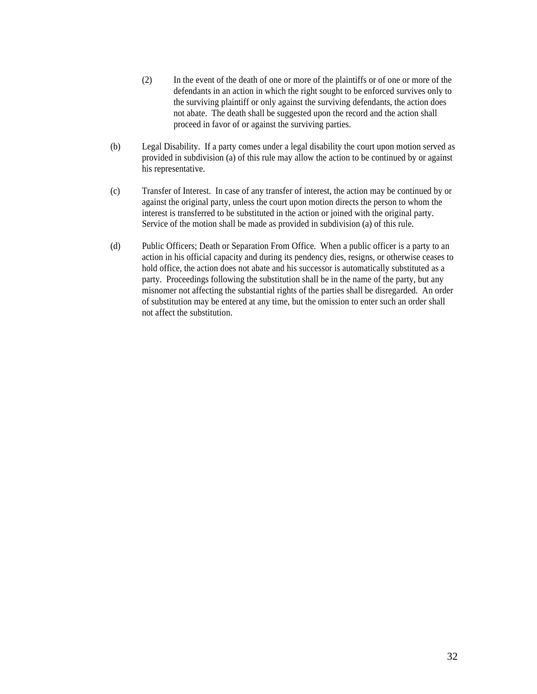- (2) In the event of the death of one or more of the plaintiffs or of one or more of the defendants in an action in which the right sought to be enforced survives only to the surviving plaintiff or only against the surviving defendants, the action does not abate. The death shall be suggested upon the record and the action shall proceed in favor of or against the surviving parties.
- (b) Legal Disability. If a party comes under a legal disability the court upon motion served as provided in subdivision (a) of this rule may allow the action to be continued by or against his representative.
- (c) Transfer of Interest. In case of any transfer of interest, the action may be continued by or against the original party, unless the court upon motion directs the person to whom the interest is transferred to be substituted in the action or joined with the original party. Service of the motion shall be made as provided in subdivision (a) of this rule.
- (d) Public Officers; Death or Separation From Office. When a public officer is a party to an action in his official capacity and during its pendency dies, resigns, or otherwise ceases to hold office, the action does not abate and his successor is automatically substituted as a party. Proceedings following the substitution shall be in the name of the party, but any misnomer not affecting the substantial rights of the parties shall be disregarded. An order of substitution may be entered at any time, but the omission to enter such an order shall not affect the substitution.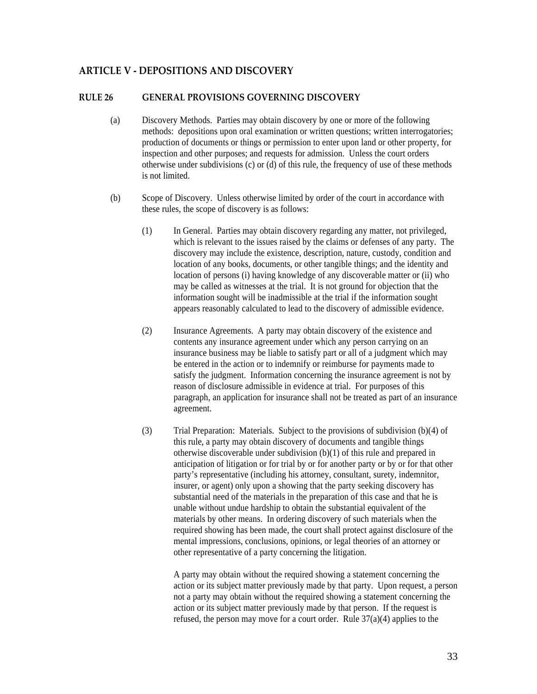### **ARTICLE V ‐ DEPOSITIONS AND DISCOVERY**

#### **RULE 26 GENERAL PROVISIONS GOVERNING DISCOVERY**

- (a) Discovery Methods. Parties may obtain discovery by one or more of the following methods: depositions upon oral examination or written questions; written interrogatories; production of documents or things or permission to enter upon land or other property, for inspection and other purposes; and requests for admission. Unless the court orders otherwise under subdivisions (c) or (d) of this rule, the frequency of use of these methods is not limited.
- (b) Scope of Discovery. Unless otherwise limited by order of the court in accordance with these rules, the scope of discovery is as follows:
	- (1) In General. Parties may obtain discovery regarding any matter, not privileged, which is relevant to the issues raised by the claims or defenses of any party. The discovery may include the existence, description, nature, custody, condition and location of any books, documents, or other tangible things; and the identity and location of persons (i) having knowledge of any discoverable matter or (ii) who may be called as witnesses at the trial. It is not ground for objection that the information sought will be inadmissible at the trial if the information sought appears reasonably calculated to lead to the discovery of admissible evidence.
	- (2) Insurance Agreements. A party may obtain discovery of the existence and contents any insurance agreement under which any person carrying on an insurance business may be liable to satisfy part or all of a judgment which may be entered in the action or to indemnify or reimburse for payments made to satisfy the judgment. Information concerning the insurance agreement is not by reason of disclosure admissible in evidence at trial. For purposes of this paragraph, an application for insurance shall not be treated as part of an insurance agreement.
	- (3) Trial Preparation: Materials. Subject to the provisions of subdivision (b)(4) of this rule, a party may obtain discovery of documents and tangible things otherwise discoverable under subdivision (b)(1) of this rule and prepared in anticipation of litigation or for trial by or for another party or by or for that other party's representative (including his attorney, consultant, surety, indemnitor, insurer, or agent) only upon a showing that the party seeking discovery has substantial need of the materials in the preparation of this case and that he is unable without undue hardship to obtain the substantial equivalent of the materials by other means. In ordering discovery of such materials when the required showing has been made, the court shall protect against disclosure of the mental impressions, conclusions, opinions, or legal theories of an attorney or other representative of a party concerning the litigation.

A party may obtain without the required showing a statement concerning the action or its subject matter previously made by that party. Upon request, a person not a party may obtain without the required showing a statement concerning the action or its subject matter previously made by that person. If the request is refused, the person may move for a court order. Rule  $37(a)(4)$  applies to the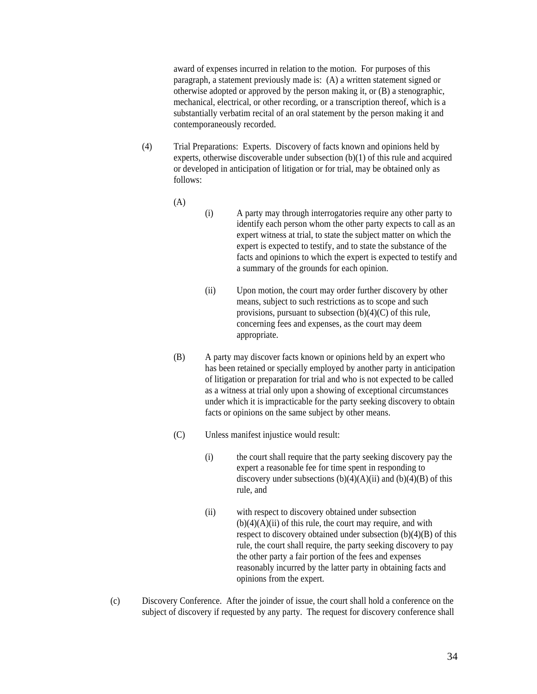award of expenses incurred in relation to the motion. For purposes of this paragraph, a statement previously made is: (A) a written statement signed or otherwise adopted or approved by the person making it, or (B) a stenographic, mechanical, electrical, or other recording, or a transcription thereof, which is a substantially verbatim recital of an oral statement by the person making it and contemporaneously recorded.

- (4) Trial Preparations: Experts. Discovery of facts known and opinions held by experts, otherwise discoverable under subsection (b)(1) of this rule and acquired or developed in anticipation of litigation or for trial, may be obtained only as follows:
	- (A)
- (i) A party may through interrogatories require any other party to identify each person whom the other party expects to call as an expert witness at trial, to state the subject matter on which the expert is expected to testify, and to state the substance of the facts and opinions to which the expert is expected to testify and a summary of the grounds for each opinion.
- (ii) Upon motion, the court may order further discovery by other means, subject to such restrictions as to scope and such provisions, pursuant to subsection  $(b)(4)(C)$  of this rule, concerning fees and expenses, as the court may deem appropriate.
- (B) A party may discover facts known or opinions held by an expert who has been retained or specially employed by another party in anticipation of litigation or preparation for trial and who is not expected to be called as a witness at trial only upon a showing of exceptional circumstances under which it is impracticable for the party seeking discovery to obtain facts or opinions on the same subject by other means.
- (C) Unless manifest injustice would result:
	- (i) the court shall require that the party seeking discovery pay the expert a reasonable fee for time spent in responding to discovery under subsections  $(b)(4)(A)(ii)$  and  $(b)(4)(B)$  of this rule, and
	- (ii) with respect to discovery obtained under subsection  $(b)(4)(A)(ii)$  of this rule, the court may require, and with respect to discovery obtained under subsection (b)(4)(B) of this rule, the court shall require, the party seeking discovery to pay the other party a fair portion of the fees and expenses reasonably incurred by the latter party in obtaining facts and opinions from the expert.
- (c) Discovery Conference. After the joinder of issue, the court shall hold a conference on the subject of discovery if requested by any party. The request for discovery conference shall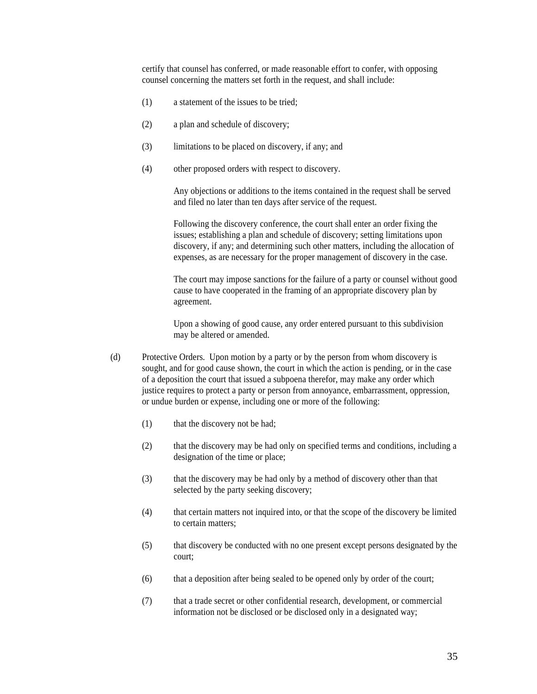certify that counsel has conferred, or made reasonable effort to confer, with opposing counsel concerning the matters set forth in the request, and shall include:

- (1) a statement of the issues to be tried;
- (2) a plan and schedule of discovery;
- (3) limitations to be placed on discovery, if any; and
- (4) other proposed orders with respect to discovery.

Any objections or additions to the items contained in the request shall be served and filed no later than ten days after service of the request.

Following the discovery conference, the court shall enter an order fixing the issues; establishing a plan and schedule of discovery; setting limitations upon discovery, if any; and determining such other matters, including the allocation of expenses, as are necessary for the proper management of discovery in the case.

The court may impose sanctions for the failure of a party or counsel without good cause to have cooperated in the framing of an appropriate discovery plan by agreement.

Upon a showing of good cause, any order entered pursuant to this subdivision may be altered or amended.

- (d) Protective Orders. Upon motion by a party or by the person from whom discovery is sought, and for good cause shown, the court in which the action is pending, or in the case of a deposition the court that issued a subpoena therefor, may make any order which justice requires to protect a party or person from annoyance, embarrassment, oppression, or undue burden or expense, including one or more of the following:
	- (1) that the discovery not be had;
	- (2) that the discovery may be had only on specified terms and conditions, including a designation of the time or place;
	- (3) that the discovery may be had only by a method of discovery other than that selected by the party seeking discovery;
	- (4) that certain matters not inquired into, or that the scope of the discovery be limited to certain matters;
	- (5) that discovery be conducted with no one present except persons designated by the court;
	- (6) that a deposition after being sealed to be opened only by order of the court;
	- (7) that a trade secret or other confidential research, development, or commercial information not be disclosed or be disclosed only in a designated way;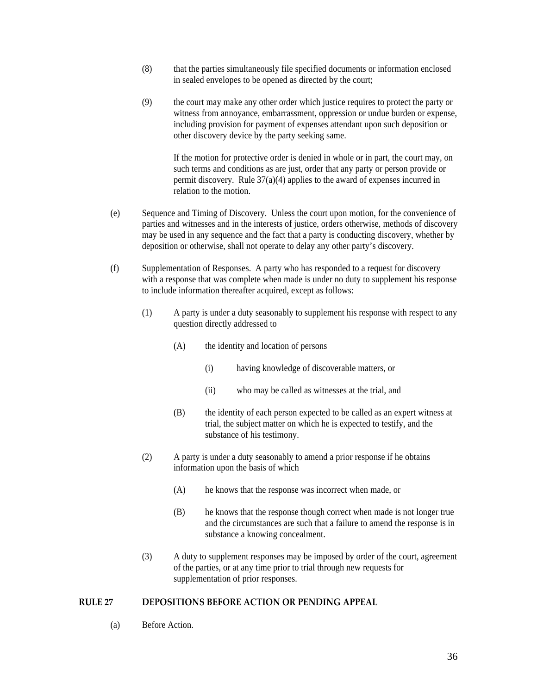- (8) that the parties simultaneously file specified documents or information enclosed in sealed envelopes to be opened as directed by the court;
- (9) the court may make any other order which justice requires to protect the party or witness from annoyance, embarrassment, oppression or undue burden or expense, including provision for payment of expenses attendant upon such deposition or other discovery device by the party seeking same.

If the motion for protective order is denied in whole or in part, the court may, on such terms and conditions as are just, order that any party or person provide or permit discovery. Rule 37(a)(4) applies to the award of expenses incurred in relation to the motion.

- (e) Sequence and Timing of Discovery. Unless the court upon motion, for the convenience of parties and witnesses and in the interests of justice, orders otherwise, methods of discovery may be used in any sequence and the fact that a party is conducting discovery, whether by deposition or otherwise, shall not operate to delay any other party's discovery.
- (f) Supplementation of Responses. A party who has responded to a request for discovery with a response that was complete when made is under no duty to supplement his response to include information thereafter acquired, except as follows:
	- (1) A party is under a duty seasonably to supplement his response with respect to any question directly addressed to
		- (A) the identity and location of persons
			- (i) having knowledge of discoverable matters, or
			- (ii) who may be called as witnesses at the trial, and
		- (B) the identity of each person expected to be called as an expert witness at trial, the subject matter on which he is expected to testify, and the substance of his testimony.
	- (2) A party is under a duty seasonably to amend a prior response if he obtains information upon the basis of which
		- (A) he knows that the response was incorrect when made, or
		- (B) he knows that the response though correct when made is not longer true and the circumstances are such that a failure to amend the response is in substance a knowing concealment.
	- (3) A duty to supplement responses may be imposed by order of the court, agreement of the parties, or at any time prior to trial through new requests for supplementation of prior responses.

### **RULE 27 DEPOSITIONS BEFORE ACTION OR PENDING APPEAL**

(a) Before Action.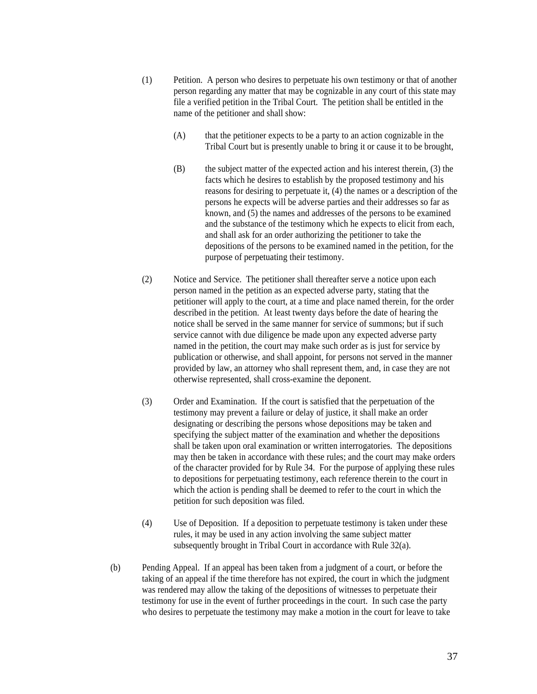- (1) Petition. A person who desires to perpetuate his own testimony or that of another person regarding any matter that may be cognizable in any court of this state may file a verified petition in the Tribal Court. The petition shall be entitled in the name of the petitioner and shall show:
	- (A) that the petitioner expects to be a party to an action cognizable in the Tribal Court but is presently unable to bring it or cause it to be brought,
	- (B) the subject matter of the expected action and his interest therein, (3) the facts which he desires to establish by the proposed testimony and his reasons for desiring to perpetuate it, (4) the names or a description of the persons he expects will be adverse parties and their addresses so far as known, and (5) the names and addresses of the persons to be examined and the substance of the testimony which he expects to elicit from each, and shall ask for an order authorizing the petitioner to take the depositions of the persons to be examined named in the petition, for the purpose of perpetuating their testimony.
- (2) Notice and Service. The petitioner shall thereafter serve a notice upon each person named in the petition as an expected adverse party, stating that the petitioner will apply to the court, at a time and place named therein, for the order described in the petition. At least twenty days before the date of hearing the notice shall be served in the same manner for service of summons; but if such service cannot with due diligence be made upon any expected adverse party named in the petition, the court may make such order as is just for service by publication or otherwise, and shall appoint, for persons not served in the manner provided by law, an attorney who shall represent them, and, in case they are not otherwise represented, shall cross-examine the deponent.
- (3) Order and Examination. If the court is satisfied that the perpetuation of the testimony may prevent a failure or delay of justice, it shall make an order designating or describing the persons whose depositions may be taken and specifying the subject matter of the examination and whether the depositions shall be taken upon oral examination or written interrogatories. The depositions may then be taken in accordance with these rules; and the court may make orders of the character provided for by Rule 34. For the purpose of applying these rules to depositions for perpetuating testimony, each reference therein to the court in which the action is pending shall be deemed to refer to the court in which the petition for such deposition was filed.
- (4) Use of Deposition. If a deposition to perpetuate testimony is taken under these rules, it may be used in any action involving the same subject matter subsequently brought in Tribal Court in accordance with Rule 32(a).
- (b) Pending Appeal. If an appeal has been taken from a judgment of a court, or before the taking of an appeal if the time therefore has not expired, the court in which the judgment was rendered may allow the taking of the depositions of witnesses to perpetuate their testimony for use in the event of further proceedings in the court. In such case the party who desires to perpetuate the testimony may make a motion in the court for leave to take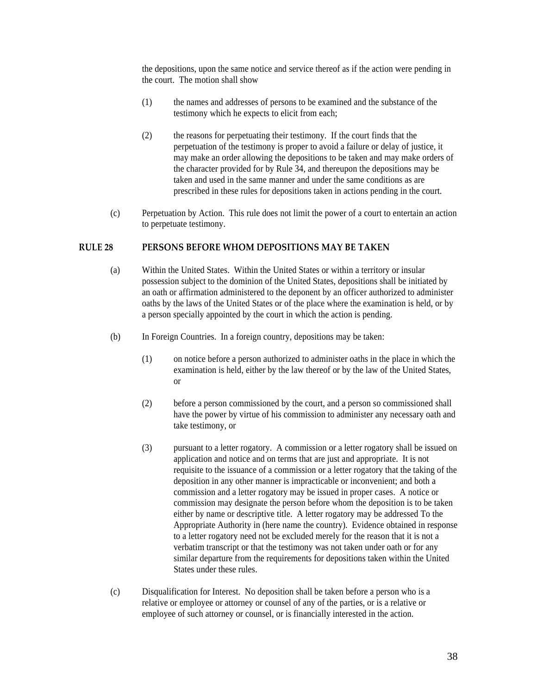the depositions, upon the same notice and service thereof as if the action were pending in the court. The motion shall show

- (1) the names and addresses of persons to be examined and the substance of the testimony which he expects to elicit from each;
- (2) the reasons for perpetuating their testimony. If the court finds that the perpetuation of the testimony is proper to avoid a failure or delay of justice, it may make an order allowing the depositions to be taken and may make orders of the character provided for by Rule 34, and thereupon the depositions may be taken and used in the same manner and under the same conditions as are prescribed in these rules for depositions taken in actions pending in the court.
- (c) Perpetuation by Action. This rule does not limit the power of a court to entertain an action to perpetuate testimony.

### **RULE 28 PERSONS BEFORE WHOM DEPOSITIONS MAY BE TAKEN**

- (a) Within the United States. Within the United States or within a territory or insular possession subject to the dominion of the United States, depositions shall be initiated by an oath or affirmation administered to the deponent by an officer authorized to administer oaths by the laws of the United States or of the place where the examination is held, or by a person specially appointed by the court in which the action is pending.
- (b) In Foreign Countries. In a foreign country, depositions may be taken:
	- (1) on notice before a person authorized to administer oaths in the place in which the examination is held, either by the law thereof or by the law of the United States, or
	- (2) before a person commissioned by the court, and a person so commissioned shall have the power by virtue of his commission to administer any necessary oath and take testimony, or
	- (3) pursuant to a letter rogatory. A commission or a letter rogatory shall be issued on application and notice and on terms that are just and appropriate. It is not requisite to the issuance of a commission or a letter rogatory that the taking of the deposition in any other manner is impracticable or inconvenient; and both a commission and a letter rogatory may be issued in proper cases. A notice or commission may designate the person before whom the deposition is to be taken either by name or descriptive title. A letter rogatory may be addressed To the Appropriate Authority in (here name the country). Evidence obtained in response to a letter rogatory need not be excluded merely for the reason that it is not a verbatim transcript or that the testimony was not taken under oath or for any similar departure from the requirements for depositions taken within the United States under these rules.
- (c) Disqualification for Interest. No deposition shall be taken before a person who is a relative or employee or attorney or counsel of any of the parties, or is a relative or employee of such attorney or counsel, or is financially interested in the action.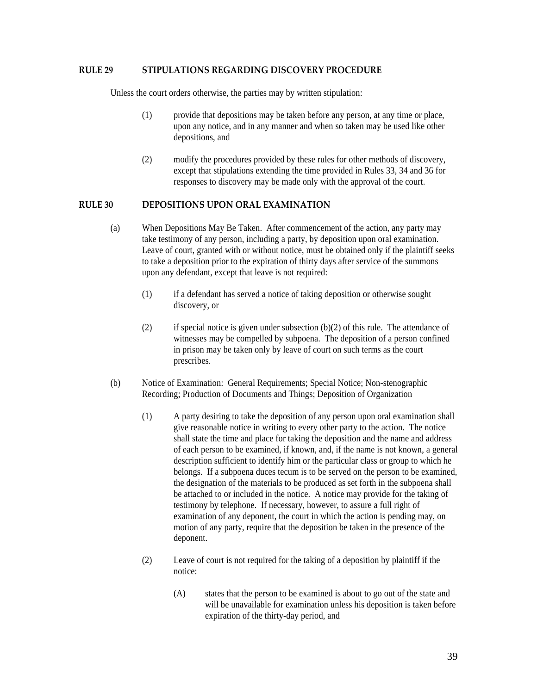### **RULE 29 STIPULATIONS REGARDING DISCOVERY PROCEDURE**

Unless the court orders otherwise, the parties may by written stipulation:

- (1) provide that depositions may be taken before any person, at any time or place, upon any notice, and in any manner and when so taken may be used like other depositions, and
- (2) modify the procedures provided by these rules for other methods of discovery, except that stipulations extending the time provided in Rules 33, 34 and 36 for responses to discovery may be made only with the approval of the court.

### **RULE 30 DEPOSITIONS UPON ORAL EXAMINATION**

- (a) When Depositions May Be Taken. After commencement of the action, any party may take testimony of any person, including a party, by deposition upon oral examination. Leave of court, granted with or without notice, must be obtained only if the plaintiff seeks to take a deposition prior to the expiration of thirty days after service of the summons upon any defendant, except that leave is not required:
	- (1) if a defendant has served a notice of taking deposition or otherwise sought discovery, or
	- (2) if special notice is given under subsection  $(b)(2)$  of this rule. The attendance of witnesses may be compelled by subpoena. The deposition of a person confined in prison may be taken only by leave of court on such terms as the court prescribes.
- (b) Notice of Examination: General Requirements; Special Notice; Non-stenographic Recording; Production of Documents and Things; Deposition of Organization
	- (1) A party desiring to take the deposition of any person upon oral examination shall give reasonable notice in writing to every other party to the action. The notice shall state the time and place for taking the deposition and the name and address of each person to be examined, if known, and, if the name is not known, a general description sufficient to identify him or the particular class or group to which he belongs. If a subpoena duces tecum is to be served on the person to be examined, the designation of the materials to be produced as set forth in the subpoena shall be attached to or included in the notice. A notice may provide for the taking of testimony by telephone. If necessary, however, to assure a full right of examination of any deponent, the court in which the action is pending may, on motion of any party, require that the deposition be taken in the presence of the deponent.
	- (2) Leave of court is not required for the taking of a deposition by plaintiff if the notice:
		- (A) states that the person to be examined is about to go out of the state and will be unavailable for examination unless his deposition is taken before expiration of the thirty-day period, and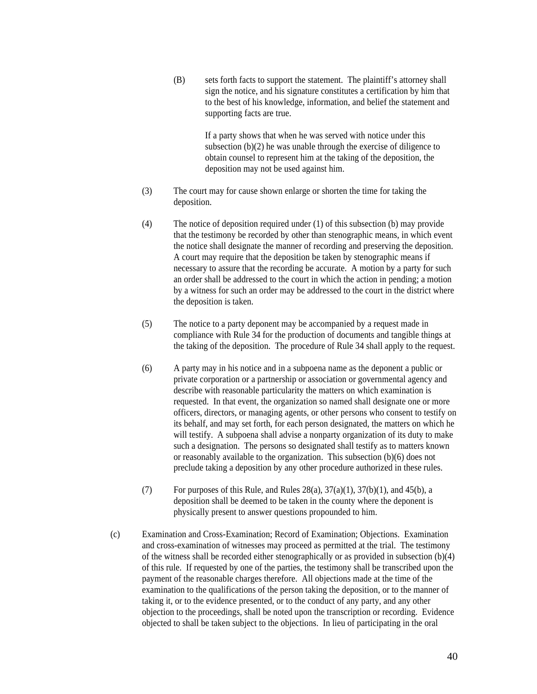(B) sets forth facts to support the statement. The plaintiff's attorney shall sign the notice, and his signature constitutes a certification by him that to the best of his knowledge, information, and belief the statement and supporting facts are true.

> If a party shows that when he was served with notice under this subsection (b)(2) he was unable through the exercise of diligence to obtain counsel to represent him at the taking of the deposition, the deposition may not be used against him.

- (3) The court may for cause shown enlarge or shorten the time for taking the deposition.
- (4) The notice of deposition required under (1) of this subsection (b) may provide that the testimony be recorded by other than stenographic means, in which event the notice shall designate the manner of recording and preserving the deposition. A court may require that the deposition be taken by stenographic means if necessary to assure that the recording be accurate. A motion by a party for such an order shall be addressed to the court in which the action in pending; a motion by a witness for such an order may be addressed to the court in the district where the deposition is taken.
- (5) The notice to a party deponent may be accompanied by a request made in compliance with Rule 34 for the production of documents and tangible things at the taking of the deposition. The procedure of Rule 34 shall apply to the request.
- (6) A party may in his notice and in a subpoena name as the deponent a public or private corporation or a partnership or association or governmental agency and describe with reasonable particularity the matters on which examination is requested. In that event, the organization so named shall designate one or more officers, directors, or managing agents, or other persons who consent to testify on its behalf, and may set forth, for each person designated, the matters on which he will testify. A subpoena shall advise a nonparty organization of its duty to make such a designation. The persons so designated shall testify as to matters known or reasonably available to the organization. This subsection (b)(6) does not preclude taking a deposition by any other procedure authorized in these rules.
- (7) For purposes of this Rule, and Rules  $28(a)$ ,  $37(a)(1)$ ,  $37(b)(1)$ , and  $45(b)$ , a deposition shall be deemed to be taken in the county where the deponent is physically present to answer questions propounded to him.
- (c) Examination and Cross-Examination; Record of Examination; Objections. Examination and cross-examination of witnesses may proceed as permitted at the trial. The testimony of the witness shall be recorded either stenographically or as provided in subsection (b)(4) of this rule. If requested by one of the parties, the testimony shall be transcribed upon the payment of the reasonable charges therefore. All objections made at the time of the examination to the qualifications of the person taking the deposition, or to the manner of taking it, or to the evidence presented, or to the conduct of any party, and any other objection to the proceedings, shall be noted upon the transcription or recording. Evidence objected to shall be taken subject to the objections. In lieu of participating in the oral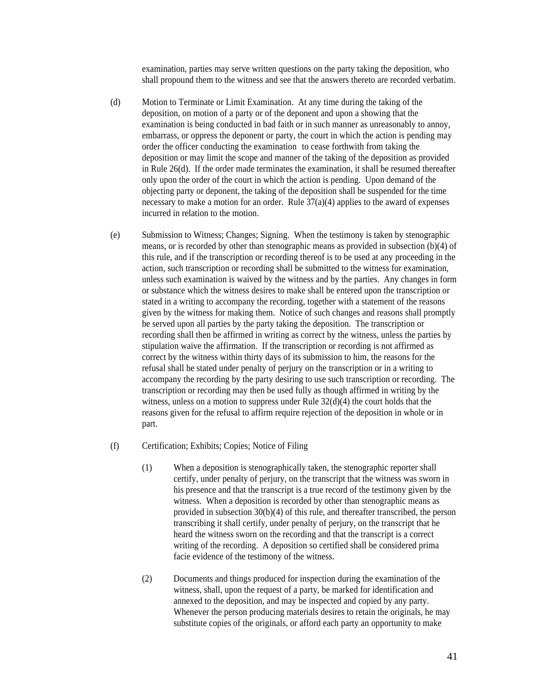examination, parties may serve written questions on the party taking the deposition, who shall propound them to the witness and see that the answers thereto are recorded verbatim.

- (d) Motion to Terminate or Limit Examination. At any time during the taking of the deposition, on motion of a party or of the deponent and upon a showing that the examination is being conducted in bad faith or in such manner as unreasonably to annoy, embarrass, or oppress the deponent or party, the court in which the action is pending may order the officer conducting the examination to cease forthwith from taking the deposition or may limit the scope and manner of the taking of the deposition as provided in Rule 26(d). If the order made terminates the examination, it shall be resumed thereafter only upon the order of the court in which the action is pending. Upon demand of the objecting party or deponent, the taking of the deposition shall be suspended for the time necessary to make a motion for an order. Rule 37(a)(4) applies to the award of expenses incurred in relation to the motion.
- (e) Submission to Witness; Changes; Signing. When the testimony is taken by stenographic means, or is recorded by other than stenographic means as provided in subsection (b)(4) of this rule, and if the transcription or recording thereof is to be used at any proceeding in the action, such transcription or recording shall be submitted to the witness for examination, unless such examination is waived by the witness and by the parties. Any changes in form or substance which the witness desires to make shall be entered upon the transcription or stated in a writing to accompany the recording, together with a statement of the reasons given by the witness for making them. Notice of such changes and reasons shall promptly be served upon all parties by the party taking the deposition. The transcription or recording shall then be affirmed in writing as correct by the witness, unless the parties by stipulation waive the affirmation. If the transcription or recording is not affirmed as correct by the witness within thirty days of its submission to him, the reasons for the refusal shall be stated under penalty of perjury on the transcription or in a writing to accompany the recording by the party desiring to use such transcription or recording. The transcription or recording may then be used fully as though affirmed in writing by the witness, unless on a motion to suppress under Rule 32(d)(4) the court holds that the reasons given for the refusal to affirm require rejection of the deposition in whole or in part.
- (f) Certification; Exhibits; Copies; Notice of Filing
	- (1) When a deposition is stenographically taken, the stenographic reporter shall certify, under penalty of perjury, on the transcript that the witness was sworn in his presence and that the transcript is a true record of the testimony given by the witness. When a deposition is recorded by other than stenographic means as provided in subsection 30(b)(4) of this rule, and thereafter transcribed, the person transcribing it shall certify, under penalty of perjury, on the transcript that he heard the witness sworn on the recording and that the transcript is a correct writing of the recording. A deposition so certified shall be considered prima facie evidence of the testimony of the witness.
	- (2) Documents and things produced for inspection during the examination of the witness, shall, upon the request of a party, be marked for identification and annexed to the deposition, and may be inspected and copied by any party. Whenever the person producing materials desires to retain the originals, he may substitute copies of the originals, or afford each party an opportunity to make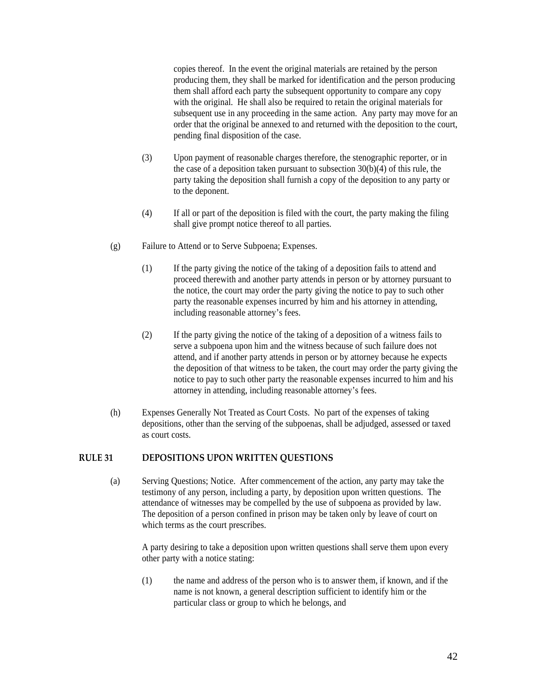copies thereof. In the event the original materials are retained by the person producing them, they shall be marked for identification and the person producing them shall afford each party the subsequent opportunity to compare any copy with the original. He shall also be required to retain the original materials for subsequent use in any proceeding in the same action. Any party may move for an order that the original be annexed to and returned with the deposition to the court, pending final disposition of the case.

- (3) Upon payment of reasonable charges therefore, the stenographic reporter, or in the case of a deposition taken pursuant to subsection  $30(b)(4)$  of this rule, the party taking the deposition shall furnish a copy of the deposition to any party or to the deponent.
- (4) If all or part of the deposition is filed with the court, the party making the filing shall give prompt notice thereof to all parties.
- (g) Failure to Attend or to Serve Subpoena; Expenses.
	- (1) If the party giving the notice of the taking of a deposition fails to attend and proceed therewith and another party attends in person or by attorney pursuant to the notice, the court may order the party giving the notice to pay to such other party the reasonable expenses incurred by him and his attorney in attending, including reasonable attorney's fees.
	- (2) If the party giving the notice of the taking of a deposition of a witness fails to serve a subpoena upon him and the witness because of such failure does not attend, and if another party attends in person or by attorney because he expects the deposition of that witness to be taken, the court may order the party giving the notice to pay to such other party the reasonable expenses incurred to him and his attorney in attending, including reasonable attorney's fees.
- (h) Expenses Generally Not Treated as Court Costs. No part of the expenses of taking depositions, other than the serving of the subpoenas, shall be adjudged, assessed or taxed as court costs.

# **RULE 31 DEPOSITIONS UPON WRITTEN QUESTIONS**

(a) Serving Questions; Notice. After commencement of the action, any party may take the testimony of any person, including a party, by deposition upon written questions. The attendance of witnesses may be compelled by the use of subpoena as provided by law. The deposition of a person confined in prison may be taken only by leave of court on which terms as the court prescribes.

A party desiring to take a deposition upon written questions shall serve them upon every other party with a notice stating:

(1) the name and address of the person who is to answer them, if known, and if the name is not known, a general description sufficient to identify him or the particular class or group to which he belongs, and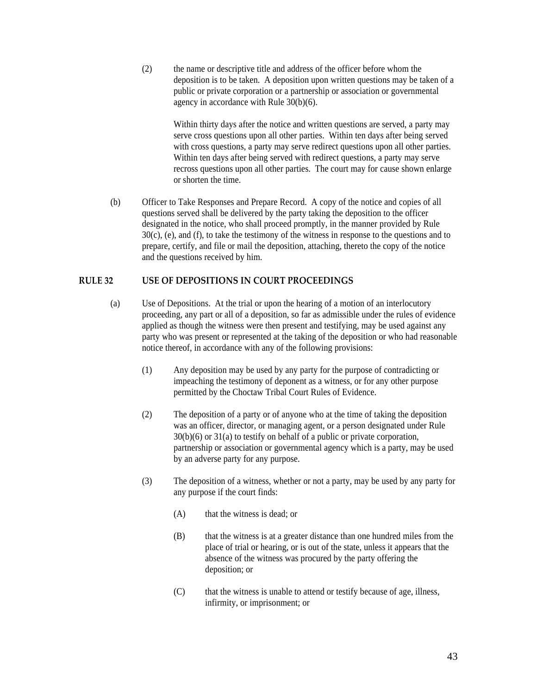(2) the name or descriptive title and address of the officer before whom the deposition is to be taken. A deposition upon written questions may be taken of a public or private corporation or a partnership or association or governmental agency in accordance with Rule 30(b)(6).

Within thirty days after the notice and written questions are served, a party may serve cross questions upon all other parties. Within ten days after being served with cross questions, a party may serve redirect questions upon all other parties. Within ten days after being served with redirect questions, a party may serve recross questions upon all other parties. The court may for cause shown enlarge or shorten the time.

(b) Officer to Take Responses and Prepare Record. A copy of the notice and copies of all questions served shall be delivered by the party taking the deposition to the officer designated in the notice, who shall proceed promptly, in the manner provided by Rule 30(c), (e), and (f), to take the testimony of the witness in response to the questions and to prepare, certify, and file or mail the deposition, attaching, thereto the copy of the notice and the questions received by him.

### **RULE 32 USE OF DEPOSITIONS IN COURT PROCEEDINGS**

- (a) Use of Depositions. At the trial or upon the hearing of a motion of an interlocutory proceeding, any part or all of a deposition, so far as admissible under the rules of evidence applied as though the witness were then present and testifying, may be used against any party who was present or represented at the taking of the deposition or who had reasonable notice thereof, in accordance with any of the following provisions:
	- (1) Any deposition may be used by any party for the purpose of contradicting or impeaching the testimony of deponent as a witness, or for any other purpose permitted by the Choctaw Tribal Court Rules of Evidence.
	- (2) The deposition of a party or of anyone who at the time of taking the deposition was an officer, director, or managing agent, or a person designated under Rule 30(b)(6) or 31(a) to testify on behalf of a public or private corporation, partnership or association or governmental agency which is a party, may be used by an adverse party for any purpose.
	- (3) The deposition of a witness, whether or not a party, may be used by any party for any purpose if the court finds:
		- (A) that the witness is dead; or
		- (B) that the witness is at a greater distance than one hundred miles from the place of trial or hearing, or is out of the state, unless it appears that the absence of the witness was procured by the party offering the deposition; or
		- (C) that the witness is unable to attend or testify because of age, illness, infirmity, or imprisonment; or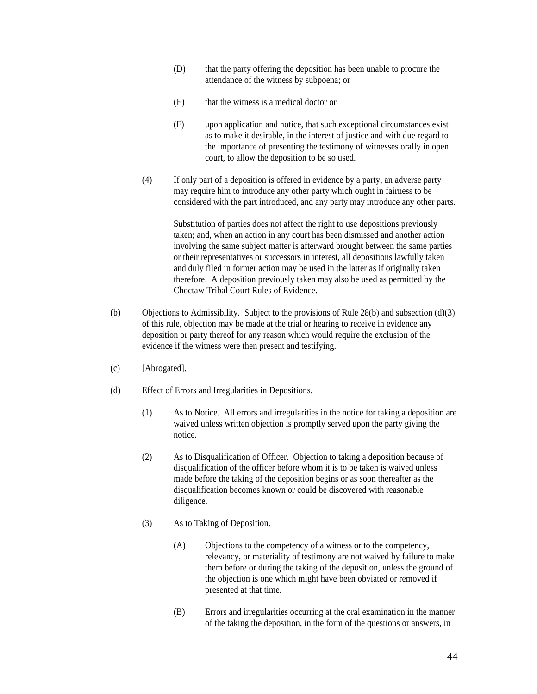- (D) that the party offering the deposition has been unable to procure the attendance of the witness by subpoena; or
- (E) that the witness is a medical doctor or
- (F) upon application and notice, that such exceptional circumstances exist as to make it desirable, in the interest of justice and with due regard to the importance of presenting the testimony of witnesses orally in open court, to allow the deposition to be so used.
- (4) If only part of a deposition is offered in evidence by a party, an adverse party may require him to introduce any other party which ought in fairness to be considered with the part introduced, and any party may introduce any other parts.

Substitution of parties does not affect the right to use depositions previously taken; and, when an action in any court has been dismissed and another action involving the same subject matter is afterward brought between the same parties or their representatives or successors in interest, all depositions lawfully taken and duly filed in former action may be used in the latter as if originally taken therefore. A deposition previously taken may also be used as permitted by the Choctaw Tribal Court Rules of Evidence.

- (b) Objections to Admissibility. Subject to the provisions of Rule 28(b) and subsection  $(d)(3)$ of this rule, objection may be made at the trial or hearing to receive in evidence any deposition or party thereof for any reason which would require the exclusion of the evidence if the witness were then present and testifying.
- (c) [Abrogated].
- (d) Effect of Errors and Irregularities in Depositions.
	- (1) As to Notice. All errors and irregularities in the notice for taking a deposition are waived unless written objection is promptly served upon the party giving the notice.
	- (2) As to Disqualification of Officer. Objection to taking a deposition because of disqualification of the officer before whom it is to be taken is waived unless made before the taking of the deposition begins or as soon thereafter as the disqualification becomes known or could be discovered with reasonable diligence.
	- (3) As to Taking of Deposition.
		- (A) Objections to the competency of a witness or to the competency, relevancy, or materiality of testimony are not waived by failure to make them before or during the taking of the deposition, unless the ground of the objection is one which might have been obviated or removed if presented at that time.
		- (B) Errors and irregularities occurring at the oral examination in the manner of the taking the deposition, in the form of the questions or answers, in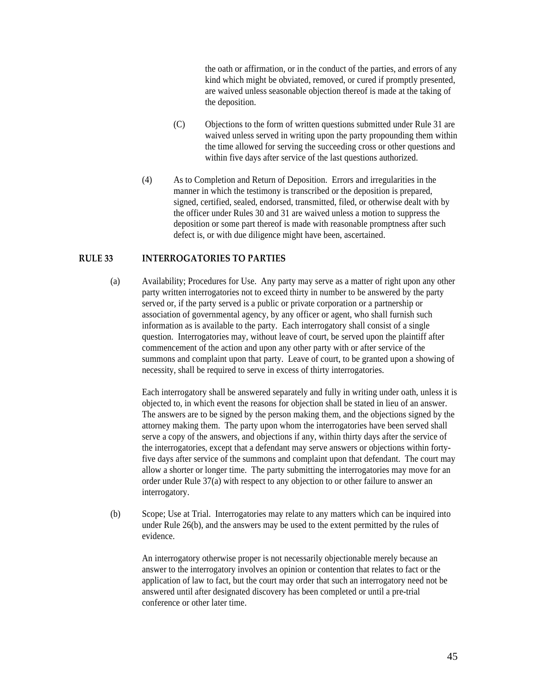the oath or affirmation, or in the conduct of the parties, and errors of any kind which might be obviated, removed, or cured if promptly presented, are waived unless seasonable objection thereof is made at the taking of the deposition.

- (C) Objections to the form of written questions submitted under Rule 31 are waived unless served in writing upon the party propounding them within the time allowed for serving the succeeding cross or other questions and within five days after service of the last questions authorized.
- (4) As to Completion and Return of Deposition. Errors and irregularities in the manner in which the testimony is transcribed or the deposition is prepared, signed, certified, sealed, endorsed, transmitted, filed, or otherwise dealt with by the officer under Rules 30 and 31 are waived unless a motion to suppress the deposition or some part thereof is made with reasonable promptness after such defect is, or with due diligence might have been, ascertained.

# **RULE 33 INTERROGATORIES TO PARTIES**

(a) Availability; Procedures for Use. Any party may serve as a matter of right upon any other party written interrogatories not to exceed thirty in number to be answered by the party served or, if the party served is a public or private corporation or a partnership or association of governmental agency, by any officer or agent, who shall furnish such information as is available to the party. Each interrogatory shall consist of a single question. Interrogatories may, without leave of court, be served upon the plaintiff after commencement of the action and upon any other party with or after service of the summons and complaint upon that party. Leave of court, to be granted upon a showing of necessity, shall be required to serve in excess of thirty interrogatories.

Each interrogatory shall be answered separately and fully in writing under oath, unless it is objected to, in which event the reasons for objection shall be stated in lieu of an answer. The answers are to be signed by the person making them, and the objections signed by the attorney making them. The party upon whom the interrogatories have been served shall serve a copy of the answers, and objections if any, within thirty days after the service of the interrogatories, except that a defendant may serve answers or objections within fortyfive days after service of the summons and complaint upon that defendant. The court may allow a shorter or longer time. The party submitting the interrogatories may move for an order under Rule 37(a) with respect to any objection to or other failure to answer an interrogatory.

(b) Scope; Use at Trial. Interrogatories may relate to any matters which can be inquired into under Rule 26(b), and the answers may be used to the extent permitted by the rules of evidence.

An interrogatory otherwise proper is not necessarily objectionable merely because an answer to the interrogatory involves an opinion or contention that relates to fact or the application of law to fact, but the court may order that such an interrogatory need not be answered until after designated discovery has been completed or until a pre-trial conference or other later time.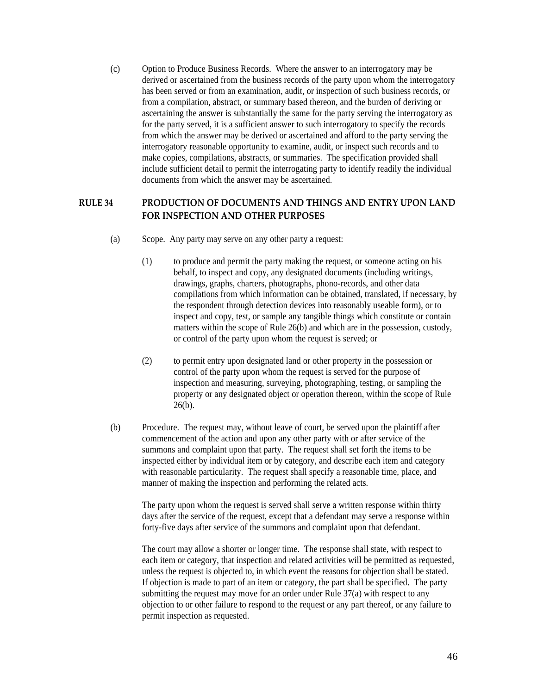(c) Option to Produce Business Records. Where the answer to an interrogatory may be derived or ascertained from the business records of the party upon whom the interrogatory has been served or from an examination, audit, or inspection of such business records, or from a compilation, abstract, or summary based thereon, and the burden of deriving or ascertaining the answer is substantially the same for the party serving the interrogatory as for the party served, it is a sufficient answer to such interrogatory to specify the records from which the answer may be derived or ascertained and afford to the party serving the interrogatory reasonable opportunity to examine, audit, or inspect such records and to make copies, compilations, abstracts, or summaries. The specification provided shall include sufficient detail to permit the interrogating party to identify readily the individual documents from which the answer may be ascertained.

# **RULE 34 PRODUCTION OF DOCUMENTS AND THINGS AND ENTRY UPON LAND FOR INSPECTION AND OTHER PURPOSES**

- (a) Scope. Any party may serve on any other party a request:
	- (1) to produce and permit the party making the request, or someone acting on his behalf, to inspect and copy, any designated documents (including writings, drawings, graphs, charters, photographs, phono-records, and other data compilations from which information can be obtained, translated, if necessary, by the respondent through detection devices into reasonably useable form), or to inspect and copy, test, or sample any tangible things which constitute or contain matters within the scope of Rule 26(b) and which are in the possession, custody, or control of the party upon whom the request is served; or
	- (2) to permit entry upon designated land or other property in the possession or control of the party upon whom the request is served for the purpose of inspection and measuring, surveying, photographing, testing, or sampling the property or any designated object or operation thereon, within the scope of Rule  $26(b)$ .
- (b) Procedure. The request may, without leave of court, be served upon the plaintiff after commencement of the action and upon any other party with or after service of the summons and complaint upon that party. The request shall set forth the items to be inspected either by individual item or by category, and describe each item and category with reasonable particularity. The request shall specify a reasonable time, place, and manner of making the inspection and performing the related acts.

The party upon whom the request is served shall serve a written response within thirty days after the service of the request, except that a defendant may serve a response within forty-five days after service of the summons and complaint upon that defendant.

The court may allow a shorter or longer time. The response shall state, with respect to each item or category, that inspection and related activities will be permitted as requested, unless the request is objected to, in which event the reasons for objection shall be stated. If objection is made to part of an item or category, the part shall be specified. The party submitting the request may move for an order under Rule 37(a) with respect to any objection to or other failure to respond to the request or any part thereof, or any failure to permit inspection as requested.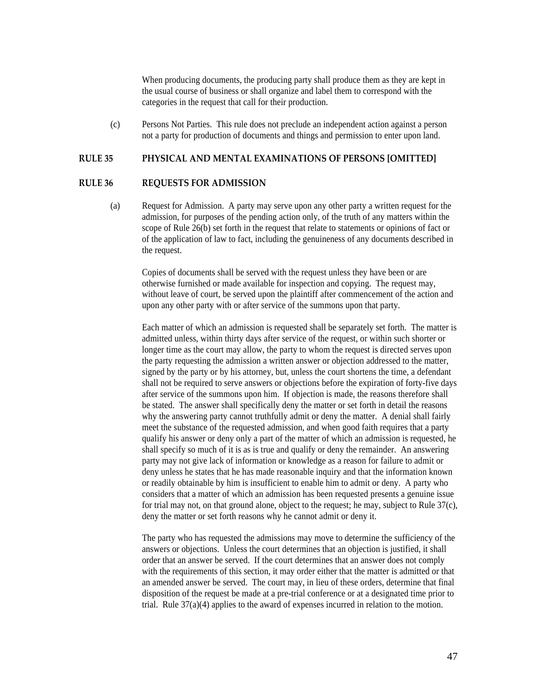When producing documents, the producing party shall produce them as they are kept in the usual course of business or shall organize and label them to correspond with the categories in the request that call for their production.

(c) Persons Not Parties. This rule does not preclude an independent action against a person not a party for production of documents and things and permission to enter upon land.

### **RULE 35 PHYSICAL AND MENTAL EXAMINATIONS OF PERSONS [OMITTED]**

#### **RULE 36 REQUESTS FOR ADMISSION**

(a) Request for Admission. A party may serve upon any other party a written request for the admission, for purposes of the pending action only, of the truth of any matters within the scope of Rule 26(b) set forth in the request that relate to statements or opinions of fact or of the application of law to fact, including the genuineness of any documents described in the request.

Copies of documents shall be served with the request unless they have been or are otherwise furnished or made available for inspection and copying. The request may, without leave of court, be served upon the plaintiff after commencement of the action and upon any other party with or after service of the summons upon that party.

Each matter of which an admission is requested shall be separately set forth. The matter is admitted unless, within thirty days after service of the request, or within such shorter or longer time as the court may allow, the party to whom the request is directed serves upon the party requesting the admission a written answer or objection addressed to the matter, signed by the party or by his attorney, but, unless the court shortens the time, a defendant shall not be required to serve answers or objections before the expiration of forty-five days after service of the summons upon him. If objection is made, the reasons therefore shall be stated. The answer shall specifically deny the matter or set forth in detail the reasons why the answering party cannot truthfully admit or deny the matter. A denial shall fairly meet the substance of the requested admission, and when good faith requires that a party qualify his answer or deny only a part of the matter of which an admission is requested, he shall specify so much of it is as is true and qualify or deny the remainder. An answering party may not give lack of information or knowledge as a reason for failure to admit or deny unless he states that he has made reasonable inquiry and that the information known or readily obtainable by him is insufficient to enable him to admit or deny. A party who considers that a matter of which an admission has been requested presents a genuine issue for trial may not, on that ground alone, object to the request; he may, subject to Rule 37(c), deny the matter or set forth reasons why he cannot admit or deny it.

The party who has requested the admissions may move to determine the sufficiency of the answers or objections. Unless the court determines that an objection is justified, it shall order that an answer be served. If the court determines that an answer does not comply with the requirements of this section, it may order either that the matter is admitted or that an amended answer be served. The court may, in lieu of these orders, determine that final disposition of the request be made at a pre-trial conference or at a designated time prior to trial. Rule 37(a)(4) applies to the award of expenses incurred in relation to the motion.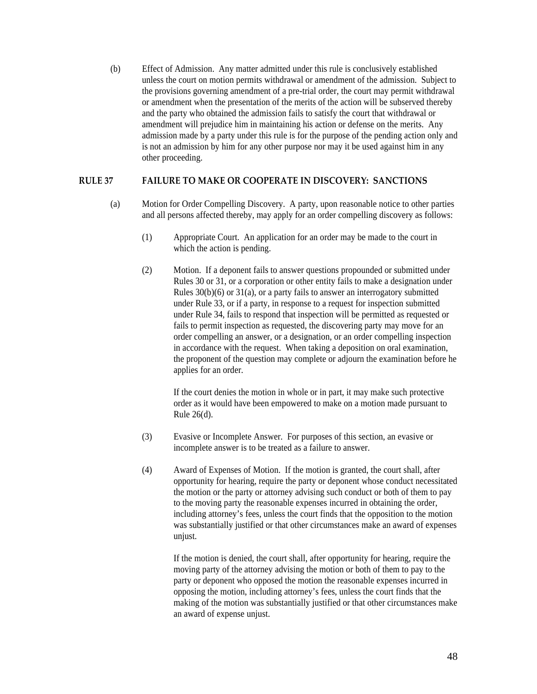(b) Effect of Admission. Any matter admitted under this rule is conclusively established unless the court on motion permits withdrawal or amendment of the admission. Subject to the provisions governing amendment of a pre-trial order, the court may permit withdrawal or amendment when the presentation of the merits of the action will be subserved thereby and the party who obtained the admission fails to satisfy the court that withdrawal or amendment will prejudice him in maintaining his action or defense on the merits. Any admission made by a party under this rule is for the purpose of the pending action only and is not an admission by him for any other purpose nor may it be used against him in any other proceeding.

# **RULE 37 FAILURE TO MAKE OR COOPERATE IN DISCOVERY: SANCTIONS**

- (a) Motion for Order Compelling Discovery. A party, upon reasonable notice to other parties and all persons affected thereby, may apply for an order compelling discovery as follows:
	- (1) Appropriate Court. An application for an order may be made to the court in which the action is pending.
	- (2) Motion. If a deponent fails to answer questions propounded or submitted under Rules 30 or 31, or a corporation or other entity fails to make a designation under Rules  $30(b)(6)$  or  $31(a)$ , or a party fails to answer an interrogatory submitted under Rule 33, or if a party, in response to a request for inspection submitted under Rule 34, fails to respond that inspection will be permitted as requested or fails to permit inspection as requested, the discovering party may move for an order compelling an answer, or a designation, or an order compelling inspection in accordance with the request. When taking a deposition on oral examination, the proponent of the question may complete or adjourn the examination before he applies for an order.

If the court denies the motion in whole or in part, it may make such protective order as it would have been empowered to make on a motion made pursuant to Rule 26(d).

- (3) Evasive or Incomplete Answer. For purposes of this section, an evasive or incomplete answer is to be treated as a failure to answer.
- (4) Award of Expenses of Motion. If the motion is granted, the court shall, after opportunity for hearing, require the party or deponent whose conduct necessitated the motion or the party or attorney advising such conduct or both of them to pay to the moving party the reasonable expenses incurred in obtaining the order, including attorney's fees, unless the court finds that the opposition to the motion was substantially justified or that other circumstances make an award of expenses unjust.

If the motion is denied, the court shall, after opportunity for hearing, require the moving party of the attorney advising the motion or both of them to pay to the party or deponent who opposed the motion the reasonable expenses incurred in opposing the motion, including attorney's fees, unless the court finds that the making of the motion was substantially justified or that other circumstances make an award of expense unjust.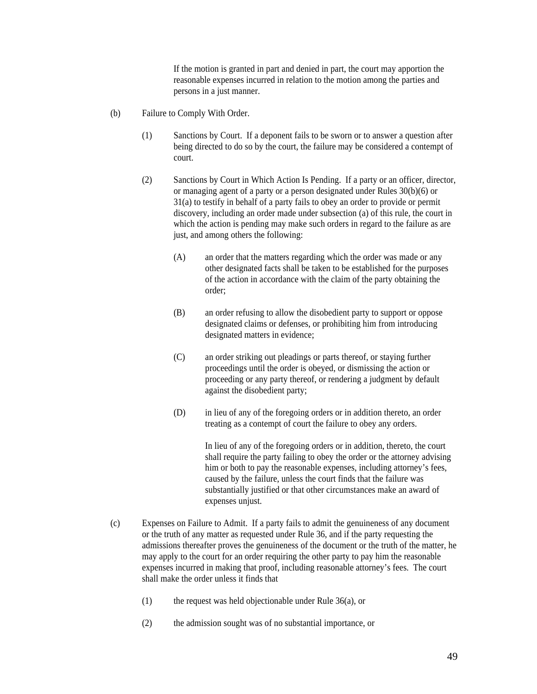If the motion is granted in part and denied in part, the court may apportion the reasonable expenses incurred in relation to the motion among the parties and persons in a just manner.

- (b) Failure to Comply With Order.
	- (1) Sanctions by Court. If a deponent fails to be sworn or to answer a question after being directed to do so by the court, the failure may be considered a contempt of court.
	- (2) Sanctions by Court in Which Action Is Pending. If a party or an officer, director, or managing agent of a party or a person designated under Rules 30(b)(6) or 31(a) to testify in behalf of a party fails to obey an order to provide or permit discovery, including an order made under subsection (a) of this rule, the court in which the action is pending may make such orders in regard to the failure as are just, and among others the following:
		- (A) an order that the matters regarding which the order was made or any other designated facts shall be taken to be established for the purposes of the action in accordance with the claim of the party obtaining the order;
		- (B) an order refusing to allow the disobedient party to support or oppose designated claims or defenses, or prohibiting him from introducing designated matters in evidence;
		- (C) an order striking out pleadings or parts thereof, or staying further proceedings until the order is obeyed, or dismissing the action or proceeding or any party thereof, or rendering a judgment by default against the disobedient party;
		- (D) in lieu of any of the foregoing orders or in addition thereto, an order treating as a contempt of court the failure to obey any orders.

In lieu of any of the foregoing orders or in addition, thereto, the court shall require the party failing to obey the order or the attorney advising him or both to pay the reasonable expenses, including attorney's fees, caused by the failure, unless the court finds that the failure was substantially justified or that other circumstances make an award of expenses unjust.

- (c) Expenses on Failure to Admit. If a party fails to admit the genuineness of any document or the truth of any matter as requested under Rule 36, and if the party requesting the admissions thereafter proves the genuineness of the document or the truth of the matter, he may apply to the court for an order requiring the other party to pay him the reasonable expenses incurred in making that proof, including reasonable attorney's fees. The court shall make the order unless it finds that
	- (1) the request was held objectionable under Rule 36(a), or
	- (2) the admission sought was of no substantial importance, or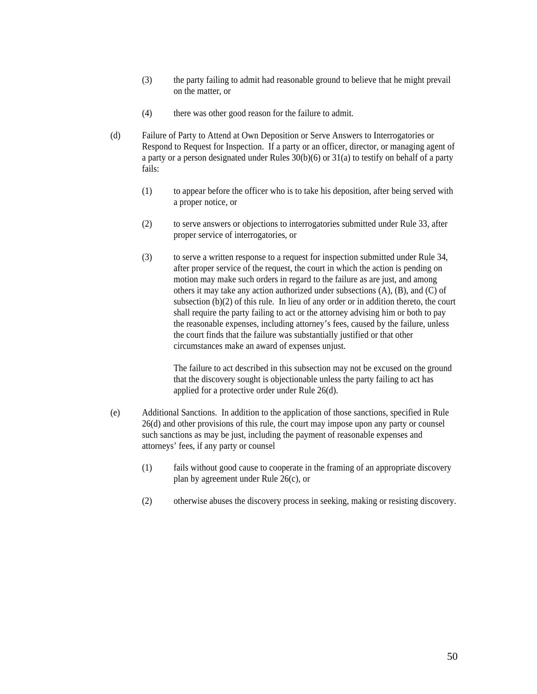- (3) the party failing to admit had reasonable ground to believe that he might prevail on the matter, or
- (4) there was other good reason for the failure to admit.
- (d) Failure of Party to Attend at Own Deposition or Serve Answers to Interrogatories or Respond to Request for Inspection. If a party or an officer, director, or managing agent of a party or a person designated under Rules  $30(b)(6)$  or  $31(a)$  to testify on behalf of a party fails:
	- (1) to appear before the officer who is to take his deposition, after being served with a proper notice, or
	- (2) to serve answers or objections to interrogatories submitted under Rule 33, after proper service of interrogatories, or
	- (3) to serve a written response to a request for inspection submitted under Rule 34, after proper service of the request, the court in which the action is pending on motion may make such orders in regard to the failure as are just, and among others it may take any action authorized under subsections (A), (B), and (C) of subsection (b)(2) of this rule. In lieu of any order or in addition thereto, the court shall require the party failing to act or the attorney advising him or both to pay the reasonable expenses, including attorney's fees, caused by the failure, unless the court finds that the failure was substantially justified or that other circumstances make an award of expenses unjust.

The failure to act described in this subsection may not be excused on the ground that the discovery sought is objectionable unless the party failing to act has applied for a protective order under Rule 26(d).

- (e) Additional Sanctions. In addition to the application of those sanctions, specified in Rule 26(d) and other provisions of this rule, the court may impose upon any party or counsel such sanctions as may be just, including the payment of reasonable expenses and attorneys' fees, if any party or counsel
	- (1) fails without good cause to cooperate in the framing of an appropriate discovery plan by agreement under Rule 26(c), or
	- (2) otherwise abuses the discovery process in seeking, making or resisting discovery.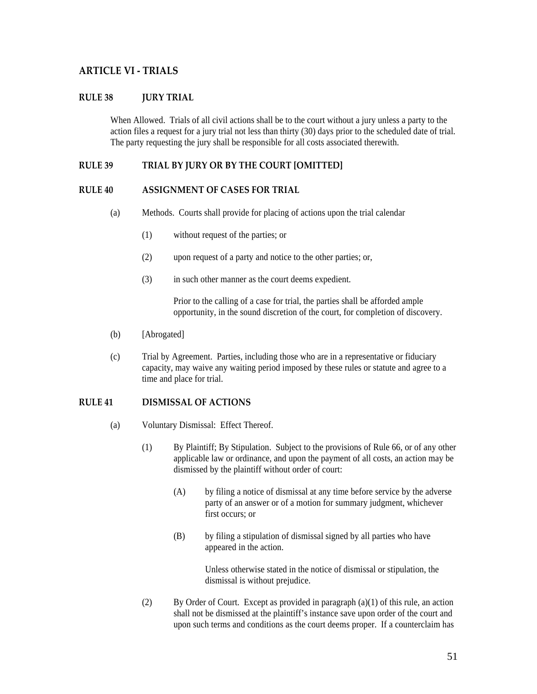# **ARTICLE VI ‐ TRIALS**

### **RULE 38 JURY TRIAL**

When Allowed. Trials of all civil actions shall be to the court without a jury unless a party to the action files a request for a jury trial not less than thirty (30) days prior to the scheduled date of trial. The party requesting the jury shall be responsible for all costs associated therewith.

### **RULE 39 TRIAL BY JURY OR BY THE COURT [OMITTED]**

### **RULE 40 ASSIGNMENT OF CASES FOR TRIAL**

- (a) Methods. Courts shall provide for placing of actions upon the trial calendar
	- (1) without request of the parties; or
	- (2) upon request of a party and notice to the other parties; or,
	- (3) in such other manner as the court deems expedient.

Prior to the calling of a case for trial, the parties shall be afforded ample opportunity, in the sound discretion of the court, for completion of discovery.

- (b) [Abrogated]
- (c) Trial by Agreement. Parties, including those who are in a representative or fiduciary capacity, may waive any waiting period imposed by these rules or statute and agree to a time and place for trial.

# **RULE 41 DISMISSAL OF ACTIONS**

- (a) Voluntary Dismissal: Effect Thereof.
	- (1) By Plaintiff; By Stipulation. Subject to the provisions of Rule 66, or of any other applicable law or ordinance, and upon the payment of all costs, an action may be dismissed by the plaintiff without order of court:
		- (A) by filing a notice of dismissal at any time before service by the adverse party of an answer or of a motion for summary judgment, whichever first occurs; or
		- (B) by filing a stipulation of dismissal signed by all parties who have appeared in the action.

Unless otherwise stated in the notice of dismissal or stipulation, the dismissal is without prejudice.

(2) By Order of Court. Except as provided in paragraph  $(a)(1)$  of this rule, an action shall not be dismissed at the plaintiff's instance save upon order of the court and upon such terms and conditions as the court deems proper. If a counterclaim has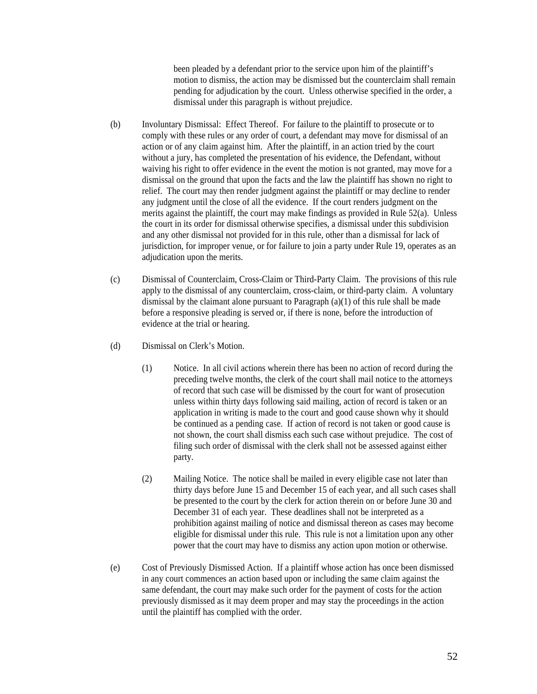been pleaded by a defendant prior to the service upon him of the plaintiff's motion to dismiss, the action may be dismissed but the counterclaim shall remain pending for adjudication by the court. Unless otherwise specified in the order, a dismissal under this paragraph is without prejudice.

- (b) Involuntary Dismissal: Effect Thereof. For failure to the plaintiff to prosecute or to comply with these rules or any order of court, a defendant may move for dismissal of an action or of any claim against him. After the plaintiff, in an action tried by the court without a jury, has completed the presentation of his evidence, the Defendant, without waiving his right to offer evidence in the event the motion is not granted, may move for a dismissal on the ground that upon the facts and the law the plaintiff has shown no right to relief. The court may then render judgment against the plaintiff or may decline to render any judgment until the close of all the evidence. If the court renders judgment on the merits against the plaintiff, the court may make findings as provided in Rule 52(a). Unless the court in its order for dismissal otherwise specifies, a dismissal under this subdivision and any other dismissal not provided for in this rule, other than a dismissal for lack of jurisdiction, for improper venue, or for failure to join a party under Rule 19, operates as an adjudication upon the merits.
- (c) Dismissal of Counterclaim, Cross-Claim or Third-Party Claim. The provisions of this rule apply to the dismissal of any counterclaim, cross-claim, or third-party claim. A voluntary dismissal by the claimant alone pursuant to Paragraph  $(a)(1)$  of this rule shall be made before a responsive pleading is served or, if there is none, before the introduction of evidence at the trial or hearing.
- (d) Dismissal on Clerk's Motion.
	- (1) Notice. In all civil actions wherein there has been no action of record during the preceding twelve months, the clerk of the court shall mail notice to the attorneys of record that such case will be dismissed by the court for want of prosecution unless within thirty days following said mailing, action of record is taken or an application in writing is made to the court and good cause shown why it should be continued as a pending case. If action of record is not taken or good cause is not shown, the court shall dismiss each such case without prejudice. The cost of filing such order of dismissal with the clerk shall not be assessed against either party.
	- (2) Mailing Notice. The notice shall be mailed in every eligible case not later than thirty days before June 15 and December 15 of each year, and all such cases shall be presented to the court by the clerk for action therein on or before June 30 and December 31 of each year. These deadlines shall not be interpreted as a prohibition against mailing of notice and dismissal thereon as cases may become eligible for dismissal under this rule. This rule is not a limitation upon any other power that the court may have to dismiss any action upon motion or otherwise.
- (e) Cost of Previously Dismissed Action. If a plaintiff whose action has once been dismissed in any court commences an action based upon or including the same claim against the same defendant, the court may make such order for the payment of costs for the action previously dismissed as it may deem proper and may stay the proceedings in the action until the plaintiff has complied with the order.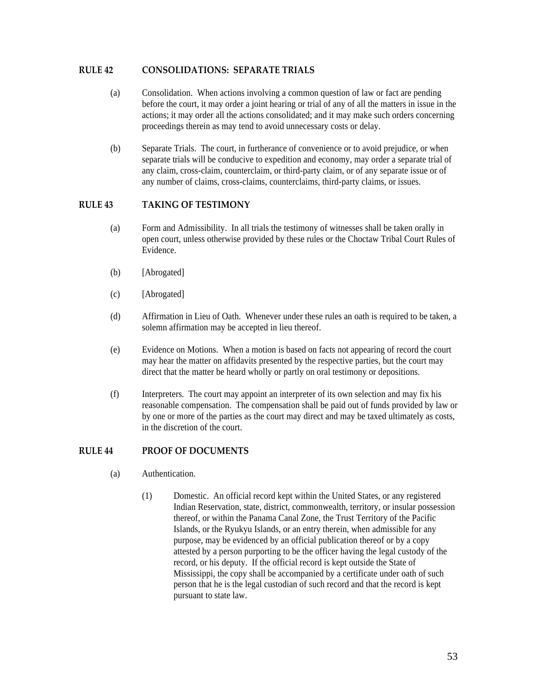# **RULE 42 CONSOLIDATIONS: SEPARATE TRIALS**

- (a) Consolidation. When actions involving a common question of law or fact are pending before the court, it may order a joint hearing or trial of any of all the matters in issue in the actions; it may order all the actions consolidated; and it may make such orders concerning proceedings therein as may tend to avoid unnecessary costs or delay.
- (b) Separate Trials. The court, in furtherance of convenience or to avoid prejudice, or when separate trials will be conducive to expedition and economy, may order a separate trial of any claim, cross-claim, counterclaim, or third-party claim, or of any separate issue or of any number of claims, cross-claims, counterclaims, third-party claims, or issues.

# **RULE 43 TAKING OF TESTIMONY**

- (a) Form and Admissibility. In all trials the testimony of witnesses shall be taken orally in open court, unless otherwise provided by these rules or the Choctaw Tribal Court Rules of Evidence.
- (b) [Abrogated]
- (c) [Abrogated]
- (d) Affirmation in Lieu of Oath. Whenever under these rules an oath is required to be taken, a solemn affirmation may be accepted in lieu thereof.
- (e) Evidence on Motions. When a motion is based on facts not appearing of record the court may hear the matter on affidavits presented by the respective parties, but the court may direct that the matter be heard wholly or partly on oral testimony or depositions.
- (f) Interpreters. The court may appoint an interpreter of its own selection and may fix his reasonable compensation. The compensation shall be paid out of funds provided by law or by one or more of the parties as the court may direct and may be taxed ultimately as costs, in the discretion of the court.

# **RULE 44 PROOF OF DOCUMENTS**

- (a) Authentication.
	- (1) Domestic. An official record kept within the United States, or any registered Indian Reservation, state, district, commonwealth, territory, or insular possession thereof, or within the Panama Canal Zone, the Trust Territory of the Pacific Islands, or the Ryukyu Islands, or an entry therein, when admissible for any purpose, may be evidenced by an official publication thereof or by a copy attested by a person purporting to be the officer having the legal custody of the record, or his deputy. If the official record is kept outside the State of Mississippi, the copy shall be accompanied by a certificate under oath of such person that he is the legal custodian of such record and that the record is kept pursuant to state law.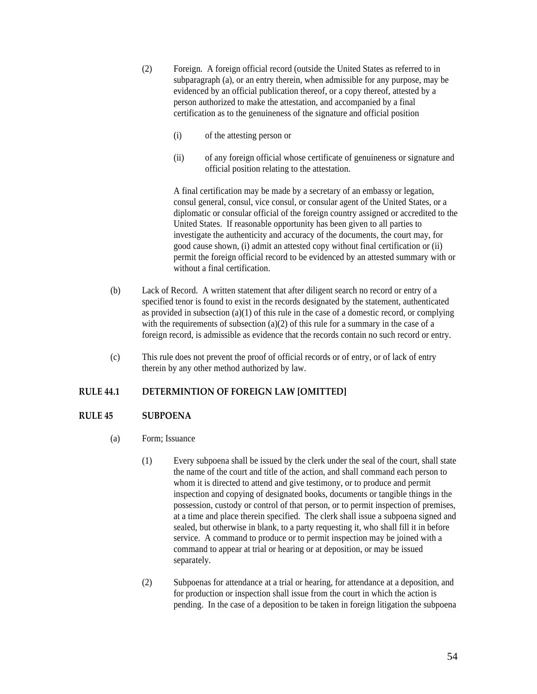- (2) Foreign. A foreign official record (outside the United States as referred to in subparagraph (a), or an entry therein, when admissible for any purpose, may be evidenced by an official publication thereof, or a copy thereof, attested by a person authorized to make the attestation, and accompanied by a final certification as to the genuineness of the signature and official position
	- (i) of the attesting person or
	- (ii) of any foreign official whose certificate of genuineness or signature and official position relating to the attestation.

A final certification may be made by a secretary of an embassy or legation, consul general, consul, vice consul, or consular agent of the United States, or a diplomatic or consular official of the foreign country assigned or accredited to the United States. If reasonable opportunity has been given to all parties to investigate the authenticity and accuracy of the documents, the court may, for good cause shown, (i) admit an attested copy without final certification or (ii) permit the foreign official record to be evidenced by an attested summary with or without a final certification.

- (b) Lack of Record. A written statement that after diligent search no record or entry of a specified tenor is found to exist in the records designated by the statement, authenticated as provided in subsection  $(a)(1)$  of this rule in the case of a domestic record, or complying with the requirements of subsection  $(a)(2)$  of this rule for a summary in the case of a foreign record, is admissible as evidence that the records contain no such record or entry.
- (c) This rule does not prevent the proof of official records or of entry, or of lack of entry therein by any other method authorized by law.

#### **RULE 44.1 DETERMINTION OF FOREIGN LAW [OMITTED]**

### **RULE 45 SUBPOENA**

- (a) Form; Issuance
	- (1) Every subpoena shall be issued by the clerk under the seal of the court, shall state the name of the court and title of the action, and shall command each person to whom it is directed to attend and give testimony, or to produce and permit inspection and copying of designated books, documents or tangible things in the possession, custody or control of that person, or to permit inspection of premises, at a time and place therein specified. The clerk shall issue a subpoena signed and sealed, but otherwise in blank, to a party requesting it, who shall fill it in before service. A command to produce or to permit inspection may be joined with a command to appear at trial or hearing or at deposition, or may be issued separately.
	- (2) Subpoenas for attendance at a trial or hearing, for attendance at a deposition, and for production or inspection shall issue from the court in which the action is pending. In the case of a deposition to be taken in foreign litigation the subpoena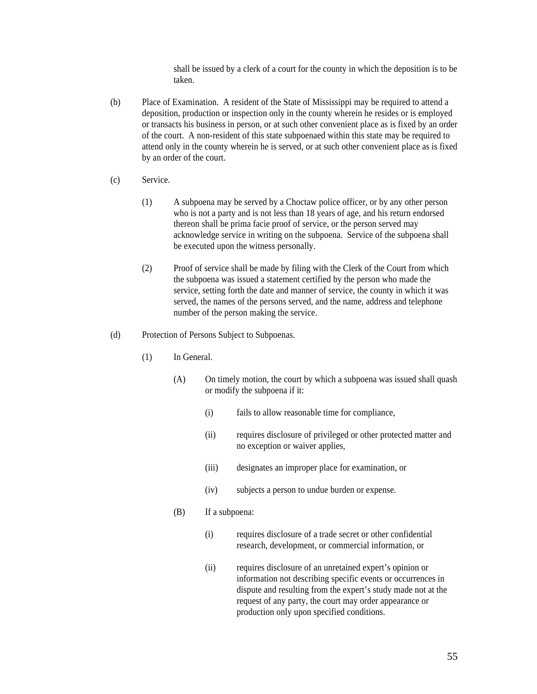shall be issued by a clerk of a court for the county in which the deposition is to be taken.

- (b) Place of Examination. A resident of the State of Mississippi may be required to attend a deposition, production or inspection only in the county wherein he resides or is employed or transacts his business in person, or at such other convenient place as is fixed by an order of the court. A non-resident of this state subpoenaed within this state may be required to attend only in the county wherein he is served, or at such other convenient place as is fixed by an order of the court.
- (c) Service.
	- (1) A subpoena may be served by a Choctaw police officer, or by any other person who is not a party and is not less than 18 years of age, and his return endorsed thereon shall be prima facie proof of service, or the person served may acknowledge service in writing on the subpoena. Service of the subpoena shall be executed upon the witness personally.
	- (2) Proof of service shall be made by filing with the Clerk of the Court from which the subpoena was issued a statement certified by the person who made the service, setting forth the date and manner of service, the county in which it was served, the names of the persons served, and the name, address and telephone number of the person making the service.
- (d) Protection of Persons Subject to Subpoenas.
	- (1) In General.
		- (A) On timely motion, the court by which a subpoena was issued shall quash or modify the subpoena if it:
			- (i) fails to allow reasonable time for compliance,
			- (ii) requires disclosure of privileged or other protected matter and no exception or waiver applies,
			- (iii) designates an improper place for examination, or
			- (iv) subjects a person to undue burden or expense.
		- (B) If a subpoena:
			- (i) requires disclosure of a trade secret or other confidential research, development, or commercial information, or
			- (ii) requires disclosure of an unretained expert's opinion or information not describing specific events or occurrences in dispute and resulting from the expert's study made not at the request of any party, the court may order appearance or production only upon specified conditions.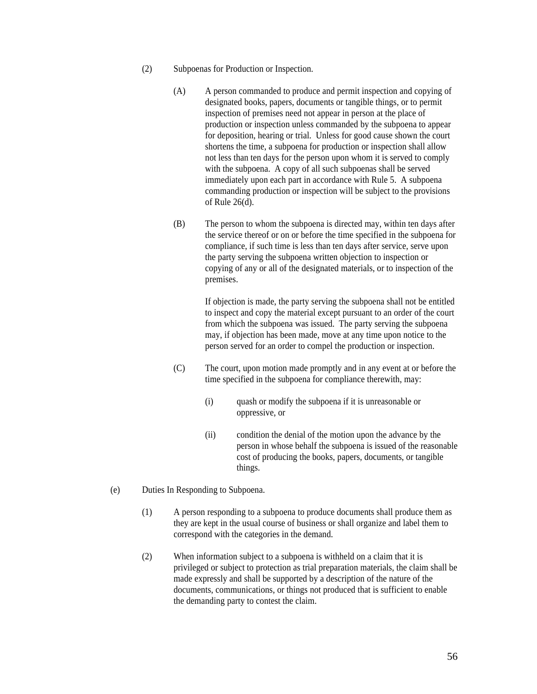- (2) Subpoenas for Production or Inspection.
	- (A) A person commanded to produce and permit inspection and copying of designated books, papers, documents or tangible things, or to permit inspection of premises need not appear in person at the place of production or inspection unless commanded by the subpoena to appear for deposition, hearing or trial. Unless for good cause shown the court shortens the time, a subpoena for production or inspection shall allow not less than ten days for the person upon whom it is served to comply with the subpoena. A copy of all such subpoenas shall be served immediately upon each part in accordance with Rule 5. A subpoena commanding production or inspection will be subject to the provisions of Rule 26(d).
	- (B) The person to whom the subpoena is directed may, within ten days after the service thereof or on or before the time specified in the subpoena for compliance, if such time is less than ten days after service, serve upon the party serving the subpoena written objection to inspection or copying of any or all of the designated materials, or to inspection of the premises.

If objection is made, the party serving the subpoena shall not be entitled to inspect and copy the material except pursuant to an order of the court from which the subpoena was issued. The party serving the subpoena may, if objection has been made, move at any time upon notice to the person served for an order to compel the production or inspection.

- (C) The court, upon motion made promptly and in any event at or before the time specified in the subpoena for compliance therewith, may:
	- (i) quash or modify the subpoena if it is unreasonable or oppressive, or
	- (ii) condition the denial of the motion upon the advance by the person in whose behalf the subpoena is issued of the reasonable cost of producing the books, papers, documents, or tangible things.
- (e) Duties In Responding to Subpoena.
	- (1) A person responding to a subpoena to produce documents shall produce them as they are kept in the usual course of business or shall organize and label them to correspond with the categories in the demand.
	- (2) When information subject to a subpoena is withheld on a claim that it is privileged or subject to protection as trial preparation materials, the claim shall be made expressly and shall be supported by a description of the nature of the documents, communications, or things not produced that is sufficient to enable the demanding party to contest the claim.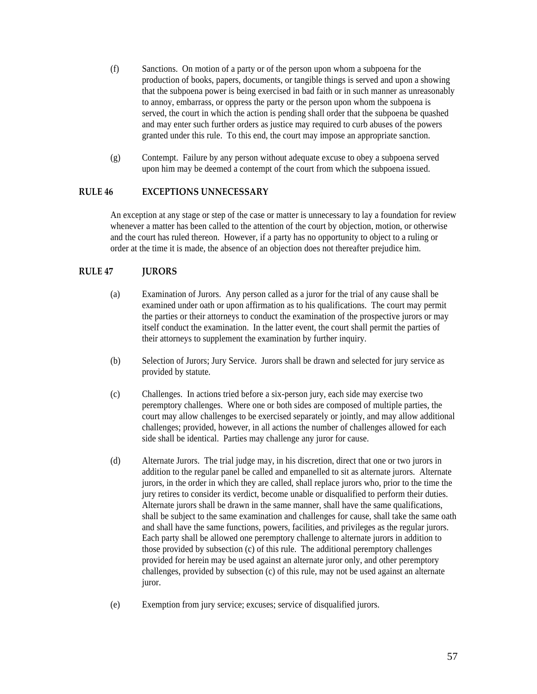- (f) Sanctions. On motion of a party or of the person upon whom a subpoena for the production of books, papers, documents, or tangible things is served and upon a showing that the subpoena power is being exercised in bad faith or in such manner as unreasonably to annoy, embarrass, or oppress the party or the person upon whom the subpoena is served, the court in which the action is pending shall order that the subpoena be quashed and may enter such further orders as justice may required to curb abuses of the powers granted under this rule. To this end, the court may impose an appropriate sanction.
- (g) Contempt. Failure by any person without adequate excuse to obey a subpoena served upon him may be deemed a contempt of the court from which the subpoena issued.

### **RULE 46 EXCEPTIONS UNNECESSARY**

An exception at any stage or step of the case or matter is unnecessary to lay a foundation for review whenever a matter has been called to the attention of the court by objection, motion, or otherwise and the court has ruled thereon. However, if a party has no opportunity to object to a ruling or order at the time it is made, the absence of an objection does not thereafter prejudice him.

### **RULE 47 JURORS**

- (a) Examination of Jurors. Any person called as a juror for the trial of any cause shall be examined under oath or upon affirmation as to his qualifications. The court may permit the parties or their attorneys to conduct the examination of the prospective jurors or may itself conduct the examination. In the latter event, the court shall permit the parties of their attorneys to supplement the examination by further inquiry.
- (b) Selection of Jurors; Jury Service. Jurors shall be drawn and selected for jury service as provided by statute.
- (c) Challenges. In actions tried before a six-person jury, each side may exercise two peremptory challenges. Where one or both sides are composed of multiple parties, the court may allow challenges to be exercised separately or jointly, and may allow additional challenges; provided, however, in all actions the number of challenges allowed for each side shall be identical. Parties may challenge any juror for cause.
- (d) Alternate Jurors. The trial judge may, in his discretion, direct that one or two jurors in addition to the regular panel be called and empanelled to sit as alternate jurors. Alternate jurors, in the order in which they are called, shall replace jurors who, prior to the time the jury retires to consider its verdict, become unable or disqualified to perform their duties. Alternate jurors shall be drawn in the same manner, shall have the same qualifications, shall be subject to the same examination and challenges for cause, shall take the same oath and shall have the same functions, powers, facilities, and privileges as the regular jurors. Each party shall be allowed one peremptory challenge to alternate jurors in addition to those provided by subsection (c) of this rule. The additional peremptory challenges provided for herein may be used against an alternate juror only, and other peremptory challenges, provided by subsection (c) of this rule, may not be used against an alternate juror.
- (e) Exemption from jury service; excuses; service of disqualified jurors.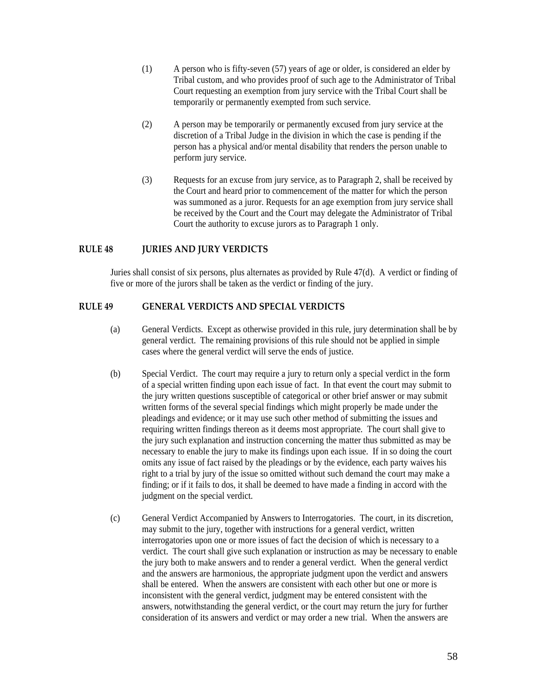- (1) A person who is fifty-seven (57) years of age or older, is considered an elder by Tribal custom, and who provides proof of such age to the Administrator of Tribal Court requesting an exemption from jury service with the Tribal Court shall be temporarily or permanently exempted from such service.
- (2) A person may be temporarily or permanently excused from jury service at the discretion of a Tribal Judge in the division in which the case is pending if the person has a physical and/or mental disability that renders the person unable to perform jury service.
- (3) Requests for an excuse from jury service, as to Paragraph 2, shall be received by the Court and heard prior to commencement of the matter for which the person was summoned as a juror. Requests for an age exemption from jury service shall be received by the Court and the Court may delegate the Administrator of Tribal Court the authority to excuse jurors as to Paragraph 1 only.

#### **RULE 48 JURIES AND JURY VERDICTS**

Juries shall consist of six persons, plus alternates as provided by Rule 47(d). A verdict or finding of five or more of the jurors shall be taken as the verdict or finding of the jury.

### **RULE 49 GENERAL VERDICTS AND SPECIAL VERDICTS**

- (a) General Verdicts. Except as otherwise provided in this rule, jury determination shall be by general verdict. The remaining provisions of this rule should not be applied in simple cases where the general verdict will serve the ends of justice.
- (b) Special Verdict. The court may require a jury to return only a special verdict in the form of a special written finding upon each issue of fact. In that event the court may submit to the jury written questions susceptible of categorical or other brief answer or may submit written forms of the several special findings which might properly be made under the pleadings and evidence; or it may use such other method of submitting the issues and requiring written findings thereon as it deems most appropriate. The court shall give to the jury such explanation and instruction concerning the matter thus submitted as may be necessary to enable the jury to make its findings upon each issue. If in so doing the court omits any issue of fact raised by the pleadings or by the evidence, each party waives his right to a trial by jury of the issue so omitted without such demand the court may make a finding; or if it fails to dos, it shall be deemed to have made a finding in accord with the judgment on the special verdict.
- (c) General Verdict Accompanied by Answers to Interrogatories. The court, in its discretion, may submit to the jury, together with instructions for a general verdict, written interrogatories upon one or more issues of fact the decision of which is necessary to a verdict. The court shall give such explanation or instruction as may be necessary to enable the jury both to make answers and to render a general verdict. When the general verdict and the answers are harmonious, the appropriate judgment upon the verdict and answers shall be entered. When the answers are consistent with each other but one or more is inconsistent with the general verdict, judgment may be entered consistent with the answers, notwithstanding the general verdict, or the court may return the jury for further consideration of its answers and verdict or may order a new trial. When the answers are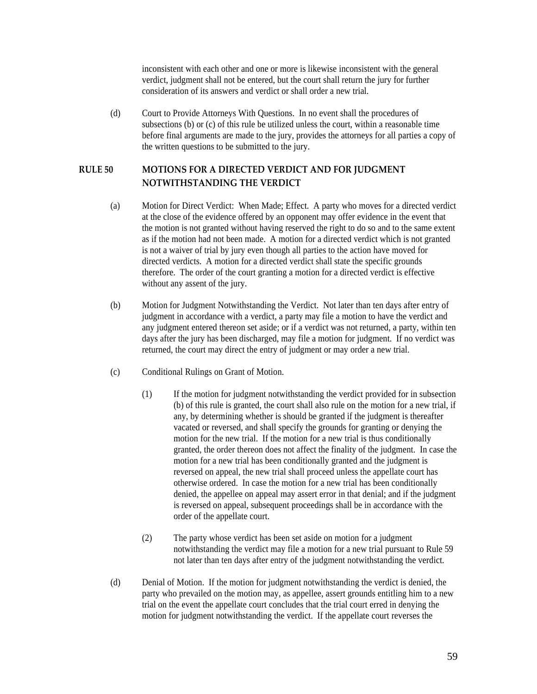inconsistent with each other and one or more is likewise inconsistent with the general verdict, judgment shall not be entered, but the court shall return the jury for further consideration of its answers and verdict or shall order a new trial.

(d) Court to Provide Attorneys With Questions. In no event shall the procedures of subsections (b) or (c) of this rule be utilized unless the court, within a reasonable time before final arguments are made to the jury, provides the attorneys for all parties a copy of the written questions to be submitted to the jury.

# **RULE 50 MOTIONS FOR A DIRECTED VERDICT AND FOR JUDGMENT NOTWITHSTANDING THE VERDICT**

- (a) Motion for Direct Verdict: When Made; Effect. A party who moves for a directed verdict at the close of the evidence offered by an opponent may offer evidence in the event that the motion is not granted without having reserved the right to do so and to the same extent as if the motion had not been made. A motion for a directed verdict which is not granted is not a waiver of trial by jury even though all parties to the action have moved for directed verdicts. A motion for a directed verdict shall state the specific grounds therefore. The order of the court granting a motion for a directed verdict is effective without any assent of the jury.
- (b) Motion for Judgment Notwithstanding the Verdict. Not later than ten days after entry of judgment in accordance with a verdict, a party may file a motion to have the verdict and any judgment entered thereon set aside; or if a verdict was not returned, a party, within ten days after the jury has been discharged, may file a motion for judgment. If no verdict was returned, the court may direct the entry of judgment or may order a new trial.
- (c) Conditional Rulings on Grant of Motion.
	- (1) If the motion for judgment notwithstanding the verdict provided for in subsection (b) of this rule is granted, the court shall also rule on the motion for a new trial, if any, by determining whether is should be granted if the judgment is thereafter vacated or reversed, and shall specify the grounds for granting or denying the motion for the new trial. If the motion for a new trial is thus conditionally granted, the order thereon does not affect the finality of the judgment. In case the motion for a new trial has been conditionally granted and the judgment is reversed on appeal, the new trial shall proceed unless the appellate court has otherwise ordered. In case the motion for a new trial has been conditionally denied, the appellee on appeal may assert error in that denial; and if the judgment is reversed on appeal, subsequent proceedings shall be in accordance with the order of the appellate court.
	- (2) The party whose verdict has been set aside on motion for a judgment notwithstanding the verdict may file a motion for a new trial pursuant to Rule 59 not later than ten days after entry of the judgment notwithstanding the verdict.
- (d) Denial of Motion. If the motion for judgment notwithstanding the verdict is denied, the party who prevailed on the motion may, as appellee, assert grounds entitling him to a new trial on the event the appellate court concludes that the trial court erred in denying the motion for judgment notwithstanding the verdict. If the appellate court reverses the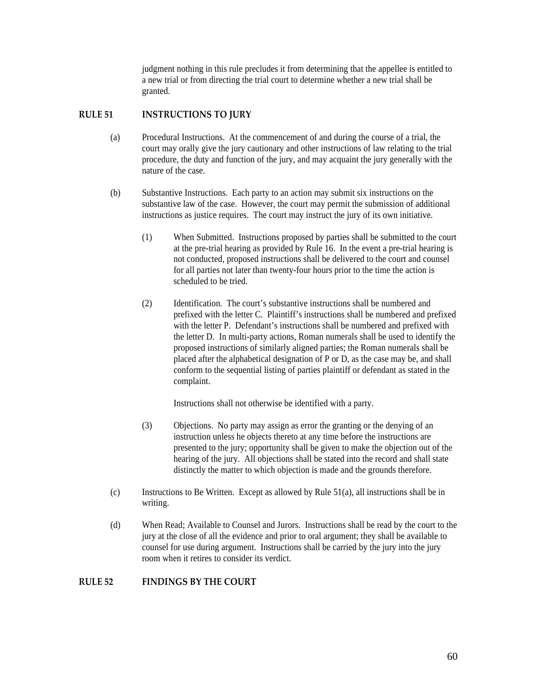judgment nothing in this rule precludes it from determining that the appellee is entitled to a new trial or from directing the trial court to determine whether a new trial shall be granted.

### **RULE 51 INSTRUCTIONS TO JURY**

- (a) Procedural Instructions. At the commencement of and during the course of a trial, the court may orally give the jury cautionary and other instructions of law relating to the trial procedure, the duty and function of the jury, and may acquaint the jury generally with the nature of the case.
- (b) Substantive Instructions. Each party to an action may submit six instructions on the substantive law of the case. However, the court may permit the submission of additional instructions as justice requires. The court may instruct the jury of its own initiative.
	- (1) When Submitted. Instructions proposed by parties shall be submitted to the court at the pre-trial hearing as provided by Rule 16. In the event a pre-trial hearing is not conducted, proposed instructions shall be delivered to the court and counsel for all parties not later than twenty-four hours prior to the time the action is scheduled to be tried.
	- (2) Identification. The court's substantive instructions shall be numbered and prefixed with the letter C. Plaintiff's instructions shall be numbered and prefixed with the letter P. Defendant's instructions shall be numbered and prefixed with the letter D. In multi-party actions, Roman numerals shall be used to identify the proposed instructions of similarly aligned parties; the Roman numerals shall be placed after the alphabetical designation of P or D, as the case may be, and shall conform to the sequential listing of parties plaintiff or defendant as stated in the complaint.

Instructions shall not otherwise be identified with a party.

- (3) Objections. No party may assign as error the granting or the denying of an instruction unless he objects thereto at any time before the instructions are presented to the jury; opportunity shall be given to make the objection out of the hearing of the jury. All objections shall be stated into the record and shall state distinctly the matter to which objection is made and the grounds therefore.
- (c) Instructions to Be Written. Except as allowed by Rule 51(a), all instructions shall be in writing.
- (d) When Read; Available to Counsel and Jurors. Instructions shall be read by the court to the jury at the close of all the evidence and prior to oral argument; they shall be available to counsel for use during argument. Instructions shall be carried by the jury into the jury room when it retires to consider its verdict.

# **RULE 52 FINDINGS BY THE COURT**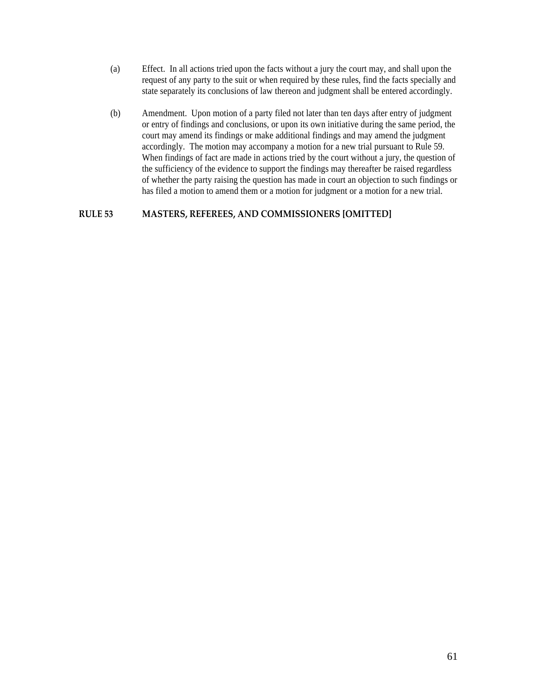- (a) Effect. In all actions tried upon the facts without a jury the court may, and shall upon the request of any party to the suit or when required by these rules, find the facts specially and state separately its conclusions of law thereon and judgment shall be entered accordingly.
- (b) Amendment. Upon motion of a party filed not later than ten days after entry of judgment or entry of findings and conclusions, or upon its own initiative during the same period, the court may amend its findings or make additional findings and may amend the judgment accordingly. The motion may accompany a motion for a new trial pursuant to Rule 59. When findings of fact are made in actions tried by the court without a jury, the question of the sufficiency of the evidence to support the findings may thereafter be raised regardless of whether the party raising the question has made in court an objection to such findings or has filed a motion to amend them or a motion for judgment or a motion for a new trial.

# **RULE 53 MASTERS, REFEREES, AND COMMISSIONERS [OMITTED]**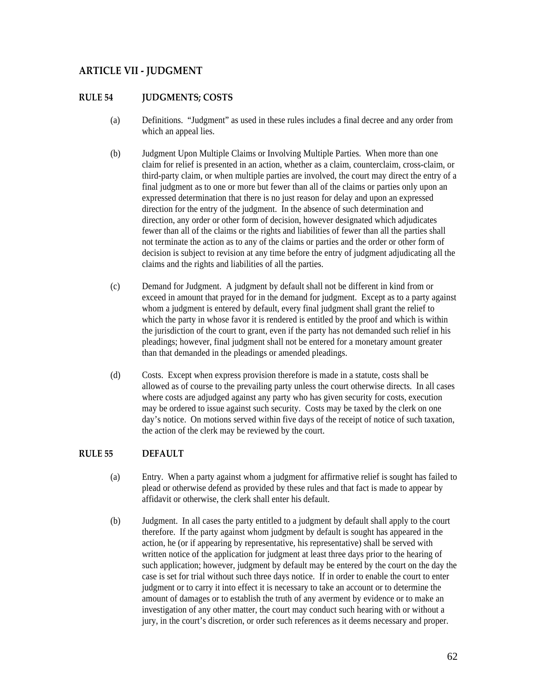# **ARTICLE VII ‐ JUDGMENT**

# **RULE 54 JUDGMENTS; COSTS**

- (a) Definitions. "Judgment" as used in these rules includes a final decree and any order from which an appeal lies.
- (b) Judgment Upon Multiple Claims or Involving Multiple Parties. When more than one claim for relief is presented in an action, whether as a claim, counterclaim, cross-claim, or third-party claim, or when multiple parties are involved, the court may direct the entry of a final judgment as to one or more but fewer than all of the claims or parties only upon an expressed determination that there is no just reason for delay and upon an expressed direction for the entry of the judgment. In the absence of such determination and direction, any order or other form of decision, however designated which adjudicates fewer than all of the claims or the rights and liabilities of fewer than all the parties shall not terminate the action as to any of the claims or parties and the order or other form of decision is subject to revision at any time before the entry of judgment adjudicating all the claims and the rights and liabilities of all the parties.
- (c) Demand for Judgment. A judgment by default shall not be different in kind from or exceed in amount that prayed for in the demand for judgment. Except as to a party against whom a judgment is entered by default, every final judgment shall grant the relief to which the party in whose favor it is rendered is entitled by the proof and which is within the jurisdiction of the court to grant, even if the party has not demanded such relief in his pleadings; however, final judgment shall not be entered for a monetary amount greater than that demanded in the pleadings or amended pleadings.
- (d) Costs. Except when express provision therefore is made in a statute, costs shall be allowed as of course to the prevailing party unless the court otherwise directs. In all cases where costs are adjudged against any party who has given security for costs, execution may be ordered to issue against such security. Costs may be taxed by the clerk on one day's notice. On motions served within five days of the receipt of notice of such taxation, the action of the clerk may be reviewed by the court.

# **RULE 55 DEFAULT**

- (a) Entry. When a party against whom a judgment for affirmative relief is sought has failed to plead or otherwise defend as provided by these rules and that fact is made to appear by affidavit or otherwise, the clerk shall enter his default.
- (b) Judgment. In all cases the party entitled to a judgment by default shall apply to the court therefore. If the party against whom judgment by default is sought has appeared in the action, he (or if appearing by representative, his representative) shall be served with written notice of the application for judgment at least three days prior to the hearing of such application; however, judgment by default may be entered by the court on the day the case is set for trial without such three days notice. If in order to enable the court to enter judgment or to carry it into effect it is necessary to take an account or to determine the amount of damages or to establish the truth of any averment by evidence or to make an investigation of any other matter, the court may conduct such hearing with or without a jury, in the court's discretion, or order such references as it deems necessary and proper.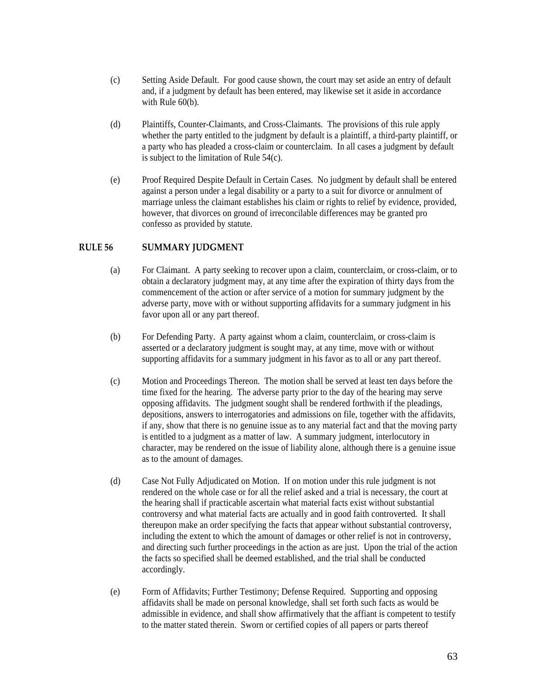- (c) Setting Aside Default. For good cause shown, the court may set aside an entry of default and, if a judgment by default has been entered, may likewise set it aside in accordance with Rule 60(b).
- (d) Plaintiffs, Counter-Claimants, and Cross-Claimants. The provisions of this rule apply whether the party entitled to the judgment by default is a plaintiff, a third-party plaintiff, or a party who has pleaded a cross-claim or counterclaim. In all cases a judgment by default is subject to the limitation of Rule 54(c).
- (e) Proof Required Despite Default in Certain Cases. No judgment by default shall be entered against a person under a legal disability or a party to a suit for divorce or annulment of marriage unless the claimant establishes his claim or rights to relief by evidence, provided, however, that divorces on ground of irreconcilable differences may be granted pro confesso as provided by statute.

### **RULE 56 SUMMARY JUDGMENT**

- (a) For Claimant. A party seeking to recover upon a claim, counterclaim, or cross-claim, or to obtain a declaratory judgment may, at any time after the expiration of thirty days from the commencement of the action or after service of a motion for summary judgment by the adverse party, move with or without supporting affidavits for a summary judgment in his favor upon all or any part thereof.
- (b) For Defending Party. A party against whom a claim, counterclaim, or cross-claim is asserted or a declaratory judgment is sought may, at any time, move with or without supporting affidavits for a summary judgment in his favor as to all or any part thereof.
- (c) Motion and Proceedings Thereon. The motion shall be served at least ten days before the time fixed for the hearing. The adverse party prior to the day of the hearing may serve opposing affidavits. The judgment sought shall be rendered forthwith if the pleadings, depositions, answers to interrogatories and admissions on file, together with the affidavits, if any, show that there is no genuine issue as to any material fact and that the moving party is entitled to a judgment as a matter of law. A summary judgment, interlocutory in character, may be rendered on the issue of liability alone, although there is a genuine issue as to the amount of damages.
- (d) Case Not Fully Adjudicated on Motion. If on motion under this rule judgment is not rendered on the whole case or for all the relief asked and a trial is necessary, the court at the hearing shall if practicable ascertain what material facts exist without substantial controversy and what material facts are actually and in good faith controverted. It shall thereupon make an order specifying the facts that appear without substantial controversy, including the extent to which the amount of damages or other relief is not in controversy, and directing such further proceedings in the action as are just. Upon the trial of the action the facts so specified shall be deemed established, and the trial shall be conducted accordingly.
- (e) Form of Affidavits; Further Testimony; Defense Required. Supporting and opposing affidavits shall be made on personal knowledge, shall set forth such facts as would be admissible in evidence, and shall show affirmatively that the affiant is competent to testify to the matter stated therein. Sworn or certified copies of all papers or parts thereof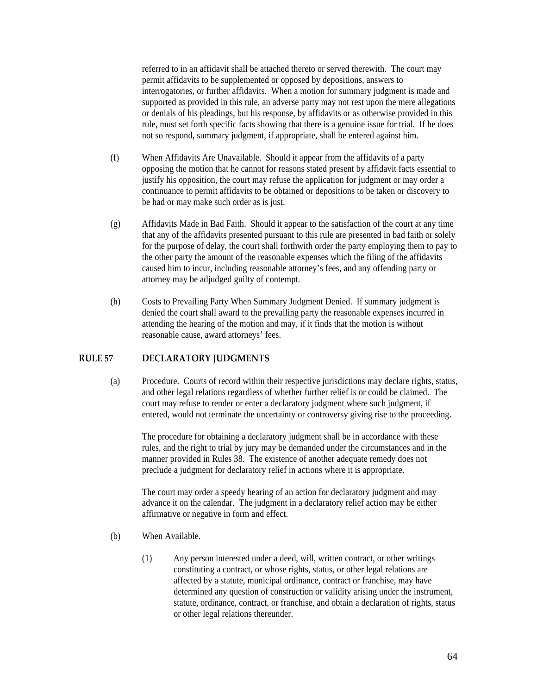referred to in an affidavit shall be attached thereto or served therewith. The court may permit affidavits to be supplemented or opposed by depositions, answers to interrogatories, or further affidavits. When a motion for summary judgment is made and supported as provided in this rule, an adverse party may not rest upon the mere allegations or denials of his pleadings, but his response, by affidavits or as otherwise provided in this rule, must set forth specific facts showing that there is a genuine issue for trial. If he does not so respond, summary judgment, if appropriate, shall be entered against him.

- (f) When Affidavits Are Unavailable. Should it appear from the affidavits of a party opposing the motion that he cannot for reasons stated present by affidavit facts essential to justify his opposition, the court may refuse the application for judgment or may order a continuance to permit affidavits to be obtained or depositions to be taken or discovery to be had or may make such order as is just.
- (g) Affidavits Made in Bad Faith. Should it appear to the satisfaction of the court at any time that any of the affidavits presented pursuant to this rule are presented in bad faith or solely for the purpose of delay, the court shall forthwith order the party employing them to pay to the other party the amount of the reasonable expenses which the filing of the affidavits caused him to incur, including reasonable attorney's fees, and any offending party or attorney may be adjudged guilty of contempt.
- (h) Costs to Prevailing Party When Summary Judgment Denied. If summary judgment is denied the court shall award to the prevailing party the reasonable expenses incurred in attending the hearing of the motion and may, if it finds that the motion is without reasonable cause, award attorneys' fees.

# **RULE 57 DECLARATORY JUDGMENTS**

(a) Procedure. Courts of record within their respective jurisdictions may declare rights, status, and other legal relations regardless of whether further relief is or could be claimed. The court may refuse to render or enter a declaratory judgment where such judgment, if entered, would not terminate the uncertainty or controversy giving rise to the proceeding.

The procedure for obtaining a declaratory judgment shall be in accordance with these rules, and the right to trial by jury may be demanded under the circumstances and in the manner provided in Rules 38. The existence of another adequate remedy does not preclude a judgment for declaratory relief in actions where it is appropriate.

The court may order a speedy hearing of an action for declaratory judgment and may advance it on the calendar. The judgment in a declaratory relief action may be either affirmative or negative in form and effect.

- (b) When Available.
	- (1) Any person interested under a deed, will, written contract, or other writings constituting a contract, or whose rights, status, or other legal relations are affected by a statute, municipal ordinance, contract or franchise, may have determined any question of construction or validity arising under the instrument, statute, ordinance, contract, or franchise, and obtain a declaration of rights, status or other legal relations thereunder.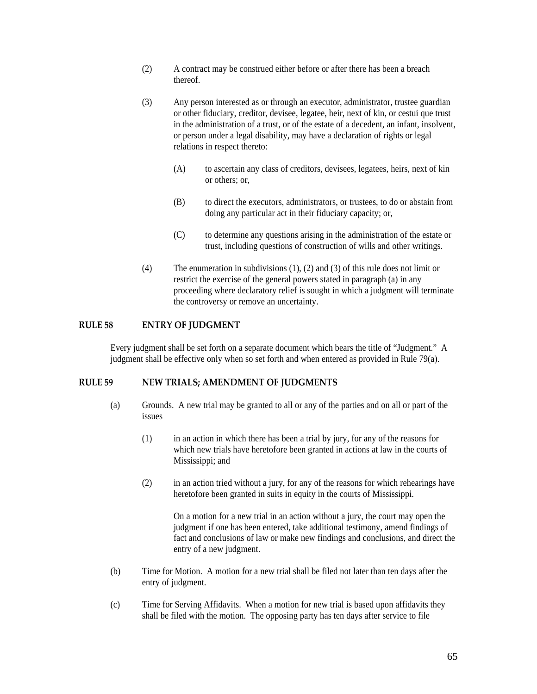- (2) A contract may be construed either before or after there has been a breach thereof.
- (3) Any person interested as or through an executor, administrator, trustee guardian or other fiduciary, creditor, devisee, legatee, heir, next of kin, or cestui que trust in the administration of a trust, or of the estate of a decedent, an infant, insolvent, or person under a legal disability, may have a declaration of rights or legal relations in respect thereto:
	- (A) to ascertain any class of creditors, devisees, legatees, heirs, next of kin or others; or,
	- (B) to direct the executors, administrators, or trustees, to do or abstain from doing any particular act in their fiduciary capacity; or,
	- (C) to determine any questions arising in the administration of the estate or trust, including questions of construction of wills and other writings.
- (4) The enumeration in subdivisions (1), (2) and (3) of this rule does not limit or restrict the exercise of the general powers stated in paragraph (a) in any proceeding where declaratory relief is sought in which a judgment will terminate the controversy or remove an uncertainty.

# **RULE 58 ENTRY OF JUDGMENT**

Every judgment shall be set forth on a separate document which bears the title of "Judgment." A judgment shall be effective only when so set forth and when entered as provided in Rule 79(a).

## **RULE 59 NEW TRIALS; AMENDMENT OF JUDGMENTS**

- (a) Grounds. A new trial may be granted to all or any of the parties and on all or part of the issues
	- (1) in an action in which there has been a trial by jury, for any of the reasons for which new trials have heretofore been granted in actions at law in the courts of Mississippi; and
	- (2) in an action tried without a jury, for any of the reasons for which rehearings have heretofore been granted in suits in equity in the courts of Mississippi.

On a motion for a new trial in an action without a jury, the court may open the judgment if one has been entered, take additional testimony, amend findings of fact and conclusions of law or make new findings and conclusions, and direct the entry of a new judgment.

- (b) Time for Motion. A motion for a new trial shall be filed not later than ten days after the entry of judgment.
- (c) Time for Serving Affidavits. When a motion for new trial is based upon affidavits they shall be filed with the motion. The opposing party has ten days after service to file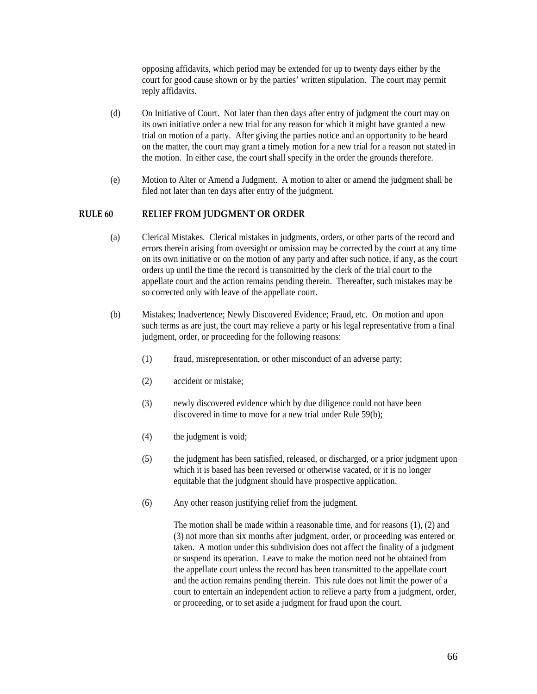opposing affidavits, which period may be extended for up to twenty days either by the court for good cause shown or by the parties' written stipulation. The court may permit reply affidavits.

- (d) On Initiative of Court. Not later than then days after entry of judgment the court may on its own initiative order a new trial for any reason for which it might have granted a new trial on motion of a party. After giving the parties notice and an opportunity to be heard on the matter, the court may grant a timely motion for a new trial for a reason not stated in the motion. In either case, the court shall specify in the order the grounds therefore.
- (e) Motion to Alter or Amend a Judgment. A motion to alter or amend the judgment shall be filed not later than ten days after entry of the judgment.

# **RULE 60 RELIEF FROM JUDGMENT OR ORDER**

- (a) Clerical Mistakes. Clerical mistakes in judgments, orders, or other parts of the record and errors therein arising from oversight or omission may be corrected by the court at any time on its own initiative or on the motion of any party and after such notice, if any, as the court orders up until the time the record is transmitted by the clerk of the trial court to the appellate court and the action remains pending therein. Thereafter, such mistakes may be so corrected only with leave of the appellate court.
- (b) Mistakes; Inadvertence; Newly Discovered Evidence; Fraud, etc. On motion and upon such terms as are just, the court may relieve a party or his legal representative from a final judgment, order, or proceeding for the following reasons:
	- (1) fraud, misrepresentation, or other misconduct of an adverse party;
	- (2) accident or mistake;
	- (3) newly discovered evidence which by due diligence could not have been discovered in time to move for a new trial under Rule 59(b);
	- (4) the judgment is void;
	- (5) the judgment has been satisfied, released, or discharged, or a prior judgment upon which it is based has been reversed or otherwise vacated, or it is no longer equitable that the judgment should have prospective application.
	- (6) Any other reason justifying relief from the judgment.

The motion shall be made within a reasonable time, and for reasons (1), (2) and (3) not more than six months after judgment, order, or proceeding was entered or taken. A motion under this subdivision does not affect the finality of a judgment or suspend its operation. Leave to make the motion need not be obtained from the appellate court unless the record has been transmitted to the appellate court and the action remains pending therein. This rule does not limit the power of a court to entertain an independent action to relieve a party from a judgment, order, or proceeding, or to set aside a judgment for fraud upon the court.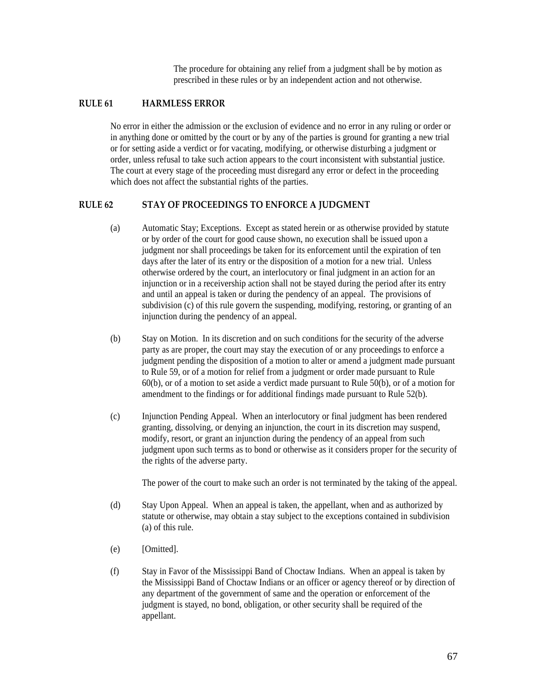The procedure for obtaining any relief from a judgment shall be by motion as prescribed in these rules or by an independent action and not otherwise.

# **RULE 61 HARMLESS ERROR**

No error in either the admission or the exclusion of evidence and no error in any ruling or order or in anything done or omitted by the court or by any of the parties is ground for granting a new trial or for setting aside a verdict or for vacating, modifying, or otherwise disturbing a judgment or order, unless refusal to take such action appears to the court inconsistent with substantial justice. The court at every stage of the proceeding must disregard any error or defect in the proceeding which does not affect the substantial rights of the parties.

### **RULE 62 STAY OF PROCEEDINGS TO ENFORCE A JUDGMENT**

- (a) Automatic Stay; Exceptions. Except as stated herein or as otherwise provided by statute or by order of the court for good cause shown, no execution shall be issued upon a judgment nor shall proceedings be taken for its enforcement until the expiration of ten days after the later of its entry or the disposition of a motion for a new trial. Unless otherwise ordered by the court, an interlocutory or final judgment in an action for an injunction or in a receivership action shall not be stayed during the period after its entry and until an appeal is taken or during the pendency of an appeal. The provisions of subdivision (c) of this rule govern the suspending, modifying, restoring, or granting of an injunction during the pendency of an appeal.
- (b) Stay on Motion. In its discretion and on such conditions for the security of the adverse party as are proper, the court may stay the execution of or any proceedings to enforce a judgment pending the disposition of a motion to alter or amend a judgment made pursuant to Rule 59, or of a motion for relief from a judgment or order made pursuant to Rule 60(b), or of a motion to set aside a verdict made pursuant to Rule 50(b), or of a motion for amendment to the findings or for additional findings made pursuant to Rule 52(b).
- (c) Injunction Pending Appeal. When an interlocutory or final judgment has been rendered granting, dissolving, or denying an injunction, the court in its discretion may suspend, modify, resort, or grant an injunction during the pendency of an appeal from such judgment upon such terms as to bond or otherwise as it considers proper for the security of the rights of the adverse party.

The power of the court to make such an order is not terminated by the taking of the appeal.

- (d) Stay Upon Appeal. When an appeal is taken, the appellant, when and as authorized by statute or otherwise, may obtain a stay subject to the exceptions contained in subdivision (a) of this rule.
- (e) [Omitted].
- (f) Stay in Favor of the Mississippi Band of Choctaw Indians. When an appeal is taken by the Mississippi Band of Choctaw Indians or an officer or agency thereof or by direction of any department of the government of same and the operation or enforcement of the judgment is stayed, no bond, obligation, or other security shall be required of the appellant.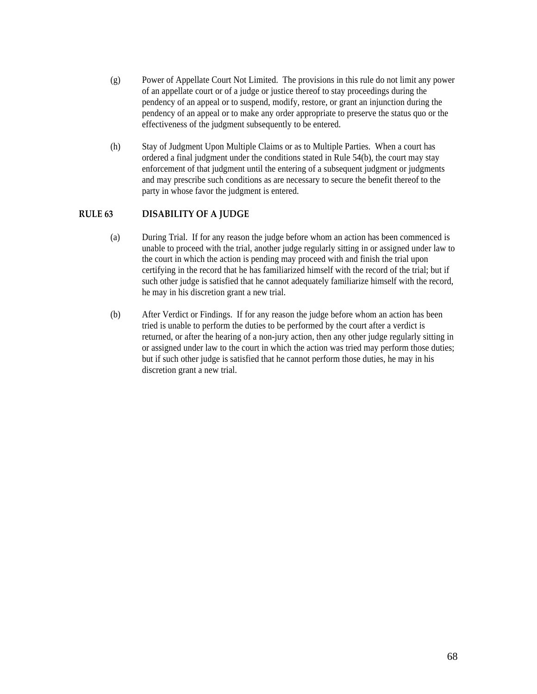- (g) Power of Appellate Court Not Limited. The provisions in this rule do not limit any power of an appellate court or of a judge or justice thereof to stay proceedings during the pendency of an appeal or to suspend, modify, restore, or grant an injunction during the pendency of an appeal or to make any order appropriate to preserve the status quo or the effectiveness of the judgment subsequently to be entered.
- (h) Stay of Judgment Upon Multiple Claims or as to Multiple Parties. When a court has ordered a final judgment under the conditions stated in Rule 54(b), the court may stay enforcement of that judgment until the entering of a subsequent judgment or judgments and may prescribe such conditions as are necessary to secure the benefit thereof to the party in whose favor the judgment is entered.

# **RULE 63 DISABILITY OF A JUDGE**

- (a) During Trial. If for any reason the judge before whom an action has been commenced is unable to proceed with the trial, another judge regularly sitting in or assigned under law to the court in which the action is pending may proceed with and finish the trial upon certifying in the record that he has familiarized himself with the record of the trial; but if such other judge is satisfied that he cannot adequately familiarize himself with the record, he may in his discretion grant a new trial.
- (b) After Verdict or Findings. If for any reason the judge before whom an action has been tried is unable to perform the duties to be performed by the court after a verdict is returned, or after the hearing of a non-jury action, then any other judge regularly sitting in or assigned under law to the court in which the action was tried may perform those duties; but if such other judge is satisfied that he cannot perform those duties, he may in his discretion grant a new trial.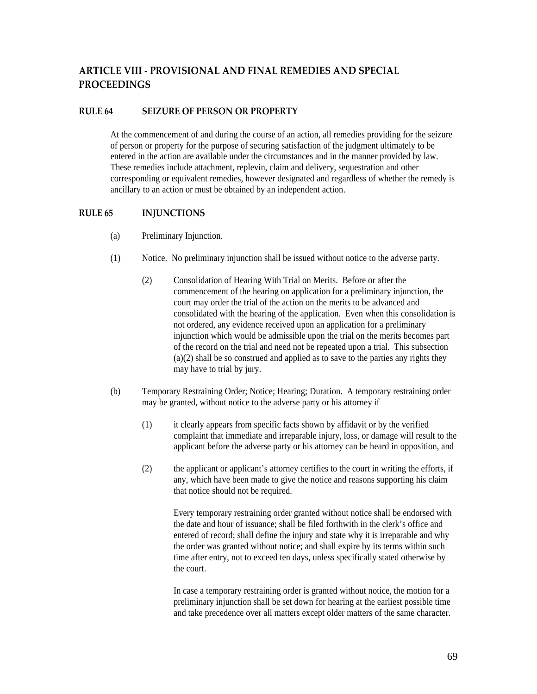# **ARTICLE VIII ‐ PROVISIONAL AND FINAL REMEDIES AND SPECIAL PROCEEDINGS**

# **RULE 64 SEIZURE OF PERSON OR PROPERTY**

At the commencement of and during the course of an action, all remedies providing for the seizure of person or property for the purpose of securing satisfaction of the judgment ultimately to be entered in the action are available under the circumstances and in the manner provided by law. These remedies include attachment, replevin, claim and delivery, sequestration and other corresponding or equivalent remedies, however designated and regardless of whether the remedy is ancillary to an action or must be obtained by an independent action.

# **RULE 65 INJUNCTIONS**

- (a) Preliminary Injunction.
- (1) Notice. No preliminary injunction shall be issued without notice to the adverse party.
	- (2) Consolidation of Hearing With Trial on Merits. Before or after the commencement of the hearing on application for a preliminary injunction, the court may order the trial of the action on the merits to be advanced and consolidated with the hearing of the application. Even when this consolidation is not ordered, any evidence received upon an application for a preliminary injunction which would be admissible upon the trial on the merits becomes part of the record on the trial and need not be repeated upon a trial. This subsection  $(a)(2)$  shall be so construed and applied as to save to the parties any rights they may have to trial by jury.
- (b) Temporary Restraining Order; Notice; Hearing; Duration. A temporary restraining order may be granted, without notice to the adverse party or his attorney if
	- (1) it clearly appears from specific facts shown by affidavit or by the verified complaint that immediate and irreparable injury, loss, or damage will result to the applicant before the adverse party or his attorney can be heard in opposition, and
	- (2) the applicant or applicant's attorney certifies to the court in writing the efforts, if any, which have been made to give the notice and reasons supporting his claim that notice should not be required.

Every temporary restraining order granted without notice shall be endorsed with the date and hour of issuance; shall be filed forthwith in the clerk's office and entered of record; shall define the injury and state why it is irreparable and why the order was granted without notice; and shall expire by its terms within such time after entry, not to exceed ten days, unless specifically stated otherwise by the court.

In case a temporary restraining order is granted without notice, the motion for a preliminary injunction shall be set down for hearing at the earliest possible time and take precedence over all matters except older matters of the same character.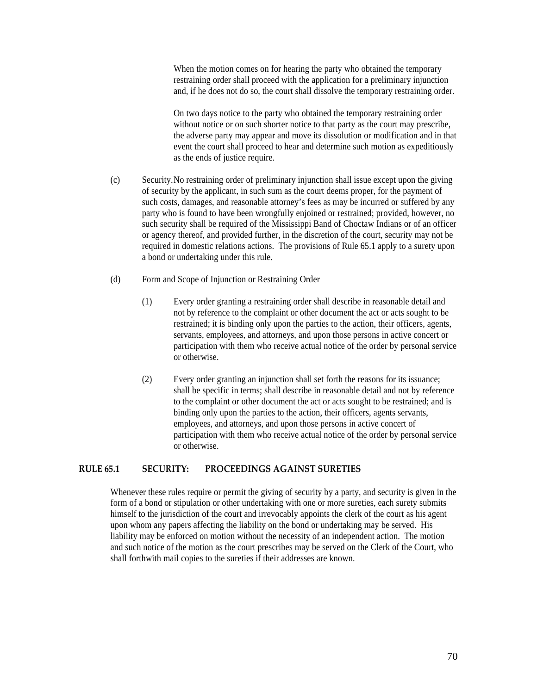When the motion comes on for hearing the party who obtained the temporary restraining order shall proceed with the application for a preliminary injunction and, if he does not do so, the court shall dissolve the temporary restraining order.

On two days notice to the party who obtained the temporary restraining order without notice or on such shorter notice to that party as the court may prescribe, the adverse party may appear and move its dissolution or modification and in that event the court shall proceed to hear and determine such motion as expeditiously as the ends of justice require.

- (c) Security. No restraining order of preliminary injunction shall issue except upon the giving of security by the applicant, in such sum as the court deems proper, for the payment of such costs, damages, and reasonable attorney's fees as may be incurred or suffered by any party who is found to have been wrongfully enjoined or restrained; provided, however, no such security shall be required of the Mississippi Band of Choctaw Indians or of an officer or agency thereof, and provided further, in the discretion of the court, security may not be required in domestic relations actions. The provisions of Rule 65.1 apply to a surety upon a bond or undertaking under this rule.
- (d) Form and Scope of Injunction or Restraining Order
	- (1) Every order granting a restraining order shall describe in reasonable detail and not by reference to the complaint or other document the act or acts sought to be restrained; it is binding only upon the parties to the action, their officers, agents, servants, employees, and attorneys, and upon those persons in active concert or participation with them who receive actual notice of the order by personal service or otherwise.
	- (2) Every order granting an injunction shall set forth the reasons for its issuance; shall be specific in terms; shall describe in reasonable detail and not by reference to the complaint or other document the act or acts sought to be restrained; and is binding only upon the parties to the action, their officers, agents servants, employees, and attorneys, and upon those persons in active concert of participation with them who receive actual notice of the order by personal service or otherwise.

### **RULE 65.1 SECURITY: PROCEEDINGS AGAINST SURETIES**

Whenever these rules require or permit the giving of security by a party, and security is given in the form of a bond or stipulation or other undertaking with one or more sureties, each surety submits himself to the jurisdiction of the court and irrevocably appoints the clerk of the court as his agent upon whom any papers affecting the liability on the bond or undertaking may be served. His liability may be enforced on motion without the necessity of an independent action. The motion and such notice of the motion as the court prescribes may be served on the Clerk of the Court, who shall forthwith mail copies to the sureties if their addresses are known.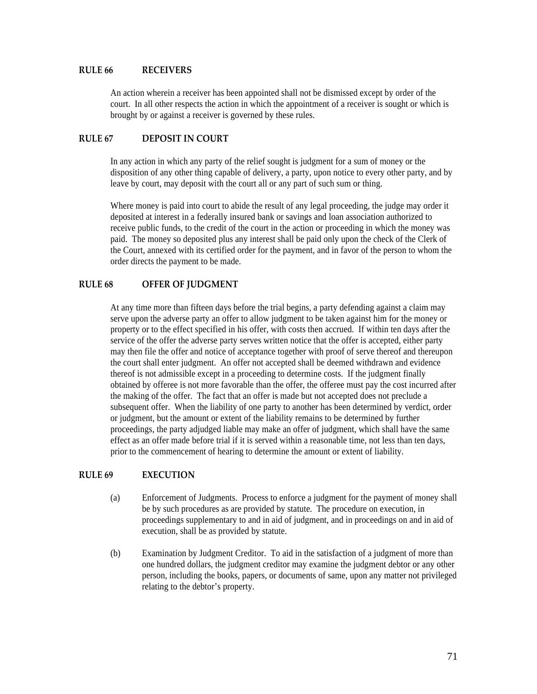### **RULE 66 RECEIVERS**

An action wherein a receiver has been appointed shall not be dismissed except by order of the court. In all other respects the action in which the appointment of a receiver is sought or which is brought by or against a receiver is governed by these rules.

### **RULE 67 DEPOSIT IN COURT**

In any action in which any party of the relief sought is judgment for a sum of money or the disposition of any other thing capable of delivery, a party, upon notice to every other party, and by leave by court, may deposit with the court all or any part of such sum or thing.

Where money is paid into court to abide the result of any legal proceeding, the judge may order it deposited at interest in a federally insured bank or savings and loan association authorized to receive public funds, to the credit of the court in the action or proceeding in which the money was paid. The money so deposited plus any interest shall be paid only upon the check of the Clerk of the Court, annexed with its certified order for the payment, and in favor of the person to whom the order directs the payment to be made.

# **RULE 68 OFFER OF JUDGMENT**

At any time more than fifteen days before the trial begins, a party defending against a claim may serve upon the adverse party an offer to allow judgment to be taken against him for the money or property or to the effect specified in his offer, with costs then accrued. If within ten days after the service of the offer the adverse party serves written notice that the offer is accepted, either party may then file the offer and notice of acceptance together with proof of serve thereof and thereupon the court shall enter judgment. An offer not accepted shall be deemed withdrawn and evidence thereof is not admissible except in a proceeding to determine costs. If the judgment finally obtained by offeree is not more favorable than the offer, the offeree must pay the cost incurred after the making of the offer. The fact that an offer is made but not accepted does not preclude a subsequent offer. When the liability of one party to another has been determined by verdict, order or judgment, but the amount or extent of the liability remains to be determined by further proceedings, the party adjudged liable may make an offer of judgment, which shall have the same effect as an offer made before trial if it is served within a reasonable time, not less than ten days, prior to the commencement of hearing to determine the amount or extent of liability.

# **RULE 69 EXECUTION**

- (a) Enforcement of Judgments. Process to enforce a judgment for the payment of money shall be by such procedures as are provided by statute. The procedure on execution, in proceedings supplementary to and in aid of judgment, and in proceedings on and in aid of execution, shall be as provided by statute.
- (b) Examination by Judgment Creditor. To aid in the satisfaction of a judgment of more than one hundred dollars, the judgment creditor may examine the judgment debtor or any other person, including the books, papers, or documents of same, upon any matter not privileged relating to the debtor's property.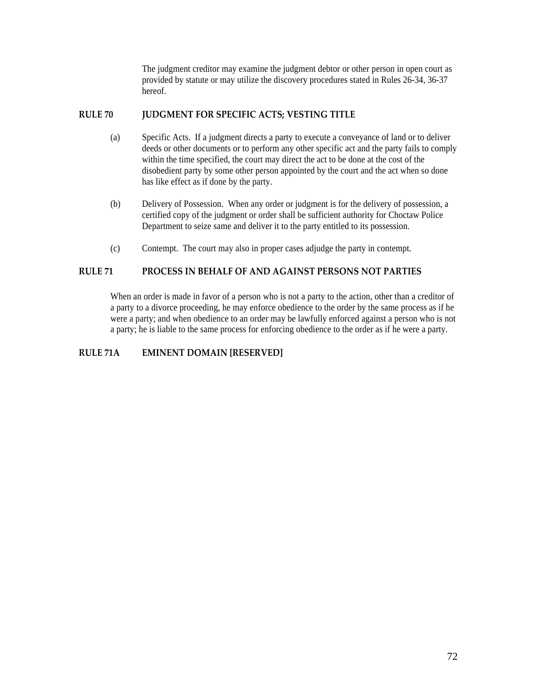The judgment creditor may examine the judgment debtor or other person in open court as provided by statute or may utilize the discovery procedures stated in Rules 26-34, 36-37 hereof.

### **RULE 70 JUDGMENT FOR SPECIFIC ACTS; VESTING TITLE**

- (a) Specific Acts. If a judgment directs a party to execute a conveyance of land or to deliver deeds or other documents or to perform any other specific act and the party fails to comply within the time specified, the court may direct the act to be done at the cost of the disobedient party by some other person appointed by the court and the act when so done has like effect as if done by the party.
- (b) Delivery of Possession. When any order or judgment is for the delivery of possession, a certified copy of the judgment or order shall be sufficient authority for Choctaw Police Department to seize same and deliver it to the party entitled to its possession.
- (c) Contempt. The court may also in proper cases adjudge the party in contempt.

# **RULE 71 PROCESS IN BEHALF OF AND AGAINST PERSONS NOT PARTIES**

When an order is made in favor of a person who is not a party to the action, other than a creditor of a party to a divorce proceeding, he may enforce obedience to the order by the same process as if he were a party; and when obedience to an order may be lawfully enforced against a person who is not a party; he is liable to the same process for enforcing obedience to the order as if he were a party.

# **RULE 71A EMINENT DOMAIN [RESERVED]**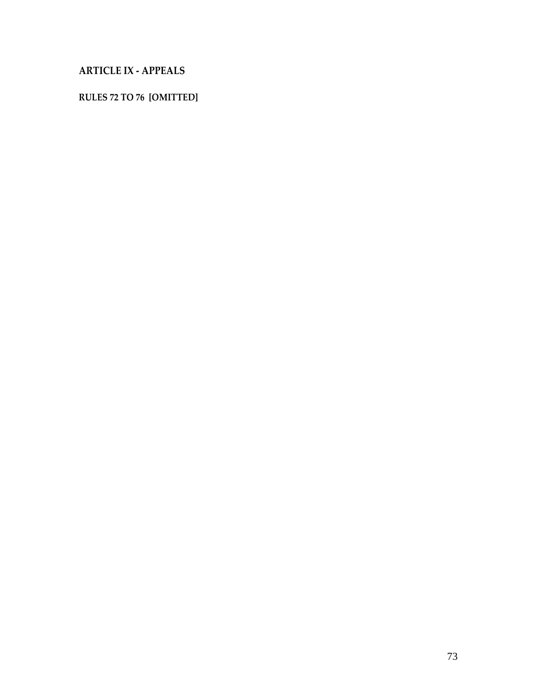## **ARTICLE IX ‐ APPEALS**

## **RULES 72 TO 76 [OMITTED]**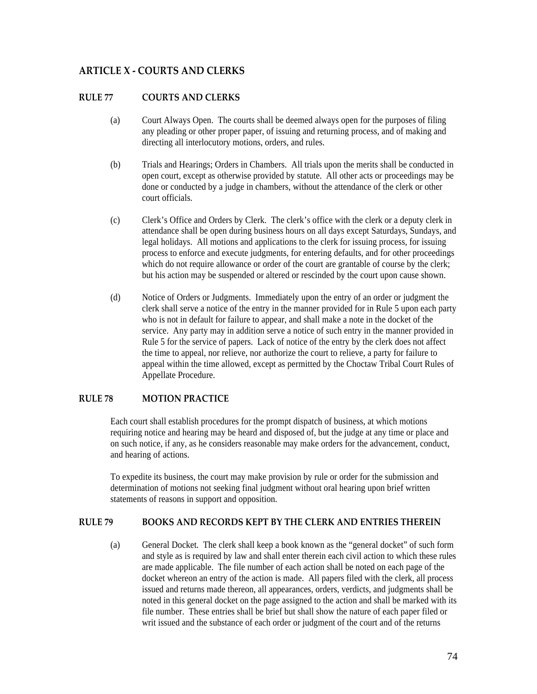## **ARTICLE X ‐ COURTS AND CLERKS**

#### **RULE 77 COURTS AND CLERKS**

- (a) Court Always Open. The courts shall be deemed always open for the purposes of filing any pleading or other proper paper, of issuing and returning process, and of making and directing all interlocutory motions, orders, and rules.
- (b) Trials and Hearings; Orders in Chambers. All trials upon the merits shall be conducted in open court, except as otherwise provided by statute. All other acts or proceedings may be done or conducted by a judge in chambers, without the attendance of the clerk or other court officials.
- (c) Clerk's Office and Orders by Clerk. The clerk's office with the clerk or a deputy clerk in attendance shall be open during business hours on all days except Saturdays, Sundays, and legal holidays. All motions and applications to the clerk for issuing process, for issuing process to enforce and execute judgments, for entering defaults, and for other proceedings which do not require allowance or order of the court are grantable of course by the clerk; but his action may be suspended or altered or rescinded by the court upon cause shown.
- (d) Notice of Orders or Judgments. Immediately upon the entry of an order or judgment the clerk shall serve a notice of the entry in the manner provided for in Rule 5 upon each party who is not in default for failure to appear, and shall make a note in the docket of the service. Any party may in addition serve a notice of such entry in the manner provided in Rule 5 for the service of papers. Lack of notice of the entry by the clerk does not affect the time to appeal, nor relieve, nor authorize the court to relieve, a party for failure to appeal within the time allowed, except as permitted by the Choctaw Tribal Court Rules of Appellate Procedure.

#### **RULE 78 MOTION PRACTICE**

Each court shall establish procedures for the prompt dispatch of business, at which motions requiring notice and hearing may be heard and disposed of, but the judge at any time or place and on such notice, if any, as he considers reasonable may make orders for the advancement, conduct, and hearing of actions.

To expedite its business, the court may make provision by rule or order for the submission and determination of motions not seeking final judgment without oral hearing upon brief written statements of reasons in support and opposition.

#### **RULE 79 BOOKS AND RECORDS KEPT BY THE CLERK AND ENTRIES THEREIN**

(a) General Docket. The clerk shall keep a book known as the "general docket" of such form and style as is required by law and shall enter therein each civil action to which these rules are made applicable. The file number of each action shall be noted on each page of the docket whereon an entry of the action is made. All papers filed with the clerk, all process issued and returns made thereon, all appearances, orders, verdicts, and judgments shall be noted in this general docket on the page assigned to the action and shall be marked with its file number. These entries shall be brief but shall show the nature of each paper filed or writ issued and the substance of each order or judgment of the court and of the returns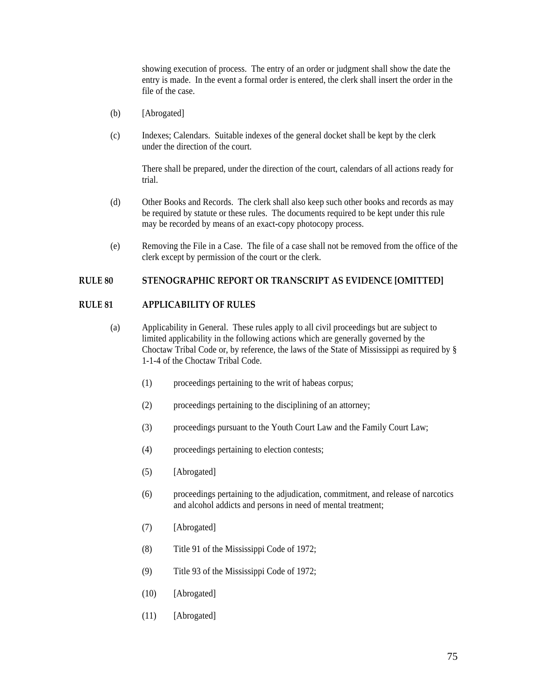showing execution of process. The entry of an order or judgment shall show the date the entry is made. In the event a formal order is entered, the clerk shall insert the order in the file of the case.

- (b) [Abrogated]
- (c) Indexes; Calendars. Suitable indexes of the general docket shall be kept by the clerk under the direction of the court.

There shall be prepared, under the direction of the court, calendars of all actions ready for trial.

- (d) Other Books and Records. The clerk shall also keep such other books and records as may be required by statute or these rules. The documents required to be kept under this rule may be recorded by means of an exact-copy photocopy process.
- (e) Removing the File in a Case. The file of a case shall not be removed from the office of the clerk except by permission of the court or the clerk.

#### **RULE 80 STENOGRAPHIC REPORT OR TRANSCRIPT AS EVIDENCE [OMITTED]**

#### **RULE 81 APPLICABILITY OF RULES**

- (a) Applicability in General. These rules apply to all civil proceedings but are subject to limited applicability in the following actions which are generally governed by the Choctaw Tribal Code or, by reference, the laws of the State of Mississippi as required by § 1-1-4 of the Choctaw Tribal Code.
	- (1) proceedings pertaining to the writ of habeas corpus;
	- (2) proceedings pertaining to the disciplining of an attorney;
	- (3) proceedings pursuant to the Youth Court Law and the Family Court Law;
	- (4) proceedings pertaining to election contests;
	- (5) [Abrogated]
	- (6) proceedings pertaining to the adjudication, commitment, and release of narcotics and alcohol addicts and persons in need of mental treatment;
	- (7) [Abrogated]
	- (8) Title 91 of the Mississippi Code of 1972;
	- (9) Title 93 of the Mississippi Code of 1972;
	- (10) [Abrogated]
	- (11) [Abrogated]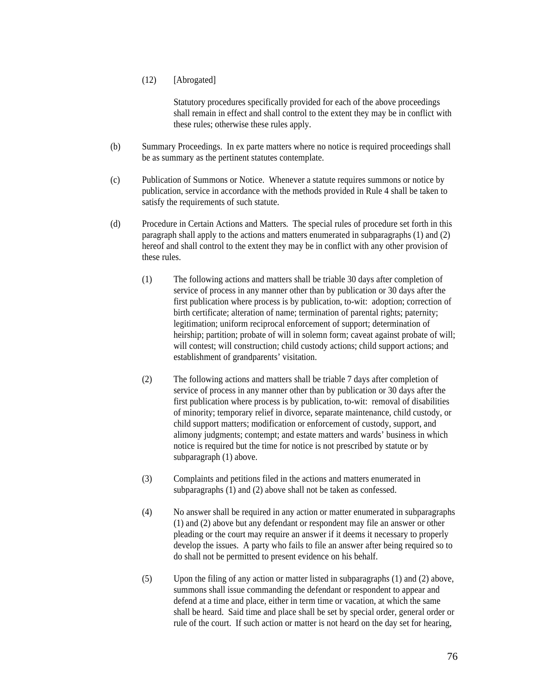(12) [Abrogated]

Statutory procedures specifically provided for each of the above proceedings shall remain in effect and shall control to the extent they may be in conflict with these rules; otherwise these rules apply.

- (b) Summary Proceedings. In ex parte matters where no notice is required proceedings shall be as summary as the pertinent statutes contemplate.
- (c) Publication of Summons or Notice. Whenever a statute requires summons or notice by publication, service in accordance with the methods provided in Rule 4 shall be taken to satisfy the requirements of such statute.
- (d) Procedure in Certain Actions and Matters. The special rules of procedure set forth in this paragraph shall apply to the actions and matters enumerated in subparagraphs (1) and (2) hereof and shall control to the extent they may be in conflict with any other provision of these rules.
	- (1) The following actions and matters shall be triable 30 days after completion of service of process in any manner other than by publication or 30 days after the first publication where process is by publication, to-wit: adoption; correction of birth certificate; alteration of name; termination of parental rights; paternity; legitimation; uniform reciprocal enforcement of support; determination of heirship; partition; probate of will in solemn form; caveat against probate of will; will contest; will construction; child custody actions; child support actions; and establishment of grandparents' visitation.
	- (2) The following actions and matters shall be triable 7 days after completion of service of process in any manner other than by publication or 30 days after the first publication where process is by publication, to-wit: removal of disabilities of minority; temporary relief in divorce, separate maintenance, child custody, or child support matters; modification or enforcement of custody, support, and alimony judgments; contempt; and estate matters and wards' business in which notice is required but the time for notice is not prescribed by statute or by subparagraph (1) above.
	- (3) Complaints and petitions filed in the actions and matters enumerated in subparagraphs (1) and (2) above shall not be taken as confessed.
	- (4) No answer shall be required in any action or matter enumerated in subparagraphs (1) and (2) above but any defendant or respondent may file an answer or other pleading or the court may require an answer if it deems it necessary to properly develop the issues. A party who fails to file an answer after being required so to do shall not be permitted to present evidence on his behalf.
	- (5) Upon the filing of any action or matter listed in subparagraphs (1) and (2) above, summons shall issue commanding the defendant or respondent to appear and defend at a time and place, either in term time or vacation, at which the same shall be heard. Said time and place shall be set by special order, general order or rule of the court. If such action or matter is not heard on the day set for hearing,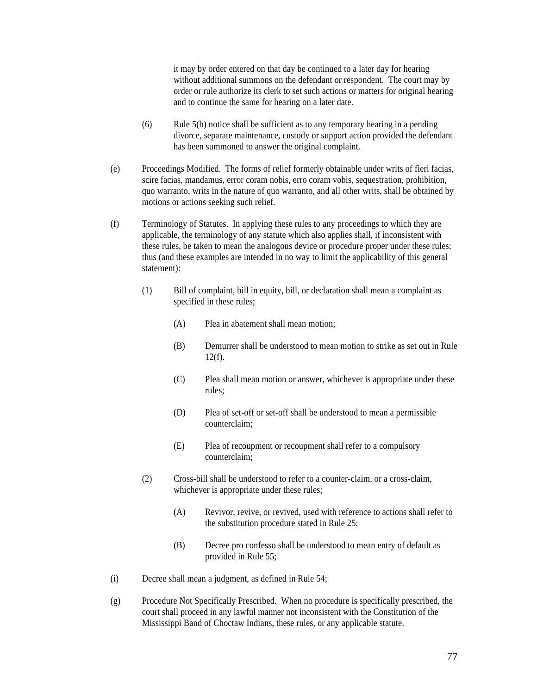it may by order entered on that day be continued to a later day for hearing without additional summons on the defendant or respondent. The court may by order or rule authorize its clerk to set such actions or matters for original hearing and to continue the same for hearing on a later date.

- (6) Rule 5(b) notice shall be sufficient as to any temporary hearing in a pending divorce, separate maintenance, custody or support action provided the defendant has been summoned to answer the original complaint.
- (e) Proceedings Modified. The forms of relief formerly obtainable under writs of fieri facias, scire facias, mandamus, error coram nobis, erro coram vobis, sequestration, prohibition, quo warranto, writs in the nature of quo warranto, and all other writs, shall be obtained by motions or actions seeking such relief.
- (f) Terminology of Statutes. In applying these rules to any proceedings to which they are applicable, the terminology of any statute which also applies shall, if inconsistent with these rules, be taken to mean the analogous device or procedure proper under these rules; thus (and these examples are intended in no way to limit the applicability of this general statement):
	- (1) Bill of complaint, bill in equity, bill, or declaration shall mean a complaint as specified in these rules;
		- (A) Plea in abatement shall mean motion;
		- (B) Demurrer shall be understood to mean motion to strike as set out in Rule 12(f).
		- (C) Plea shall mean motion or answer, whichever is appropriate under these rules;
		- (D) Plea of set-off or set-off shall be understood to mean a permissible counterclaim;
		- (E) Plea of recoupment or recoupment shall refer to a compulsory counterclaim;
	- (2) Cross-bill shall be understood to refer to a counter-claim, or a cross-claim, whichever is appropriate under these rules;
		- (A) Revivor, revive, or revived, used with reference to actions shall refer to the substitution procedure stated in Rule 25;
		- (B) Decree pro confesso shall be understood to mean entry of default as provided in Rule 55;
- (i) Decree shall mean a judgment, as defined in Rule 54;
- (g) Procedure Not Specifically Prescribed. When no procedure is specifically prescribed, the court shall proceed in any lawful manner not inconsistent with the Constitution of the Mississippi Band of Choctaw Indians, these rules, or any applicable statute.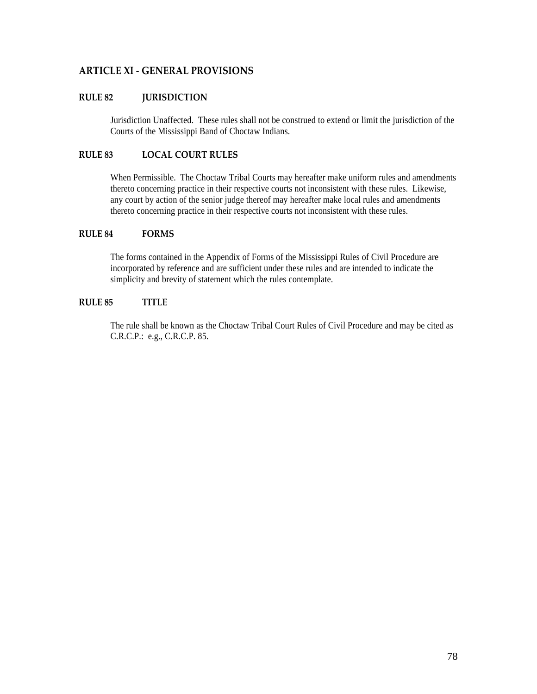## **ARTICLE XI ‐ GENERAL PROVISIONS**

### **RULE 82 JURISDICTION**

Jurisdiction Unaffected. These rules shall not be construed to extend or limit the jurisdiction of the Courts of the Mississippi Band of Choctaw Indians.

## **RULE 83 LOCAL COURT RULES**

When Permissible. The Choctaw Tribal Courts may hereafter make uniform rules and amendments thereto concerning practice in their respective courts not inconsistent with these rules. Likewise, any court by action of the senior judge thereof may hereafter make local rules and amendments thereto concerning practice in their respective courts not inconsistent with these rules.

#### **RULE 84 FORMS**

The forms contained in the Appendix of Forms of the Mississippi Rules of Civil Procedure are incorporated by reference and are sufficient under these rules and are intended to indicate the simplicity and brevity of statement which the rules contemplate.

#### **RULE 85 TITLE**

The rule shall be known as the Choctaw Tribal Court Rules of Civil Procedure and may be cited as C.R.C.P.: e.g., C.R.C.P. 85.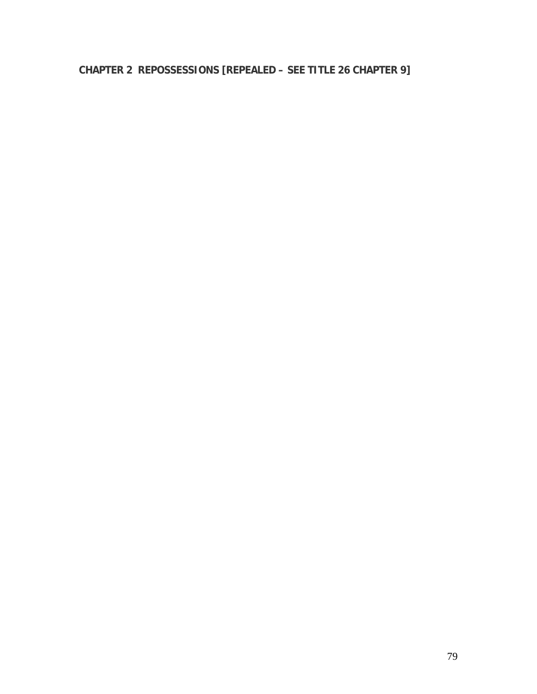# **CHAPTER 2 REPOSSESSIONS [REPEALED – SEE TITLE 26 CHAPTER 9]**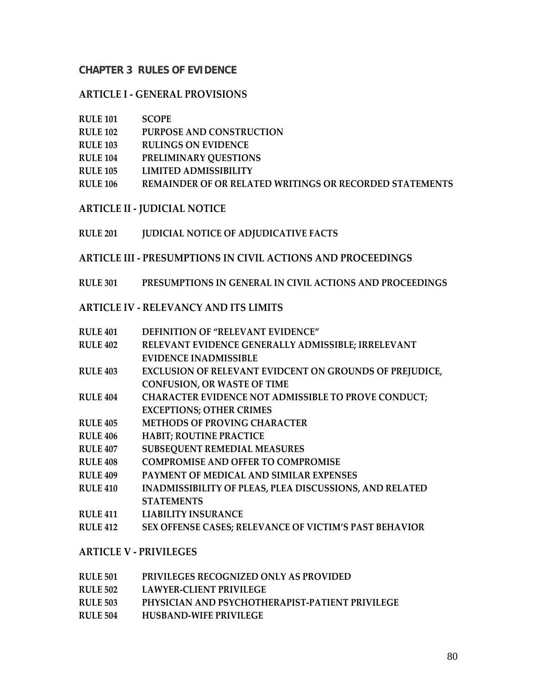## **CHAPTER 3 RULES OF EVIDENCE**

## **ARTICLE I ‐ GENERAL PROVISIONS**

| <b>RULE 101</b> | <b>SCOPE</b>                                                   |
|-----------------|----------------------------------------------------------------|
| <b>RULE 102</b> | PURPOSE AND CONSTRUCTION                                       |
| <b>RULE 103</b> | <b>RULINGS ON EVIDENCE</b>                                     |
| <b>RULE 104</b> | PRELIMINARY QUESTIONS                                          |
| <b>RULE 105</b> | LIMITED ADMISSIBILITY                                          |
| <b>RULE 106</b> | <b>REMAINDER OF OR RELATED WRITINGS OR RECORDED STATEMENTS</b> |

## **ARTICLE II ‐ JUDICIAL NOTICE**

**RULE 201 JUDICIAL NOTICE OF ADJUDICATIVE FACTS**

## **ARTICLE III ‐ PRESUMPTIONS IN CIVIL ACTIONS AND PROCEEDINGS**

**RULE 301 PRESUMPTIONS IN GENERAL IN CIVIL ACTIONS AND PROCEEDINGS**

## **ARTICLE IV ‐ RELEVANCY AND ITS LIMITS**

| <b>RULE 401</b> | DEFINITION OF "RELEVANT EVIDENCE"                              |
|-----------------|----------------------------------------------------------------|
| <b>RULE 402</b> | RELEVANT EVIDENCE GENERALLY ADMISSIBLE; IRRELEVANT             |
|                 | <b>EVIDENCE INADMISSIBLE</b>                                   |
| <b>RULE 403</b> | EXCLUSION OF RELEVANT EVIDCENT ON GROUNDS OF PREJUDICE,        |
|                 | <b>CONFUSION, OR WASTE OF TIME</b>                             |
| <b>RULE 404</b> | <b>CHARACTER EVIDENCE NOT ADMISSIBLE TO PROVE CONDUCT;</b>     |
|                 | <b>EXCEPTIONS; OTHER CRIMES</b>                                |
| <b>RULE 405</b> | <b>METHODS OF PROVING CHARACTER</b>                            |
| <b>RULE 406</b> | <b>HABIT; ROUTINE PRACTICE</b>                                 |
| <b>RULE 407</b> | <b>SUBSEQUENT REMEDIAL MEASURES</b>                            |
| <b>RULE 408</b> | <b>COMPROMISE AND OFFER TO COMPROMISE</b>                      |
| <b>RULE 409</b> | PAYMENT OF MEDICAL AND SIMILAR EXPENSES                        |
| <b>RULE 410</b> | <b>INADMISSIBILITY OF PLEAS, PLEA DISCUSSIONS, AND RELATED</b> |
|                 | <b>STATEMENTS</b>                                              |
| <b>RULE 411</b> | <b>LIABILITY INSURANCE</b>                                     |
| <b>RULE 412</b> | SEX OFFENSE CASES; RELEVANCE OF VICTIM'S PAST BEHAVIOR         |
|                 |                                                                |

## **ARTICLE V ‐ PRIVILEGES**

- **RULE 501 PRIVILEGES RECOGNIZED ONLY AS PROVIDED**
- **RULE 502 LAWYER‐CLIENT PRIVILEGE**
- **RULE 503 PHYSICIAN AND PSYCHOTHERAPIST‐PATIENT PRIVILEGE**
- **RULE 504 HUSBAND‐WIFE PRIVILEGE**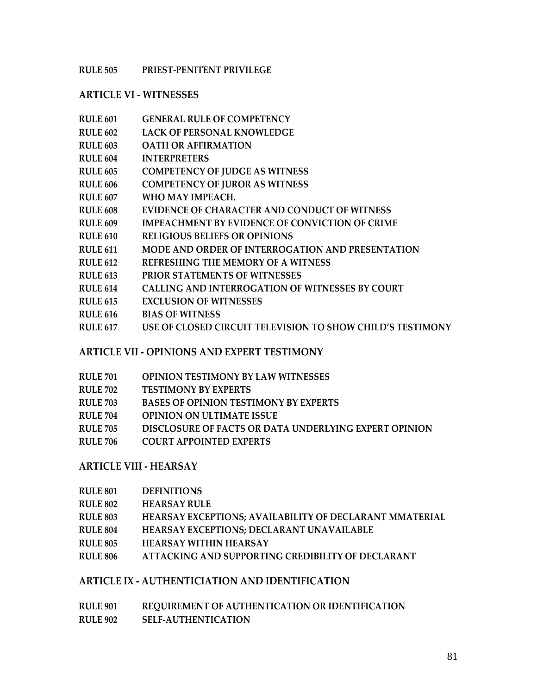## **RULE 505 PRIEST‐PENITENT PRIVILEGE**

## **ARTICLE VI ‐ WITNESSES**

- **RULE 601 GENERAL RULE OF COMPETENCY**
- **RULE 602 LACK OF PERSONAL KNOWLEDGE**
- **RULE 603 OATH OR AFFIRMATION**
- **RULE 604 INTERPRETERS**
- **RULE 605 COMPETENCY OF JUDGE AS WITNESS**
- **RULE 606 COMPETENCY OF JUROR AS WITNESS**
- **RULE 607 WHO MAY IMPEACH.**
- **RULE 608 EVIDENCE OF CHARACTER AND CONDUCT OF WITNESS**
- **RULE 609 IMPEACHMENT BY EVIDENCE OF CONVICTION OF CRIME**
- **RULE 610 RELIGIOUS BELIEFS OR OPINIONS**
- **RULE 611 MODE AND ORDER OF INTERROGATION AND PRESENTATION**
- **RULE 612 REFRESHING THE MEMORY OF A WITNESS**
- **RULE 613 PRIOR STATEMENTS OF WITNESSES**
- **RULE 614 CALLING AND INTERROGATION OF WITNESSES BY COURT**
- **RULE 615 EXCLUSION OF WITNESSES**
- **RULE 616 BIAS OF WITNESS**
- **RULE 617 USE OF CLOSED CIRCUIT TELEVISION TO SHOW CHILD'S TESTIMONY**

## **ARTICLE VII ‐ OPINIONS AND EXPERT TESTIMONY**

- **RULE 701 OPINION TESTIMONY BY LAW WITNESSES**
- **RULE 702 TESTIMONY BY EXPERTS**
- **RULE 703 BASES OF OPINION TESTIMONY BY EXPERTS**
- **RULE 704 OPINION ON ULTIMATE ISSUE**
- **RULE 705 DISCLOSURE OF FACTS OR DATA UNDERLYING EXPERT OPINION**
- **RULE 706 COURT APPOINTED EXPERTS**

## **ARTICLE VIII ‐ HEARSAY**

| <b>RULE 806</b> | ATTACKING AND SUPPORTING CREDIBILITY OF DECLARANT              |
|-----------------|----------------------------------------------------------------|
| <b>RULE 805</b> | <b>HEARSAY WITHIN HEARSAY</b>                                  |
| <b>RULE 804</b> | HEARSAY EXCEPTIONS; DECLARANT UNAVAILABLE                      |
| <b>RULE 803</b> | <b>HEARSAY EXCEPTIONS; AVAILABILITY OF DECLARANT MMATERIAL</b> |
| <b>RULE 802</b> | <b>HEARSAY RULE</b>                                            |
| <b>RULE 801</b> | <b>DEFINITIONS</b>                                             |
|                 |                                                                |

## **ARTICLE IX ‐ AUTHENTICIATION AND IDENTIFICATION**

| <b>RULE 901</b> | REQUIREMENT OF AUTHENTICATION OR IDENTIFICATION |
|-----------------|-------------------------------------------------|
| <b>RULE 902</b> | <b>SELF-AUTHENTICATION</b>                      |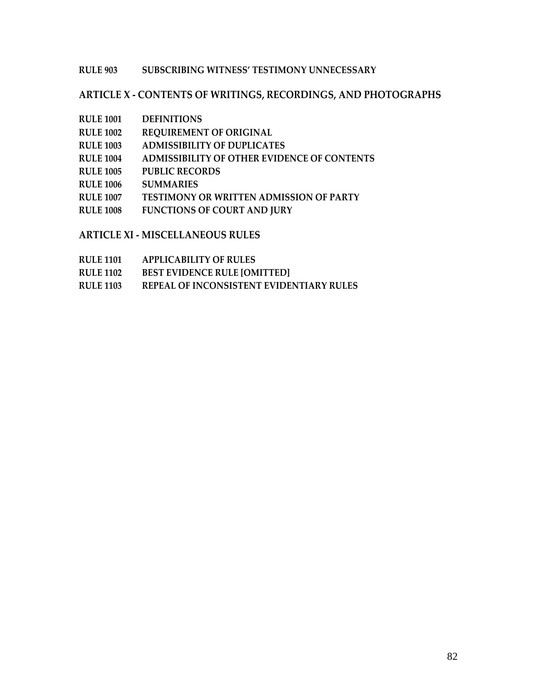## **RULE 903 SUBSCRIBING WITNESS' TESTIMONY UNNECESSARY**

**ARTICLE X ‐ CONTENTS OF WRITINGS, RECORDINGS, AND PHOTOGRAPHS**

- **RULE 1001 DEFINITIONS**
- **RULE 1002 REQUIREMENT OF ORIGINAL**
- **RULE 1003 ADMISSIBILITY OF DUPLICATES**
- **RULE 1004 ADMISSIBILITY OF OTHER EVIDENCE OF CONTENTS**
- **RULE 1005 PUBLIC RECORDS**
- **RULE 1006 SUMMARIES**
- **RULE 1007 TESTIMONY OR WRITTEN ADMISSION OF PARTY**
- **RULE 1008 FUNCTIONS OF COURT AND JURY**

**ARTICLE XI ‐ MISCELLANEOUS RULES**

- **RULE 1101 APPLICABILITY OF RULES**
- **RULE 1102 BEST EVIDENCE RULE [OMITTED]**
- **RULE 1103 REPEAL OF INCONSISTENT EVIDENTIARY RULES**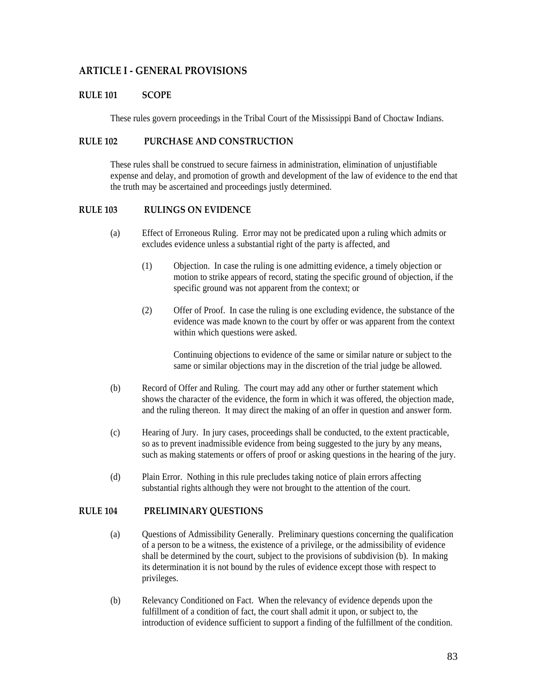## **ARTICLE I ‐ GENERAL PROVISIONS**

### **RULE 101 SCOPE**

These rules govern proceedings in the Tribal Court of the Mississippi Band of Choctaw Indians.

#### **RULE 102 PURCHASE AND CONSTRUCTION**

These rules shall be construed to secure fairness in administration, elimination of unjustifiable expense and delay, and promotion of growth and development of the law of evidence to the end that the truth may be ascertained and proceedings justly determined.

#### **RULE 103 RULINGS ON EVIDENCE**

- (a) Effect of Erroneous Ruling. Error may not be predicated upon a ruling which admits or excludes evidence unless a substantial right of the party is affected, and
	- (1) Objection. In case the ruling is one admitting evidence, a timely objection or motion to strike appears of record, stating the specific ground of objection, if the specific ground was not apparent from the context; or
	- (2) Offer of Proof. In case the ruling is one excluding evidence, the substance of the evidence was made known to the court by offer or was apparent from the context within which questions were asked.

Continuing objections to evidence of the same or similar nature or subject to the same or similar objections may in the discretion of the trial judge be allowed.

- (b) Record of Offer and Ruling. The court may add any other or further statement which shows the character of the evidence, the form in which it was offered, the objection made, and the ruling thereon. It may direct the making of an offer in question and answer form.
- (c) Hearing of Jury. In jury cases, proceedings shall be conducted, to the extent practicable, so as to prevent inadmissible evidence from being suggested to the jury by any means, such as making statements or offers of proof or asking questions in the hearing of the jury.
- (d) Plain Error. Nothing in this rule precludes taking notice of plain errors affecting substantial rights although they were not brought to the attention of the court.

#### **RULE 104 PRELIMINARY QUESTIONS**

- (a) Questions of Admissibility Generally. Preliminary questions concerning the qualification of a person to be a witness, the existence of a privilege, or the admissibility of evidence shall be determined by the court, subject to the provisions of subdivision (b). In making its determination it is not bound by the rules of evidence except those with respect to privileges.
- (b) Relevancy Conditioned on Fact. When the relevancy of evidence depends upon the fulfillment of a condition of fact, the court shall admit it upon, or subject to, the introduction of evidence sufficient to support a finding of the fulfillment of the condition.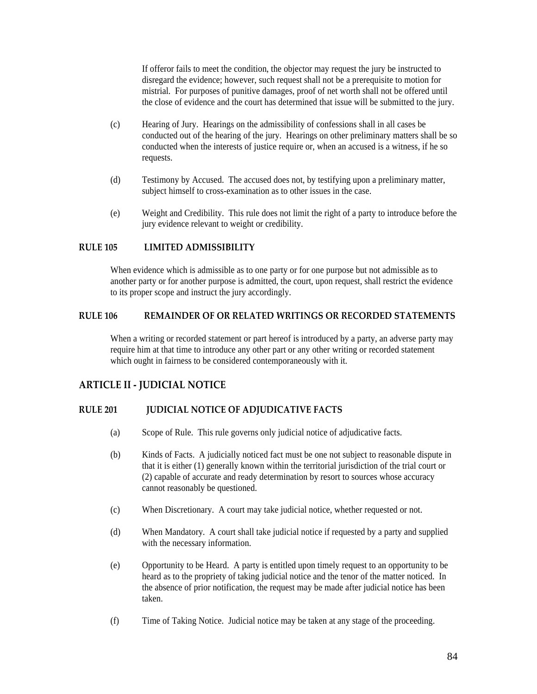If offeror fails to meet the condition, the objector may request the jury be instructed to disregard the evidence; however, such request shall not be a prerequisite to motion for mistrial. For purposes of punitive damages, proof of net worth shall not be offered until the close of evidence and the court has determined that issue will be submitted to the jury.

- (c) Hearing of Jury. Hearings on the admissibility of confessions shall in all cases be conducted out of the hearing of the jury. Hearings on other preliminary matters shall be so conducted when the interests of justice require or, when an accused is a witness, if he so requests.
- (d) Testimony by Accused. The accused does not, by testifying upon a preliminary matter, subject himself to cross-examination as to other issues in the case.
- (e) Weight and Credibility. This rule does not limit the right of a party to introduce before the jury evidence relevant to weight or credibility.

#### **RULE 105 LIMITED ADMISSIBILITY**

When evidence which is admissible as to one party or for one purpose but not admissible as to another party or for another purpose is admitted, the court, upon request, shall restrict the evidence to its proper scope and instruct the jury accordingly.

#### **RULE 106 REMAINDER OF OR RELATED WRITINGS OR RECORDED STATEMENTS**

When a writing or recorded statement or part hereof is introduced by a party, an adverse party may require him at that time to introduce any other part or any other writing or recorded statement which ought in fairness to be considered contemporaneously with it.

## **ARTICLE II ‐ JUDICIAL NOTICE**

### **RULE 201 JUDICIAL NOTICE OF ADJUDICATIVE FACTS**

- (a) Scope of Rule. This rule governs only judicial notice of adjudicative facts.
- (b) Kinds of Facts. A judicially noticed fact must be one not subject to reasonable dispute in that it is either (1) generally known within the territorial jurisdiction of the trial court or (2) capable of accurate and ready determination by resort to sources whose accuracy cannot reasonably be questioned.
- (c) When Discretionary. A court may take judicial notice, whether requested or not.
- (d) When Mandatory. A court shall take judicial notice if requested by a party and supplied with the necessary information.
- (e) Opportunity to be Heard. A party is entitled upon timely request to an opportunity to be heard as to the propriety of taking judicial notice and the tenor of the matter noticed. In the absence of prior notification, the request may be made after judicial notice has been taken.
- (f) Time of Taking Notice. Judicial notice may be taken at any stage of the proceeding.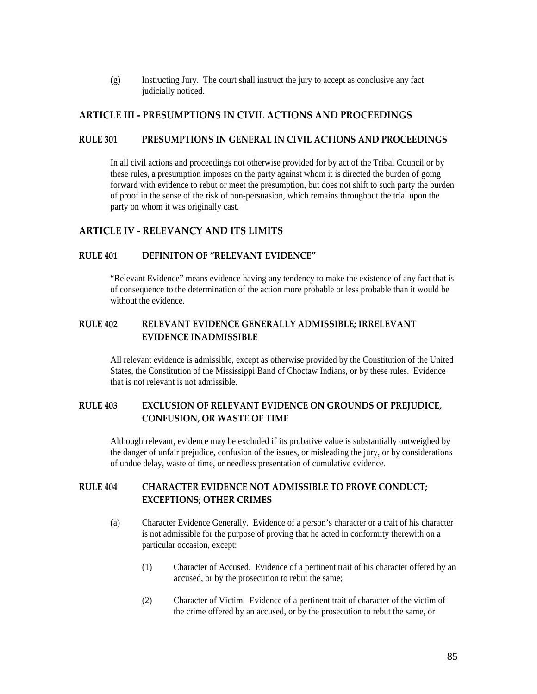(g) Instructing Jury. The court shall instruct the jury to accept as conclusive any fact judicially noticed.

## **ARTICLE III ‐ PRESUMPTIONS IN CIVIL ACTIONS AND PROCEEDINGS**

#### **RULE 301 PRESUMPTIONS IN GENERAL IN CIVIL ACTIONS AND PROCEEDINGS**

In all civil actions and proceedings not otherwise provided for by act of the Tribal Council or by these rules, a presumption imposes on the party against whom it is directed the burden of going forward with evidence to rebut or meet the presumption, but does not shift to such party the burden of proof in the sense of the risk of non-persuasion, which remains throughout the trial upon the party on whom it was originally cast.

## **ARTICLE IV ‐ RELEVANCY AND ITS LIMITS**

### **RULE 401 DEFINITON OF "RELEVANT EVIDENCE"**

"Relevant Evidence" means evidence having any tendency to make the existence of any fact that is of consequence to the determination of the action more probable or less probable than it would be without the evidence.

## **RULE 402 RELEVANT EVIDENCE GENERALLY ADMISSIBLE; IRRELEVANT EVIDENCE INADMISSIBLE**

All relevant evidence is admissible, except as otherwise provided by the Constitution of the United States, the Constitution of the Mississippi Band of Choctaw Indians, or by these rules. Evidence that is not relevant is not admissible.

## **RULE 403 EXCLUSION OF RELEVANT EVIDENCE ON GROUNDS OF PREJUDICE, CONFUSION, OR WASTE OF TIME**

Although relevant, evidence may be excluded if its probative value is substantially outweighed by the danger of unfair prejudice, confusion of the issues, or misleading the jury, or by considerations of undue delay, waste of time, or needless presentation of cumulative evidence.

## **RULE 404 CHARACTER EVIDENCE NOT ADMISSIBLE TO PROVE CONDUCT; EXCEPTIONS; OTHER CRIMES**

- (a) Character Evidence Generally. Evidence of a person's character or a trait of his character is not admissible for the purpose of proving that he acted in conformity therewith on a particular occasion, except:
	- (1) Character of Accused. Evidence of a pertinent trait of his character offered by an accused, or by the prosecution to rebut the same;
	- (2) Character of Victim. Evidence of a pertinent trait of character of the victim of the crime offered by an accused, or by the prosecution to rebut the same, or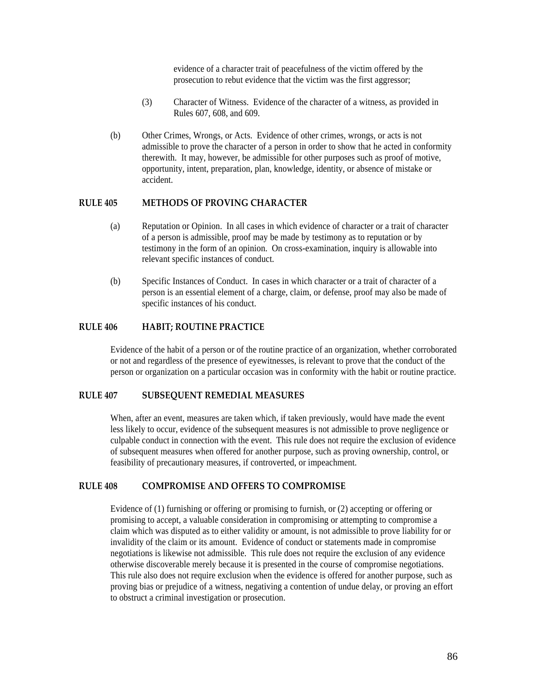evidence of a character trait of peacefulness of the victim offered by the prosecution to rebut evidence that the victim was the first aggressor;

- (3) Character of Witness. Evidence of the character of a witness, as provided in Rules 607, 608, and 609.
- (b) Other Crimes, Wrongs, or Acts. Evidence of other crimes, wrongs, or acts is not admissible to prove the character of a person in order to show that he acted in conformity therewith. It may, however, be admissible for other purposes such as proof of motive, opportunity, intent, preparation, plan, knowledge, identity, or absence of mistake or accident.

## **RULE 405 METHODS OF PROVING CHARACTER**

- (a) Reputation or Opinion. In all cases in which evidence of character or a trait of character of a person is admissible, proof may be made by testimony as to reputation or by testimony in the form of an opinion. On cross-examination, inquiry is allowable into relevant specific instances of conduct.
- (b) Specific Instances of Conduct. In cases in which character or a trait of character of a person is an essential element of a charge, claim, or defense, proof may also be made of specific instances of his conduct.

#### **RULE 406 HABIT; ROUTINE PRACTICE**

Evidence of the habit of a person or of the routine practice of an organization, whether corroborated or not and regardless of the presence of eyewitnesses, is relevant to prove that the conduct of the person or organization on a particular occasion was in conformity with the habit or routine practice.

### **RULE 407 SUBSEQUENT REMEDIAL MEASURES**

When, after an event, measures are taken which, if taken previously, would have made the event less likely to occur, evidence of the subsequent measures is not admissible to prove negligence or culpable conduct in connection with the event. This rule does not require the exclusion of evidence of subsequent measures when offered for another purpose, such as proving ownership, control, or feasibility of precautionary measures, if controverted, or impeachment.

#### **RULE 408 COMPROMISE AND OFFERS TO COMPROMISE**

Evidence of (1) furnishing or offering or promising to furnish, or (2) accepting or offering or promising to accept, a valuable consideration in compromising or attempting to compromise a claim which was disputed as to either validity or amount, is not admissible to prove liability for or invalidity of the claim or its amount. Evidence of conduct or statements made in compromise negotiations is likewise not admissible. This rule does not require the exclusion of any evidence otherwise discoverable merely because it is presented in the course of compromise negotiations. This rule also does not require exclusion when the evidence is offered for another purpose, such as proving bias or prejudice of a witness, negativing a contention of undue delay, or proving an effort to obstruct a criminal investigation or prosecution.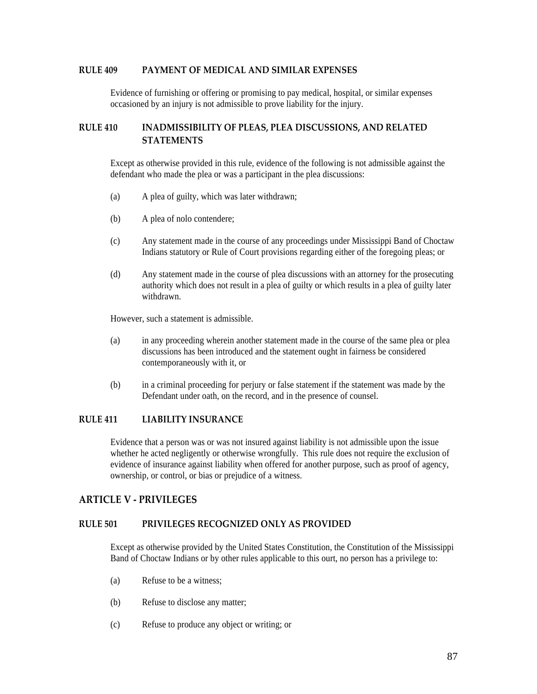#### **RULE 409 PAYMENT OF MEDICAL AND SIMILAR EXPENSES**

Evidence of furnishing or offering or promising to pay medical, hospital, or similar expenses occasioned by an injury is not admissible to prove liability for the injury.

## **RULE 410 INADMISSIBILITY OF PLEAS, PLEA DISCUSSIONS, AND RELATED STATEMENTS**

Except as otherwise provided in this rule, evidence of the following is not admissible against the defendant who made the plea or was a participant in the plea discussions:

- (a) A plea of guilty, which was later withdrawn;
- (b) A plea of nolo contendere;
- (c) Any statement made in the course of any proceedings under Mississippi Band of Choctaw Indians statutory or Rule of Court provisions regarding either of the foregoing pleas; or
- (d) Any statement made in the course of plea discussions with an attorney for the prosecuting authority which does not result in a plea of guilty or which results in a plea of guilty later withdrawn.

However, such a statement is admissible.

- (a) in any proceeding wherein another statement made in the course of the same plea or plea discussions has been introduced and the statement ought in fairness be considered contemporaneously with it, or
- (b) in a criminal proceeding for perjury or false statement if the statement was made by the Defendant under oath, on the record, and in the presence of counsel.

#### **RULE 411 LIABILITY INSURANCE**

Evidence that a person was or was not insured against liability is not admissible upon the issue whether he acted negligently or otherwise wrongfully. This rule does not require the exclusion of evidence of insurance against liability when offered for another purpose, such as proof of agency, ownership, or control, or bias or prejudice of a witness.

### **ARTICLE V ‐ PRIVILEGES**

#### **RULE 501 PRIVILEGES RECOGNIZED ONLY AS PROVIDED**

Except as otherwise provided by the United States Constitution, the Constitution of the Mississippi Band of Choctaw Indians or by other rules applicable to this ourt, no person has a privilege to:

- (a) Refuse to be a witness;
- (b) Refuse to disclose any matter;
- (c) Refuse to produce any object or writing; or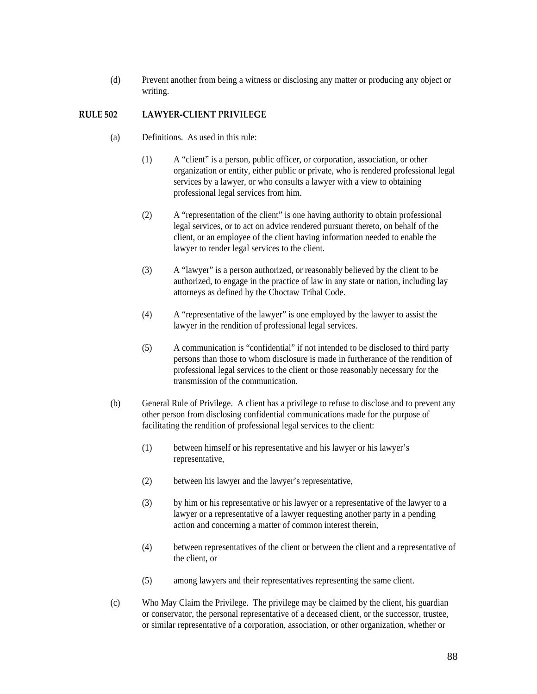(d) Prevent another from being a witness or disclosing any matter or producing any object or writing.

#### **RULE 502 LAWYER‐CLIENT PRIVILEGE**

- (a) Definitions. As used in this rule:
	- (1) A "client" is a person, public officer, or corporation, association, or other organization or entity, either public or private, who is rendered professional legal services by a lawyer, or who consults a lawyer with a view to obtaining professional legal services from him.
	- (2) A "representation of the client" is one having authority to obtain professional legal services, or to act on advice rendered pursuant thereto, on behalf of the client, or an employee of the client having information needed to enable the lawyer to render legal services to the client.
	- (3) A "lawyer" is a person authorized, or reasonably believed by the client to be authorized, to engage in the practice of law in any state or nation, including lay attorneys as defined by the Choctaw Tribal Code.
	- (4) A "representative of the lawyer" is one employed by the lawyer to assist the lawyer in the rendition of professional legal services.
	- (5) A communication is "confidential" if not intended to be disclosed to third party persons than those to whom disclosure is made in furtherance of the rendition of professional legal services to the client or those reasonably necessary for the transmission of the communication.
- (b) General Rule of Privilege. A client has a privilege to refuse to disclose and to prevent any other person from disclosing confidential communications made for the purpose of facilitating the rendition of professional legal services to the client:
	- (1) between himself or his representative and his lawyer or his lawyer's representative,
	- (2) between his lawyer and the lawyer's representative,
	- (3) by him or his representative or his lawyer or a representative of the lawyer to a lawyer or a representative of a lawyer requesting another party in a pending action and concerning a matter of common interest therein,
	- (4) between representatives of the client or between the client and a representative of the client, or
	- (5) among lawyers and their representatives representing the same client.
- (c) Who May Claim the Privilege. The privilege may be claimed by the client, his guardian or conservator, the personal representative of a deceased client, or the successor, trustee, or similar representative of a corporation, association, or other organization, whether or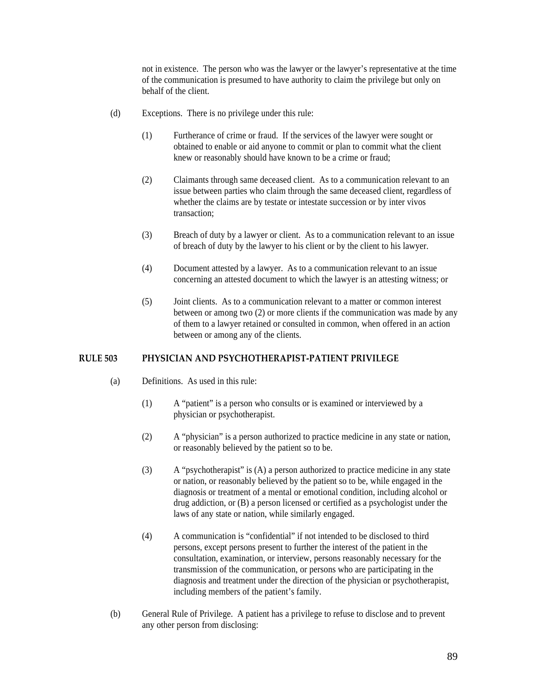not in existence. The person who was the lawyer or the lawyer's representative at the time of the communication is presumed to have authority to claim the privilege but only on behalf of the client.

- (d) Exceptions. There is no privilege under this rule:
	- (1) Furtherance of crime or fraud. If the services of the lawyer were sought or obtained to enable or aid anyone to commit or plan to commit what the client knew or reasonably should have known to be a crime or fraud;
	- (2) Claimants through same deceased client. As to a communication relevant to an issue between parties who claim through the same deceased client, regardless of whether the claims are by testate or intestate succession or by inter vivos transaction;
	- (3) Breach of duty by a lawyer or client. As to a communication relevant to an issue of breach of duty by the lawyer to his client or by the client to his lawyer.
	- (4) Document attested by a lawyer. As to a communication relevant to an issue concerning an attested document to which the lawyer is an attesting witness; or
	- (5) Joint clients. As to a communication relevant to a matter or common interest between or among two (2) or more clients if the communication was made by any of them to a lawyer retained or consulted in common, when offered in an action between or among any of the clients.

### **RULE 503 PHYSICIAN AND PSYCHOTHERAPIST‐PATIENT PRIVILEGE**

- (a) Definitions. As used in this rule:
	- (1) A "patient" is a person who consults or is examined or interviewed by a physician or psychotherapist.
	- (2) A "physician" is a person authorized to practice medicine in any state or nation, or reasonably believed by the patient so to be.
	- (3) A "psychotherapist" is (A) a person authorized to practice medicine in any state or nation, or reasonably believed by the patient so to be, while engaged in the diagnosis or treatment of a mental or emotional condition, including alcohol or drug addiction, or (B) a person licensed or certified as a psychologist under the laws of any state or nation, while similarly engaged.
	- (4) A communication is "confidential" if not intended to be disclosed to third persons, except persons present to further the interest of the patient in the consultation, examination, or interview, persons reasonably necessary for the transmission of the communication, or persons who are participating in the diagnosis and treatment under the direction of the physician or psychotherapist, including members of the patient's family.
- (b) General Rule of Privilege. A patient has a privilege to refuse to disclose and to prevent any other person from disclosing: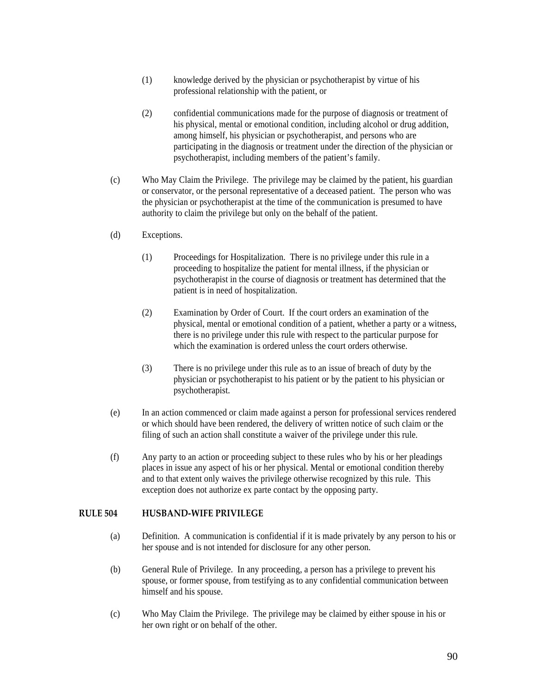- (1) knowledge derived by the physician or psychotherapist by virtue of his professional relationship with the patient, or
- (2) confidential communications made for the purpose of diagnosis or treatment of his physical, mental or emotional condition, including alcohol or drug addition, among himself, his physician or psychotherapist, and persons who are participating in the diagnosis or treatment under the direction of the physician or psychotherapist, including members of the patient's family.
- (c) Who May Claim the Privilege. The privilege may be claimed by the patient, his guardian or conservator, or the personal representative of a deceased patient. The person who was the physician or psychotherapist at the time of the communication is presumed to have authority to claim the privilege but only on the behalf of the patient.
- (d) Exceptions.
	- (1) Proceedings for Hospitalization. There is no privilege under this rule in a proceeding to hospitalize the patient for mental illness, if the physician or psychotherapist in the course of diagnosis or treatment has determined that the patient is in need of hospitalization.
	- (2) Examination by Order of Court. If the court orders an examination of the physical, mental or emotional condition of a patient, whether a party or a witness, there is no privilege under this rule with respect to the particular purpose for which the examination is ordered unless the court orders otherwise.
	- (3) There is no privilege under this rule as to an issue of breach of duty by the physician or psychotherapist to his patient or by the patient to his physician or psychotherapist.
- (e) In an action commenced or claim made against a person for professional services rendered or which should have been rendered, the delivery of written notice of such claim or the filing of such an action shall constitute a waiver of the privilege under this rule.
- (f) Any party to an action or proceeding subject to these rules who by his or her pleadings places in issue any aspect of his or her physical. Mental or emotional condition thereby and to that extent only waives the privilege otherwise recognized by this rule. This exception does not authorize ex parte contact by the opposing party.

#### **RULE 504 HUSBAND‐WIFE PRIVILEGE**

- (a) Definition. A communication is confidential if it is made privately by any person to his or her spouse and is not intended for disclosure for any other person.
- (b) General Rule of Privilege. In any proceeding, a person has a privilege to prevent his spouse, or former spouse, from testifying as to any confidential communication between himself and his spouse.
- (c) Who May Claim the Privilege. The privilege may be claimed by either spouse in his or her own right or on behalf of the other.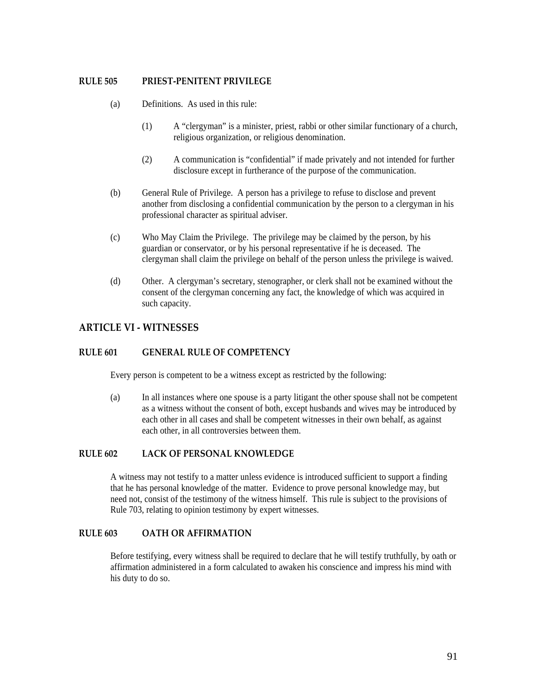#### **RULE 505 PRIEST‐PENITENT PRIVILEGE**

- (a) Definitions. As used in this rule:
	- (1) A "clergyman" is a minister, priest, rabbi or other similar functionary of a church, religious organization, or religious denomination.
	- (2) A communication is "confidential" if made privately and not intended for further disclosure except in furtherance of the purpose of the communication.
- (b) General Rule of Privilege. A person has a privilege to refuse to disclose and prevent another from disclosing a confidential communication by the person to a clergyman in his professional character as spiritual adviser.
- (c) Who May Claim the Privilege. The privilege may be claimed by the person, by his guardian or conservator, or by his personal representative if he is deceased. The clergyman shall claim the privilege on behalf of the person unless the privilege is waived.
- (d) Other. A clergyman's secretary, stenographer, or clerk shall not be examined without the consent of the clergyman concerning any fact, the knowledge of which was acquired in such capacity.

## **ARTICLE VI ‐ WITNESSES**

### **RULE 601 GENERAL RULE OF COMPETENCY**

Every person is competent to be a witness except as restricted by the following:

(a) In all instances where one spouse is a party litigant the other spouse shall not be competent as a witness without the consent of both, except husbands and wives may be introduced by each other in all cases and shall be competent witnesses in their own behalf, as against each other, in all controversies between them.

### **RULE 602 LACK OF PERSONAL KNOWLEDGE**

A witness may not testify to a matter unless evidence is introduced sufficient to support a finding that he has personal knowledge of the matter. Evidence to prove personal knowledge may, but need not, consist of the testimony of the witness himself. This rule is subject to the provisions of Rule 703, relating to opinion testimony by expert witnesses.

### **RULE 603 OATH OR AFFIRMATION**

Before testifying, every witness shall be required to declare that he will testify truthfully, by oath or affirmation administered in a form calculated to awaken his conscience and impress his mind with his duty to do so.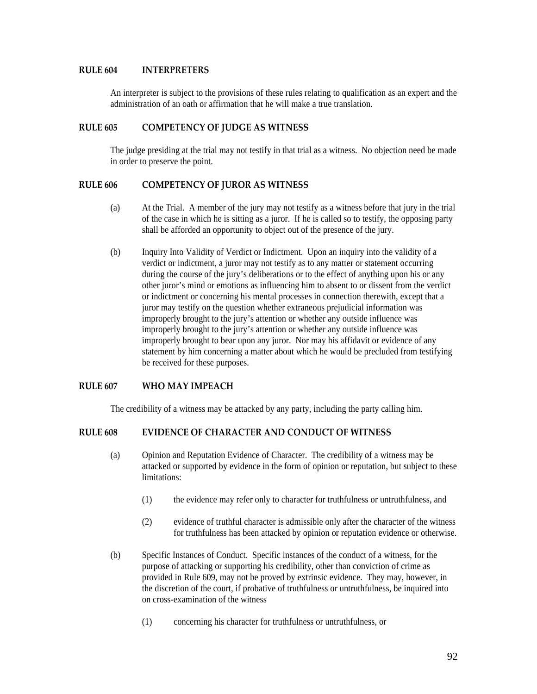#### **RULE 604 INTERPRETERS**

An interpreter is subject to the provisions of these rules relating to qualification as an expert and the administration of an oath or affirmation that he will make a true translation.

#### **RULE 605 COMPETENCY OF JUDGE AS WITNESS**

The judge presiding at the trial may not testify in that trial as a witness. No objection need be made in order to preserve the point.

### **RULE 606 COMPETENCY OF JUROR AS WITNESS**

- (a) At the Trial. A member of the jury may not testify as a witness before that jury in the trial of the case in which he is sitting as a juror. If he is called so to testify, the opposing party shall be afforded an opportunity to object out of the presence of the jury.
- (b) Inquiry Into Validity of Verdict or Indictment. Upon an inquiry into the validity of a verdict or indictment, a juror may not testify as to any matter or statement occurring during the course of the jury's deliberations or to the effect of anything upon his or any other juror's mind or emotions as influencing him to absent to or dissent from the verdict or indictment or concerning his mental processes in connection therewith, except that a juror may testify on the question whether extraneous prejudicial information was improperly brought to the jury's attention or whether any outside influence was improperly brought to the jury's attention or whether any outside influence was improperly brought to bear upon any juror. Nor may his affidavit or evidence of any statement by him concerning a matter about which he would be precluded from testifying be received for these purposes.

#### **RULE 607 WHO MAY IMPEACH**

The credibility of a witness may be attacked by any party, including the party calling him.

#### **RULE 608 EVIDENCE OF CHARACTER AND CONDUCT OF WITNESS**

- (a) Opinion and Reputation Evidence of Character. The credibility of a witness may be attacked or supported by evidence in the form of opinion or reputation, but subject to these limitations:
	- (1) the evidence may refer only to character for truthfulness or untruthfulness, and
	- (2) evidence of truthful character is admissible only after the character of the witness for truthfulness has been attacked by opinion or reputation evidence or otherwise.
- (b) Specific Instances of Conduct. Specific instances of the conduct of a witness, for the purpose of attacking or supporting his credibility, other than conviction of crime as provided in Rule 609, may not be proved by extrinsic evidence. They may, however, in the discretion of the court, if probative of truthfulness or untruthfulness, be inquired into on cross-examination of the witness
	- (1) concerning his character for truthfulness or untruthfulness, or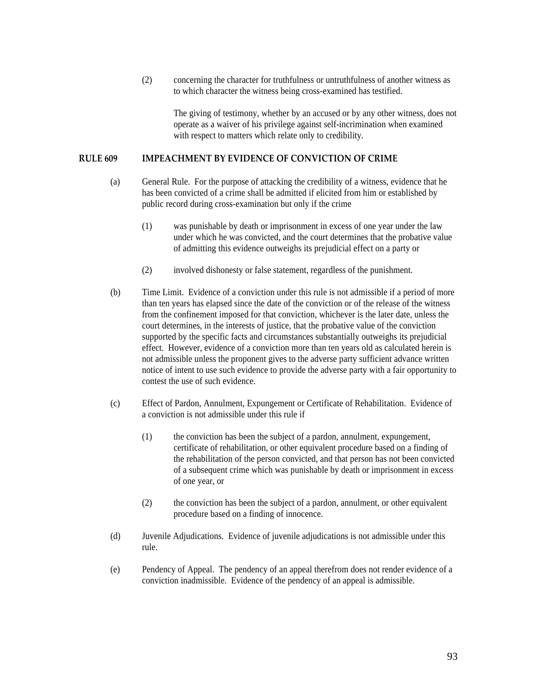(2) concerning the character for truthfulness or untruthfulness of another witness as to which character the witness being cross-examined has testified.

The giving of testimony, whether by an accused or by any other witness, does not operate as a waiver of his privilege against self-incrimination when examined with respect to matters which relate only to credibility.

## **RULE 609 IMPEACHMENT BY EVIDENCE OF CONVICTION OF CRIME**

- (a) General Rule. For the purpose of attacking the credibility of a witness, evidence that he has been convicted of a crime shall be admitted if elicited from him or established by public record during cross-examination but only if the crime
	- (1) was punishable by death or imprisonment in excess of one year under the law under which he was convicted, and the court determines that the probative value of admitting this evidence outweighs its prejudicial effect on a party or
	- (2) involved dishonesty or false statement, regardless of the punishment.
- (b) Time Limit. Evidence of a conviction under this rule is not admissible if a period of more than ten years has elapsed since the date of the conviction or of the release of the witness from the confinement imposed for that conviction, whichever is the later date, unless the court determines, in the interests of justice, that the probative value of the conviction supported by the specific facts and circumstances substantially outweighs its prejudicial effect. However, evidence of a conviction more than ten years old as calculated herein is not admissible unless the proponent gives to the adverse party sufficient advance written notice of intent to use such evidence to provide the adverse party with a fair opportunity to contest the use of such evidence.
- (c) Effect of Pardon, Annulment, Expungement or Certificate of Rehabilitation. Evidence of a conviction is not admissible under this rule if
	- (1) the conviction has been the subject of a pardon, annulment, expungement, certificate of rehabilitation, or other equivalent procedure based on a finding of the rehabilitation of the person convicted, and that person has not been convicted of a subsequent crime which was punishable by death or imprisonment in excess of one year, or
	- (2) the conviction has been the subject of a pardon, annulment, or other equivalent procedure based on a finding of innocence.
- (d) Juvenile Adjudications. Evidence of juvenile adjudications is not admissible under this rule.
- (e) Pendency of Appeal. The pendency of an appeal therefrom does not render evidence of a conviction inadmissible. Evidence of the pendency of an appeal is admissible.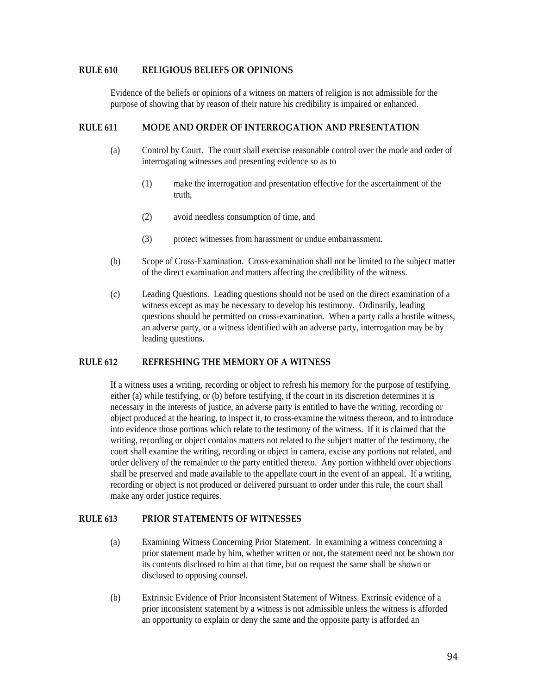#### **RULE 610 RELIGIOUS BELIEFS OR OPINIONS**

Evidence of the beliefs or opinions of a witness on matters of religion is not admissible for the purpose of showing that by reason of their nature his credibility is impaired or enhanced.

### **RULE 611 MODE AND ORDER OF INTERROGATION AND PRESENTATION**

- (a) Control by Court. The court shall exercise reasonable control over the mode and order of interrogating witnesses and presenting evidence so as to
	- (1) make the interrogation and presentation effective for the ascertainment of the truth,
	- (2) avoid needless consumption of time, and
	- (3) protect witnesses from harassment or undue embarrassment.
- (b) Scope of Cross-Examination. Cross-examination shall not be limited to the subject matter of the direct examination and matters affecting the credibility of the witness.
- (c) Leading Questions. Leading questions should not be used on the direct examination of a witness except as may be necessary to develop his testimony. Ordinarily, leading questions should be permitted on cross-examination. When a party calls a hostile witness, an adverse party, or a witness identified with an adverse party, interrogation may be by leading questions.

#### **RULE 612 REFRESHING THE MEMORY OF A WITNESS**

If a witness uses a writing, recording or object to refresh his memory for the purpose of testifying, either (a) while testifying, or (b) before testifying, if the court in its discretion determines it is necessary in the interests of justice, an adverse party is entitled to have the writing, recording or object produced at the hearing, to inspect it, to cross-examine the witness thereon, and to introduce into evidence those portions which relate to the testimony of the witness. If it is claimed that the writing, recording or object contains matters not related to the subject matter of the testimony, the court shall examine the writing, recording or object in camera, excise any portions not related, and order delivery of the remainder to the party entitled thereto. Any portion withheld over objections shall be preserved and made available to the appellate court in the event of an appeal. If a writing, recording or object is not produced or delivered pursuant to order under this rule, the court shall make any order justice requires.

#### **RULE 613 PRIOR STATEMENTS OF WITNESSES**

- (a) Examining Witness Concerning Prior Statement. In examining a witness concerning a prior statement made by him, whether written or not, the statement need not be shown nor its contents disclosed to him at that time, but on request the same shall be shown or disclosed to opposing counsel.
- (b) Extrinsic Evidence of Prior Inconsistent Statement of Witness. Extrinsic evidence of a prior inconsistent statement by a witness is not admissible unless the witness is afforded an opportunity to explain or deny the same and the opposite party is afforded an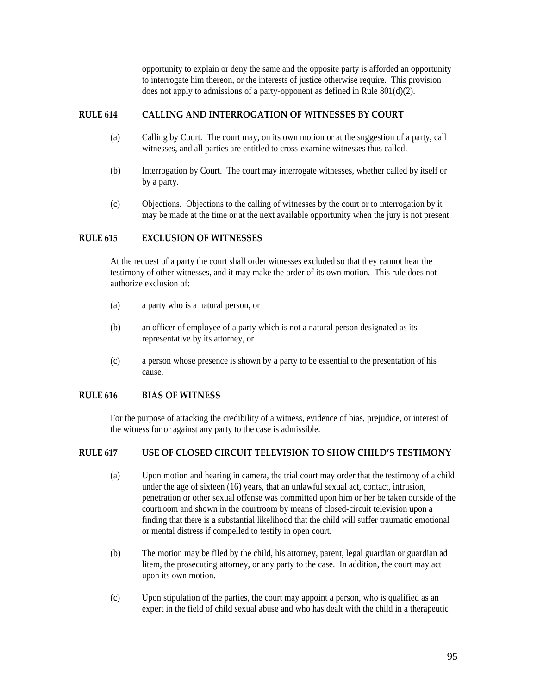opportunity to explain or deny the same and the opposite party is afforded an opportunity to interrogate him thereon, or the interests of justice otherwise require. This provision does not apply to admissions of a party-opponent as defined in Rule 801(d)(2).

#### **RULE 614 CALLING AND INTERROGATION OF WITNESSES BY COURT**

- (a) Calling by Court. The court may, on its own motion or at the suggestion of a party, call witnesses, and all parties are entitled to cross-examine witnesses thus called.
- (b) Interrogation by Court. The court may interrogate witnesses, whether called by itself or by a party.
- (c) Objections. Objections to the calling of witnesses by the court or to interrogation by it may be made at the time or at the next available opportunity when the jury is not present.

#### **RULE 615 EXCLUSION OF WITNESSES**

At the request of a party the court shall order witnesses excluded so that they cannot hear the testimony of other witnesses, and it may make the order of its own motion. This rule does not authorize exclusion of:

- (a) a party who is a natural person, or
- (b) an officer of employee of a party which is not a natural person designated as its representative by its attorney, or
- (c) a person whose presence is shown by a party to be essential to the presentation of his cause.

#### **RULE 616 BIAS OF WITNESS**

For the purpose of attacking the credibility of a witness, evidence of bias, prejudice, or interest of the witness for or against any party to the case is admissible.

### **RULE 617 USE OF CLOSED CIRCUIT TELEVISION TO SHOW CHILD'S TESTIMONY**

- (a) Upon motion and hearing in camera, the trial court may order that the testimony of a child under the age of sixteen (16) years, that an unlawful sexual act, contact, intrusion, penetration or other sexual offense was committed upon him or her be taken outside of the courtroom and shown in the courtroom by means of closed-circuit television upon a finding that there is a substantial likelihood that the child will suffer traumatic emotional or mental distress if compelled to testify in open court.
- (b) The motion may be filed by the child, his attorney, parent, legal guardian or guardian ad litem, the prosecuting attorney, or any party to the case. In addition, the court may act upon its own motion.
- (c) Upon stipulation of the parties, the court may appoint a person, who is qualified as an expert in the field of child sexual abuse and who has dealt with the child in a therapeutic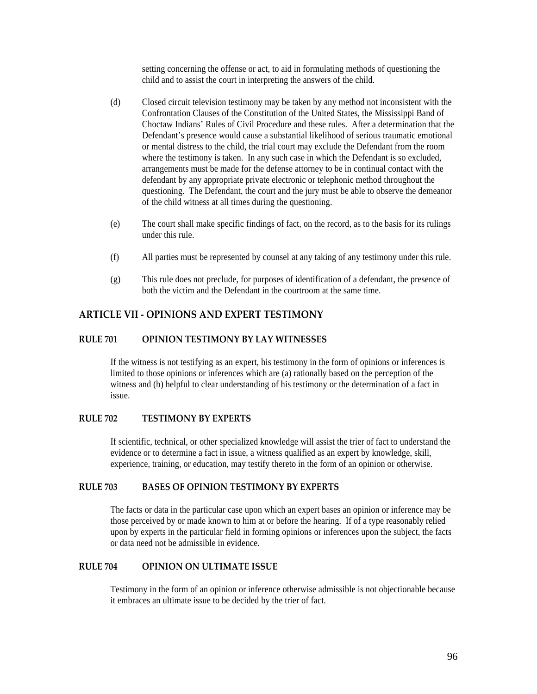setting concerning the offense or act, to aid in formulating methods of questioning the child and to assist the court in interpreting the answers of the child.

- (d) Closed circuit television testimony may be taken by any method not inconsistent with the Confrontation Clauses of the Constitution of the United States, the Mississippi Band of Choctaw Indians' Rules of Civil Procedure and these rules. After a determination that the Defendant's presence would cause a substantial likelihood of serious traumatic emotional or mental distress to the child, the trial court may exclude the Defendant from the room where the testimony is taken. In any such case in which the Defendant is so excluded, arrangements must be made for the defense attorney to be in continual contact with the defendant by any appropriate private electronic or telephonic method throughout the questioning. The Defendant, the court and the jury must be able to observe the demeanor of the child witness at all times during the questioning.
- (e) The court shall make specific findings of fact, on the record, as to the basis for its rulings under this rule.
- (f) All parties must be represented by counsel at any taking of any testimony under this rule.
- (g) This rule does not preclude, for purposes of identification of a defendant, the presence of both the victim and the Defendant in the courtroom at the same time.

## **ARTICLE VII ‐ OPINIONS AND EXPERT TESTIMONY**

#### **RULE 701 OPINION TESTIMONY BY LAY WITNESSES**

If the witness is not testifying as an expert, his testimony in the form of opinions or inferences is limited to those opinions or inferences which are (a) rationally based on the perception of the witness and (b) helpful to clear understanding of his testimony or the determination of a fact in issue.

#### **RULE 702 TESTIMONY BY EXPERTS**

If scientific, technical, or other specialized knowledge will assist the trier of fact to understand the evidence or to determine a fact in issue, a witness qualified as an expert by knowledge, skill, experience, training, or education, may testify thereto in the form of an opinion or otherwise.

#### **RULE 703 BASES OF OPINION TESTIMONY BY EXPERTS**

The facts or data in the particular case upon which an expert bases an opinion or inference may be those perceived by or made known to him at or before the hearing. If of a type reasonably relied upon by experts in the particular field in forming opinions or inferences upon the subject, the facts or data need not be admissible in evidence.

### **RULE 704 OPINION ON ULTIMATE ISSUE**

Testimony in the form of an opinion or inference otherwise admissible is not objectionable because it embraces an ultimate issue to be decided by the trier of fact.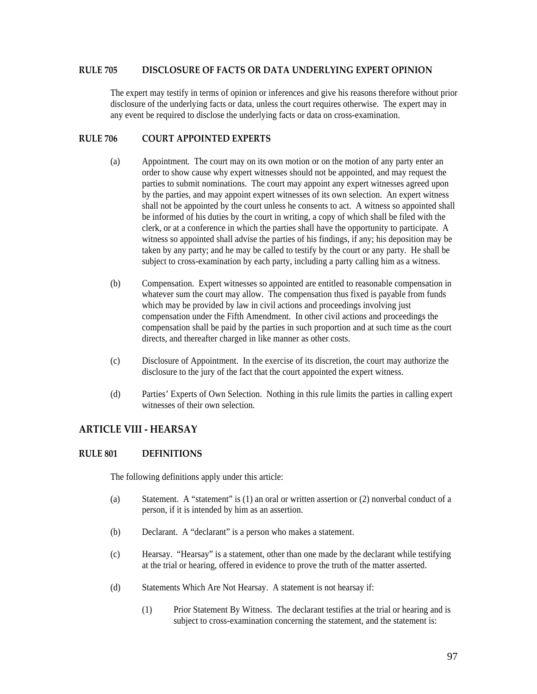### **RULE 705 DISCLOSURE OF FACTS OR DATA UNDERLYING EXPERT OPINION**

The expert may testify in terms of opinion or inferences and give his reasons therefore without prior disclosure of the underlying facts or data, unless the court requires otherwise. The expert may in any event be required to disclose the underlying facts or data on cross-examination.

#### **RULE 706 COURT APPOINTED EXPERTS**

- (a) Appointment. The court may on its own motion or on the motion of any party enter an order to show cause why expert witnesses should not be appointed, and may request the parties to submit nominations. The court may appoint any expert witnesses agreed upon by the parties, and may appoint expert witnesses of its own selection. An expert witness shall not be appointed by the court unless he consents to act. A witness so appointed shall be informed of his duties by the court in writing, a copy of which shall be filed with the clerk, or at a conference in which the parties shall have the opportunity to participate. A witness so appointed shall advise the parties of his findings, if any; his deposition may be taken by any party; and he may be called to testify by the court or any party. He shall be subject to cross-examination by each party, including a party calling him as a witness.
- (b) Compensation. Expert witnesses so appointed are entitled to reasonable compensation in whatever sum the court may allow. The compensation thus fixed is payable from funds which may be provided by law in civil actions and proceedings involving just compensation under the Fifth Amendment. In other civil actions and proceedings the compensation shall be paid by the parties in such proportion and at such time as the court directs, and thereafter charged in like manner as other costs.
- (c) Disclosure of Appointment. In the exercise of its discretion, the court may authorize the disclosure to the jury of the fact that the court appointed the expert witness.
- (d) Parties' Experts of Own Selection. Nothing in this rule limits the parties in calling expert witnesses of their own selection.

## **ARTICLE VIII ‐ HEARSAY**

#### **RULE 801 DEFINITIONS**

The following definitions apply under this article:

- (a) Statement. A "statement" is (1) an oral or written assertion or (2) nonverbal conduct of a person, if it is intended by him as an assertion.
- (b) Declarant. A "declarant" is a person who makes a statement.
- (c) Hearsay. "Hearsay" is a statement, other than one made by the declarant while testifying at the trial or hearing, offered in evidence to prove the truth of the matter asserted.
- (d) Statements Which Are Not Hearsay. A statement is not hearsay if:
	- (1) Prior Statement By Witness. The declarant testifies at the trial or hearing and is subject to cross-examination concerning the statement, and the statement is: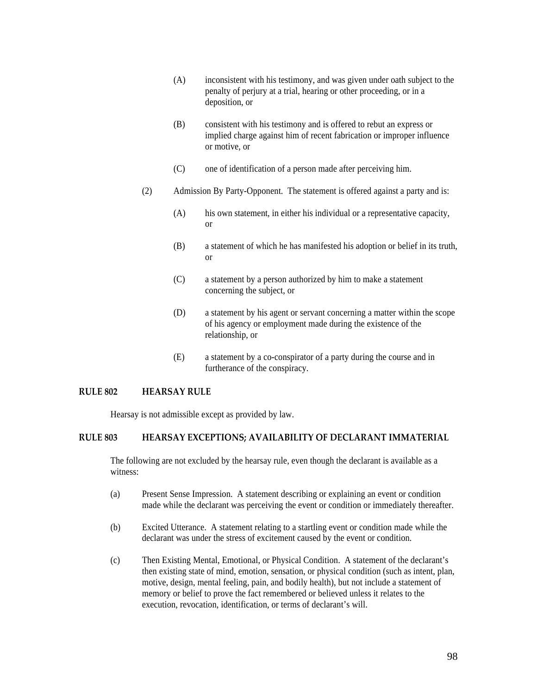- (A) inconsistent with his testimony, and was given under oath subject to the penalty of perjury at a trial, hearing or other proceeding, or in a deposition, or
- (B) consistent with his testimony and is offered to rebut an express or implied charge against him of recent fabrication or improper influence or motive, or
- (C) one of identification of a person made after perceiving him.
- (2) Admission By Party-Opponent. The statement is offered against a party and is:
	- (A) his own statement, in either his individual or a representative capacity, or
	- (B) a statement of which he has manifested his adoption or belief in its truth, or
	- (C) a statement by a person authorized by him to make a statement concerning the subject, or
	- (D) a statement by his agent or servant concerning a matter within the scope of his agency or employment made during the existence of the relationship, or
	- (E) a statement by a co-conspirator of a party during the course and in furtherance of the conspiracy.

#### **RULE 802 HEARSAY RULE**

Hearsay is not admissible except as provided by law.

#### **RULE 803 HEARSAY EXCEPTIONS; AVAILABILITY OF DECLARANT IMMATERIAL**

The following are not excluded by the hearsay rule, even though the declarant is available as a witness:

- (a) Present Sense Impression. A statement describing or explaining an event or condition made while the declarant was perceiving the event or condition or immediately thereafter.
- (b) Excited Utterance. A statement relating to a startling event or condition made while the declarant was under the stress of excitement caused by the event or condition.
- (c) Then Existing Mental, Emotional, or Physical Condition. A statement of the declarant's then existing state of mind, emotion, sensation, or physical condition (such as intent, plan, motive, design, mental feeling, pain, and bodily health), but not include a statement of memory or belief to prove the fact remembered or believed unless it relates to the execution, revocation, identification, or terms of declarant's will.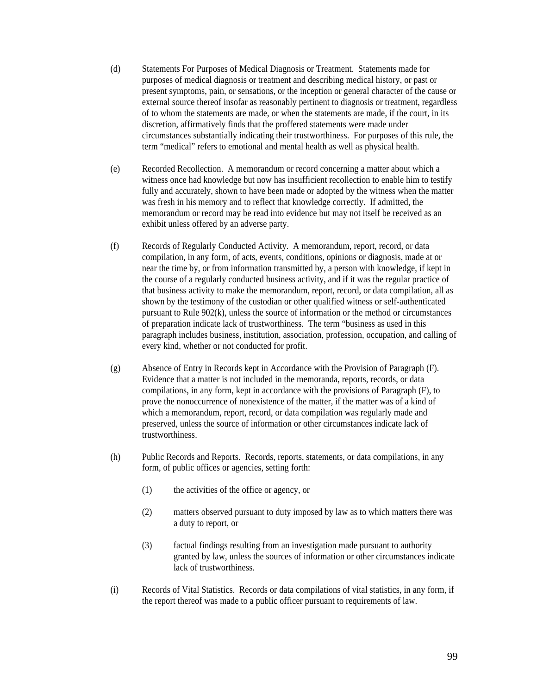- (d) Statements For Purposes of Medical Diagnosis or Treatment. Statements made for purposes of medical diagnosis or treatment and describing medical history, or past or present symptoms, pain, or sensations, or the inception or general character of the cause or external source thereof insofar as reasonably pertinent to diagnosis or treatment, regardless of to whom the statements are made, or when the statements are made, if the court, in its discretion, affirmatively finds that the proffered statements were made under circumstances substantially indicating their trustworthiness. For purposes of this rule, the term "medical" refers to emotional and mental health as well as physical health.
- (e) Recorded Recollection. A memorandum or record concerning a matter about which a witness once had knowledge but now has insufficient recollection to enable him to testify fully and accurately, shown to have been made or adopted by the witness when the matter was fresh in his memory and to reflect that knowledge correctly. If admitted, the memorandum or record may be read into evidence but may not itself be received as an exhibit unless offered by an adverse party.
- (f) Records of Regularly Conducted Activity. A memorandum, report, record, or data compilation, in any form, of acts, events, conditions, opinions or diagnosis, made at or near the time by, or from information transmitted by, a person with knowledge, if kept in the course of a regularly conducted business activity, and if it was the regular practice of that business activity to make the memorandum, report, record, or data compilation, all as shown by the testimony of the custodian or other qualified witness or self-authenticated pursuant to Rule 902(k), unless the source of information or the method or circumstances of preparation indicate lack of trustworthiness. The term "business as used in this paragraph includes business, institution, association, profession, occupation, and calling of every kind, whether or not conducted for profit.
- (g) Absence of Entry in Records kept in Accordance with the Provision of Paragraph (F). Evidence that a matter is not included in the memoranda, reports, records, or data compilations, in any form, kept in accordance with the provisions of Paragraph (F), to prove the nonoccurrence of nonexistence of the matter, if the matter was of a kind of which a memorandum, report, record, or data compilation was regularly made and preserved, unless the source of information or other circumstances indicate lack of trustworthiness.
- (h) Public Records and Reports. Records, reports, statements, or data compilations, in any form, of public offices or agencies, setting forth:
	- (1) the activities of the office or agency, or
	- (2) matters observed pursuant to duty imposed by law as to which matters there was a duty to report, or
	- (3) factual findings resulting from an investigation made pursuant to authority granted by law, unless the sources of information or other circumstances indicate lack of trustworthiness.
- (i) Records of Vital Statistics. Records or data compilations of vital statistics, in any form, if the report thereof was made to a public officer pursuant to requirements of law.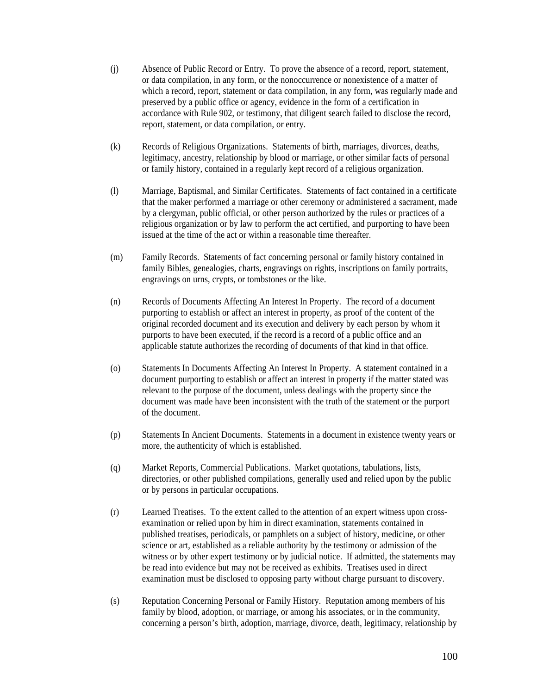- (j) Absence of Public Record or Entry. To prove the absence of a record, report, statement, or data compilation, in any form, or the nonoccurrence or nonexistence of a matter of which a record, report, statement or data compilation, in any form, was regularly made and preserved by a public office or agency, evidence in the form of a certification in accordance with Rule 902, or testimony, that diligent search failed to disclose the record, report, statement, or data compilation, or entry.
- (k) Records of Religious Organizations. Statements of birth, marriages, divorces, deaths, legitimacy, ancestry, relationship by blood or marriage, or other similar facts of personal or family history, contained in a regularly kept record of a religious organization.
- (l) Marriage, Baptismal, and Similar Certificates. Statements of fact contained in a certificate that the maker performed a marriage or other ceremony or administered a sacrament, made by a clergyman, public official, or other person authorized by the rules or practices of a religious organization or by law to perform the act certified, and purporting to have been issued at the time of the act or within a reasonable time thereafter.
- (m) Family Records. Statements of fact concerning personal or family history contained in family Bibles, genealogies, charts, engravings on rights, inscriptions on family portraits, engravings on urns, crypts, or tombstones or the like.
- (n) Records of Documents Affecting An Interest In Property. The record of a document purporting to establish or affect an interest in property, as proof of the content of the original recorded document and its execution and delivery by each person by whom it purports to have been executed, if the record is a record of a public office and an applicable statute authorizes the recording of documents of that kind in that office.
- (o) Statements In Documents Affecting An Interest In Property. A statement contained in a document purporting to establish or affect an interest in property if the matter stated was relevant to the purpose of the document, unless dealings with the property since the document was made have been inconsistent with the truth of the statement or the purport of the document.
- (p) Statements In Ancient Documents. Statements in a document in existence twenty years or more, the authenticity of which is established.
- (q) Market Reports, Commercial Publications. Market quotations, tabulations, lists, directories, or other published compilations, generally used and relied upon by the public or by persons in particular occupations.
- (r) Learned Treatises. To the extent called to the attention of an expert witness upon crossexamination or relied upon by him in direct examination, statements contained in published treatises, periodicals, or pamphlets on a subject of history, medicine, or other science or art, established as a reliable authority by the testimony or admission of the witness or by other expert testimony or by judicial notice. If admitted, the statements may be read into evidence but may not be received as exhibits. Treatises used in direct examination must be disclosed to opposing party without charge pursuant to discovery.
- (s) Reputation Concerning Personal or Family History. Reputation among members of his family by blood, adoption, or marriage, or among his associates, or in the community, concerning a person's birth, adoption, marriage, divorce, death, legitimacy, relationship by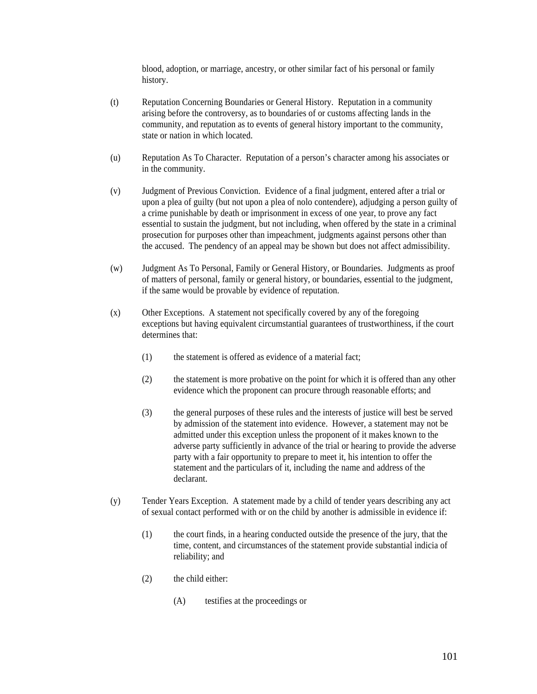blood, adoption, or marriage, ancestry, or other similar fact of his personal or family history.

- (t) Reputation Concerning Boundaries or General History. Reputation in a community arising before the controversy, as to boundaries of or customs affecting lands in the community, and reputation as to events of general history important to the community, state or nation in which located.
- (u) Reputation As To Character. Reputation of a person's character among his associates or in the community.
- (v) Judgment of Previous Conviction. Evidence of a final judgment, entered after a trial or upon a plea of guilty (but not upon a plea of nolo contendere), adjudging a person guilty of a crime punishable by death or imprisonment in excess of one year, to prove any fact essential to sustain the judgment, but not including, when offered by the state in a criminal prosecution for purposes other than impeachment, judgments against persons other than the accused. The pendency of an appeal may be shown but does not affect admissibility.
- (w) Judgment As To Personal, Family or General History, or Boundaries. Judgments as proof of matters of personal, family or general history, or boundaries, essential to the judgment, if the same would be provable by evidence of reputation.
- (x) Other Exceptions. A statement not specifically covered by any of the foregoing exceptions but having equivalent circumstantial guarantees of trustworthiness, if the court determines that:
	- (1) the statement is offered as evidence of a material fact;
	- (2) the statement is more probative on the point for which it is offered than any other evidence which the proponent can procure through reasonable efforts; and
	- (3) the general purposes of these rules and the interests of justice will best be served by admission of the statement into evidence. However, a statement may not be admitted under this exception unless the proponent of it makes known to the adverse party sufficiently in advance of the trial or hearing to provide the adverse party with a fair opportunity to prepare to meet it, his intention to offer the statement and the particulars of it, including the name and address of the declarant.
- (y) Tender Years Exception. A statement made by a child of tender years describing any act of sexual contact performed with or on the child by another is admissible in evidence if:
	- (1) the court finds, in a hearing conducted outside the presence of the jury, that the time, content, and circumstances of the statement provide substantial indicia of reliability; and
	- (2) the child either:
		- (A) testifies at the proceedings or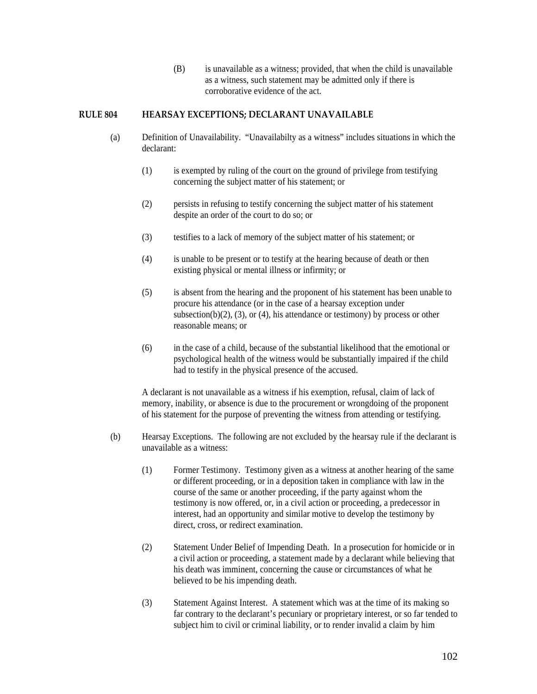(B) is unavailable as a witness; provided, that when the child is unavailable as a witness, such statement may be admitted only if there is corroborative evidence of the act.

## **RULE 804 HEARSAY EXCEPTIONS; DECLARANT UNAVAILABLE**

- (a) Definition of Unavailability. "Unavailabilty as a witness" includes situations in which the declarant:
	- (1) is exempted by ruling of the court on the ground of privilege from testifying concerning the subject matter of his statement; or
	- (2) persists in refusing to testify concerning the subject matter of his statement despite an order of the court to do so; or
	- (3) testifies to a lack of memory of the subject matter of his statement; or
	- (4) is unable to be present or to testify at the hearing because of death or then existing physical or mental illness or infirmity; or
	- (5) is absent from the hearing and the proponent of his statement has been unable to procure his attendance (or in the case of a hearsay exception under subsection(b) $(2)$ ,  $(3)$ , or  $(4)$ , his attendance or testimony) by process or other reasonable means; or
	- (6) in the case of a child, because of the substantial likelihood that the emotional or psychological health of the witness would be substantially impaired if the child had to testify in the physical presence of the accused.

A declarant is not unavailable as a witness if his exemption, refusal, claim of lack of memory, inability, or absence is due to the procurement or wrongdoing of the proponent of his statement for the purpose of preventing the witness from attending or testifying.

- (b) Hearsay Exceptions. The following are not excluded by the hearsay rule if the declarant is unavailable as a witness:
	- (1) Former Testimony. Testimony given as a witness at another hearing of the same or different proceeding, or in a deposition taken in compliance with law in the course of the same or another proceeding, if the party against whom the testimony is now offered, or, in a civil action or proceeding, a predecessor in interest, had an opportunity and similar motive to develop the testimony by direct, cross, or redirect examination.
	- (2) Statement Under Belief of Impending Death. In a prosecution for homicide or in a civil action or proceeding, a statement made by a declarant while believing that his death was imminent, concerning the cause or circumstances of what he believed to be his impending death.
	- (3) Statement Against Interest. A statement which was at the time of its making so far contrary to the declarant's pecuniary or proprietary interest, or so far tended to subject him to civil or criminal liability, or to render invalid a claim by him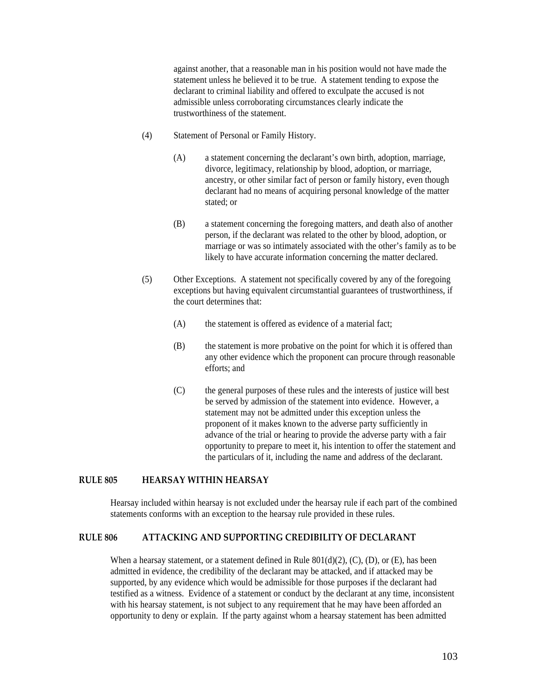against another, that a reasonable man in his position would not have made the statement unless he believed it to be true. A statement tending to expose the declarant to criminal liability and offered to exculpate the accused is not admissible unless corroborating circumstances clearly indicate the trustworthiness of the statement.

- (4) Statement of Personal or Family History.
	- (A) a statement concerning the declarant's own birth, adoption, marriage, divorce, legitimacy, relationship by blood, adoption, or marriage, ancestry, or other similar fact of person or family history, even though declarant had no means of acquiring personal knowledge of the matter stated; or
	- (B) a statement concerning the foregoing matters, and death also of another person, if the declarant was related to the other by blood, adoption, or marriage or was so intimately associated with the other's family as to be likely to have accurate information concerning the matter declared.
- (5) Other Exceptions. A statement not specifically covered by any of the foregoing exceptions but having equivalent circumstantial guarantees of trustworthiness, if the court determines that:
	- (A) the statement is offered as evidence of a material fact;
	- (B) the statement is more probative on the point for which it is offered than any other evidence which the proponent can procure through reasonable efforts; and
	- (C) the general purposes of these rules and the interests of justice will best be served by admission of the statement into evidence. However, a statement may not be admitted under this exception unless the proponent of it makes known to the adverse party sufficiently in advance of the trial or hearing to provide the adverse party with a fair opportunity to prepare to meet it, his intention to offer the statement and the particulars of it, including the name and address of the declarant.

### **RULE 805 HEARSAY WITHIN HEARSAY**

Hearsay included within hearsay is not excluded under the hearsay rule if each part of the combined statements conforms with an exception to the hearsay rule provided in these rules.

#### **RULE 806 ATTACKING AND SUPPORTING CREDIBILITY OF DECLARANT**

When a hearsay statement, or a statement defined in Rule  $801(d)(2)$ , (C), (D), or (E), has been admitted in evidence, the credibility of the declarant may be attacked, and if attacked may be supported, by any evidence which would be admissible for those purposes if the declarant had testified as a witness. Evidence of a statement or conduct by the declarant at any time, inconsistent with his hearsay statement, is not subject to any requirement that he may have been afforded an opportunity to deny or explain. If the party against whom a hearsay statement has been admitted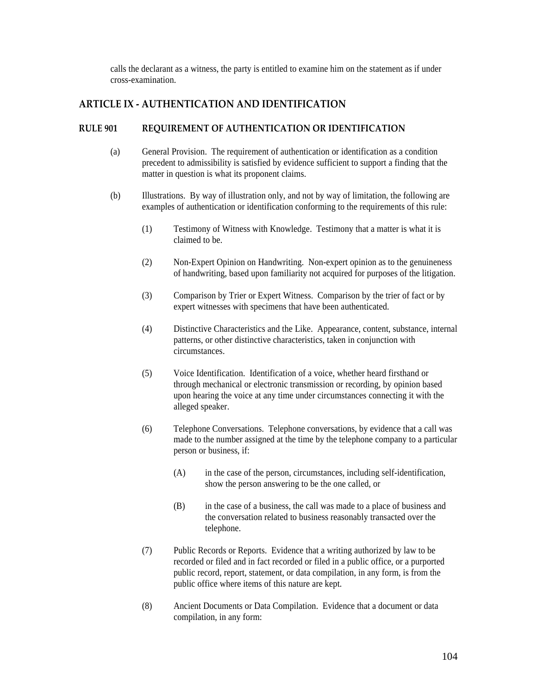calls the declarant as a witness, the party is entitled to examine him on the statement as if under cross-examination.

## **ARTICLE IX ‐ AUTHENTICATION AND IDENTIFICATION**

### **RULE 901 REQUIREMENT OF AUTHENTICATION OR IDENTIFICATION**

- (a) General Provision. The requirement of authentication or identification as a condition precedent to admissibility is satisfied by evidence sufficient to support a finding that the matter in question is what its proponent claims.
- (b) Illustrations. By way of illustration only, and not by way of limitation, the following are examples of authentication or identification conforming to the requirements of this rule:
	- (1) Testimony of Witness with Knowledge. Testimony that a matter is what it is claimed to be.
	- (2) Non-Expert Opinion on Handwriting. Non-expert opinion as to the genuineness of handwriting, based upon familiarity not acquired for purposes of the litigation.
	- (3) Comparison by Trier or Expert Witness. Comparison by the trier of fact or by expert witnesses with specimens that have been authenticated.
	- (4) Distinctive Characteristics and the Like. Appearance, content, substance, internal patterns, or other distinctive characteristics, taken in conjunction with circumstances.
	- (5) Voice Identification. Identification of a voice, whether heard firsthand or through mechanical or electronic transmission or recording, by opinion based upon hearing the voice at any time under circumstances connecting it with the alleged speaker.
	- (6) Telephone Conversations. Telephone conversations, by evidence that a call was made to the number assigned at the time by the telephone company to a particular person or business, if:
		- (A) in the case of the person, circumstances, including self-identification, show the person answering to be the one called, or
		- (B) in the case of a business, the call was made to a place of business and the conversation related to business reasonably transacted over the telephone.
	- (7) Public Records or Reports. Evidence that a writing authorized by law to be recorded or filed and in fact recorded or filed in a public office, or a purported public record, report, statement, or data compilation, in any form, is from the public office where items of this nature are kept.
	- (8) Ancient Documents or Data Compilation. Evidence that a document or data compilation, in any form: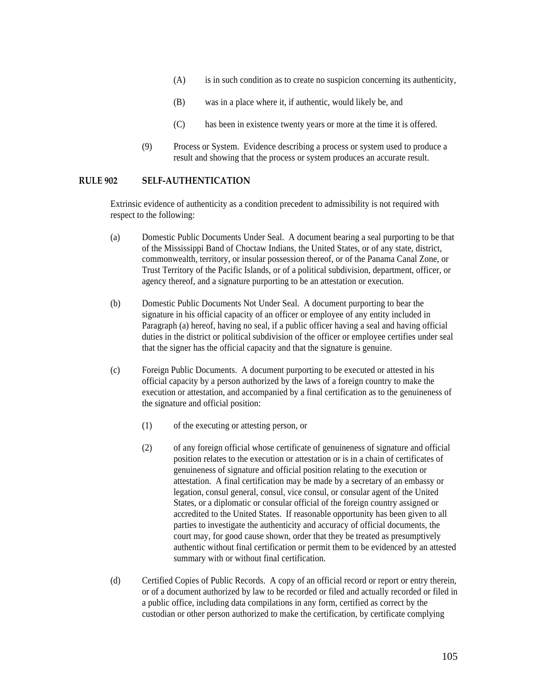- (A) is in such condition as to create no suspicion concerning its authenticity,
- (B) was in a place where it, if authentic, would likely be, and
- (C) has been in existence twenty years or more at the time it is offered.
- (9) Process or System. Evidence describing a process or system used to produce a result and showing that the process or system produces an accurate result.

### **RULE 902 SELF‐AUTHENTICATION**

Extrinsic evidence of authenticity as a condition precedent to admissibility is not required with respect to the following:

- (a) Domestic Public Documents Under Seal. A document bearing a seal purporting to be that of the Mississippi Band of Choctaw Indians, the United States, or of any state, district, commonwealth, territory, or insular possession thereof, or of the Panama Canal Zone, or Trust Territory of the Pacific Islands, or of a political subdivision, department, officer, or agency thereof, and a signature purporting to be an attestation or execution.
- (b) Domestic Public Documents Not Under Seal. A document purporting to bear the signature in his official capacity of an officer or employee of any entity included in Paragraph (a) hereof, having no seal, if a public officer having a seal and having official duties in the district or political subdivision of the officer or employee certifies under seal that the signer has the official capacity and that the signature is genuine.
- (c) Foreign Public Documents. A document purporting to be executed or attested in his official capacity by a person authorized by the laws of a foreign country to make the execution or attestation, and accompanied by a final certification as to the genuineness of the signature and official position:
	- (1) of the executing or attesting person, or
	- (2) of any foreign official whose certificate of genuineness of signature and official position relates to the execution or attestation or is in a chain of certificates of genuineness of signature and official position relating to the execution or attestation. A final certification may be made by a secretary of an embassy or legation, consul general, consul, vice consul, or consular agent of the United States, or a diplomatic or consular official of the foreign country assigned or accredited to the United States. If reasonable opportunity has been given to all parties to investigate the authenticity and accuracy of official documents, the court may, for good cause shown, order that they be treated as presumptively authentic without final certification or permit them to be evidenced by an attested summary with or without final certification.
- (d) Certified Copies of Public Records. A copy of an official record or report or entry therein, or of a document authorized by law to be recorded or filed and actually recorded or filed in a public office, including data compilations in any form, certified as correct by the custodian or other person authorized to make the certification, by certificate complying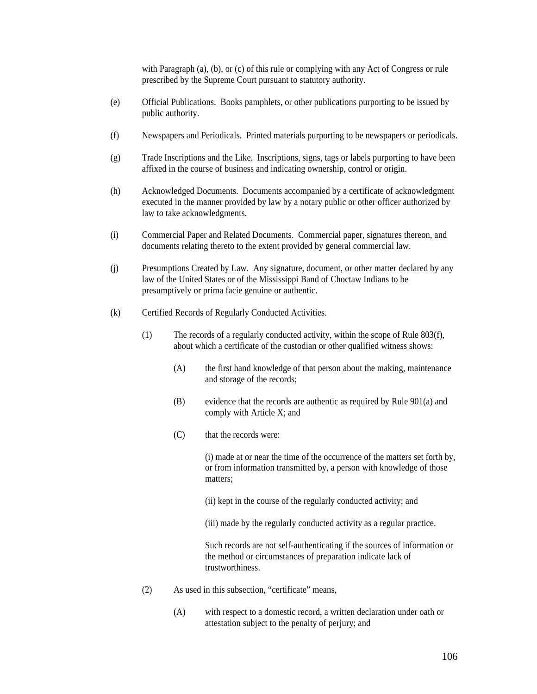with Paragraph (a), (b), or (c) of this rule or complying with any Act of Congress or rule prescribed by the Supreme Court pursuant to statutory authority.

- (e) Official Publications. Books pamphlets, or other publications purporting to be issued by public authority.
- (f) Newspapers and Periodicals. Printed materials purporting to be newspapers or periodicals.
- (g) Trade Inscriptions and the Like. Inscriptions, signs, tags or labels purporting to have been affixed in the course of business and indicating ownership, control or origin.
- (h) Acknowledged Documents. Documents accompanied by a certificate of acknowledgment executed in the manner provided by law by a notary public or other officer authorized by law to take acknowledgments.
- (i) Commercial Paper and Related Documents. Commercial paper, signatures thereon, and documents relating thereto to the extent provided by general commercial law.
- (j) Presumptions Created by Law. Any signature, document, or other matter declared by any law of the United States or of the Mississippi Band of Choctaw Indians to be presumptively or prima facie genuine or authentic.
- (k) Certified Records of Regularly Conducted Activities.
	- (1) The records of a regularly conducted activity, within the scope of Rule 803(f), about which a certificate of the custodian or other qualified witness shows:
		- (A) the first hand knowledge of that person about the making, maintenance and storage of the records;
		- $(B)$  evidence that the records are authentic as required by Rule 901(a) and comply with Article X; and
		- (C) that the records were:

(i) made at or near the time of the occurrence of the matters set forth by, or from information transmitted by, a person with knowledge of those matters;

- (ii) kept in the course of the regularly conducted activity; and
- (iii) made by the regularly conducted activity as a regular practice.

Such records are not self-authenticating if the sources of information or the method or circumstances of preparation indicate lack of trustworthiness.

- (2) As used in this subsection, "certificate" means,
	- (A) with respect to a domestic record, a written declaration under oath or attestation subject to the penalty of perjury; and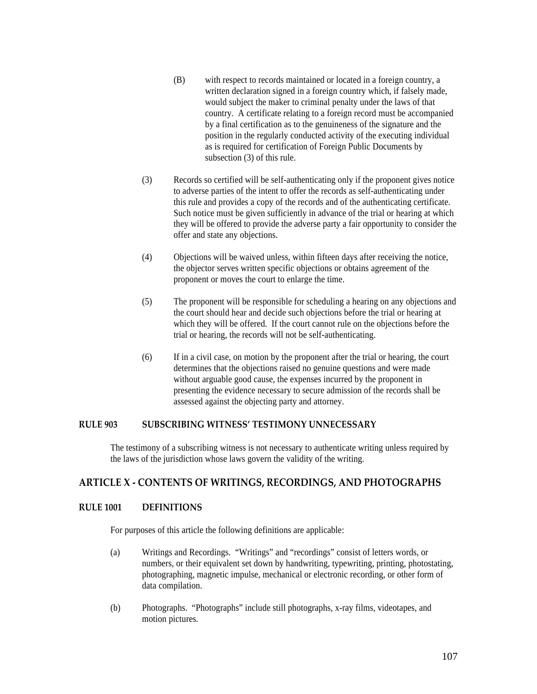- (B) with respect to records maintained or located in a foreign country, a written declaration signed in a foreign country which, if falsely made, would subject the maker to criminal penalty under the laws of that country. A certificate relating to a foreign record must be accompanied by a final certification as to the genuineness of the signature and the position in the regularly conducted activity of the executing individual as is required for certification of Foreign Public Documents by subsection (3) of this rule.
- (3) Records so certified will be self-authenticating only if the proponent gives notice to adverse parties of the intent to offer the records as self-authenticating under this rule and provides a copy of the records and of the authenticating certificate. Such notice must be given sufficiently in advance of the trial or hearing at which they will be offered to provide the adverse party a fair opportunity to consider the offer and state any objections.
- (4) Objections will be waived unless, within fifteen days after receiving the notice, the objector serves written specific objections or obtains agreement of the proponent or moves the court to enlarge the time.
- (5) The proponent will be responsible for scheduling a hearing on any objections and the court should hear and decide such objections before the trial or hearing at which they will be offered. If the court cannot rule on the objections before the trial or hearing, the records will not be self-authenticating.
- (6) If in a civil case, on motion by the proponent after the trial or hearing, the court determines that the objections raised no genuine questions and were made without arguable good cause, the expenses incurred by the proponent in presenting the evidence necessary to secure admission of the records shall be assessed against the objecting party and attorney.

## **RULE 903 SUBSCRIBING WITNESS' TESTIMONY UNNECESSARY**

The testimony of a subscribing witness is not necessary to authenticate writing unless required by the laws of the jurisdiction whose laws govern the validity of the writing.

## **ARTICLE X ‐ CONTENTS OF WRITINGS, RECORDINGS, AND PHOTOGRAPHS**

#### **RULE 1001 DEFINITIONS**

For purposes of this article the following definitions are applicable:

- (a) Writings and Recordings. "Writings" and "recordings" consist of letters words, or numbers, or their equivalent set down by handwriting, typewriting, printing, photostating, photographing, magnetic impulse, mechanical or electronic recording, or other form of data compilation.
- (b) Photographs. "Photographs" include still photographs, x-ray films, videotapes, and motion pictures.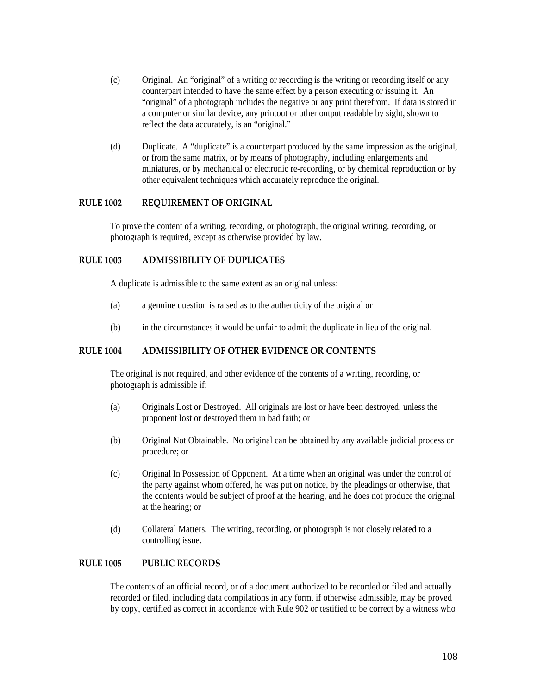- (c) Original. An "original" of a writing or recording is the writing or recording itself or any counterpart intended to have the same effect by a person executing or issuing it. An "original" of a photograph includes the negative or any print therefrom. If data is stored in a computer or similar device, any printout or other output readable by sight, shown to reflect the data accurately, is an "original."
- (d) Duplicate. A "duplicate" is a counterpart produced by the same impression as the original, or from the same matrix, or by means of photography, including enlargements and miniatures, or by mechanical or electronic re-recording, or by chemical reproduction or by other equivalent techniques which accurately reproduce the original.

#### **RULE 1002 REQUIREMENT OF ORIGINAL**

To prove the content of a writing, recording, or photograph, the original writing, recording, or photograph is required, except as otherwise provided by law.

## **RULE 1003 ADMISSIBILITY OF DUPLICATES**

A duplicate is admissible to the same extent as an original unless:

- (a) a genuine question is raised as to the authenticity of the original or
- (b) in the circumstances it would be unfair to admit the duplicate in lieu of the original.

#### **RULE 1004 ADMISSIBILITY OF OTHER EVIDENCE OR CONTENTS**

The original is not required, and other evidence of the contents of a writing, recording, or photograph is admissible if:

- (a) Originals Lost or Destroyed. All originals are lost or have been destroyed, unless the proponent lost or destroyed them in bad faith; or
- (b) Original Not Obtainable. No original can be obtained by any available judicial process or procedure; or
- (c) Original In Possession of Opponent. At a time when an original was under the control of the party against whom offered, he was put on notice, by the pleadings or otherwise, that the contents would be subject of proof at the hearing, and he does not produce the original at the hearing; or
- (d) Collateral Matters. The writing, recording, or photograph is not closely related to a controlling issue.

#### **RULE 1005 PUBLIC RECORDS**

The contents of an official record, or of a document authorized to be recorded or filed and actually recorded or filed, including data compilations in any form, if otherwise admissible, may be proved by copy, certified as correct in accordance with Rule 902 or testified to be correct by a witness who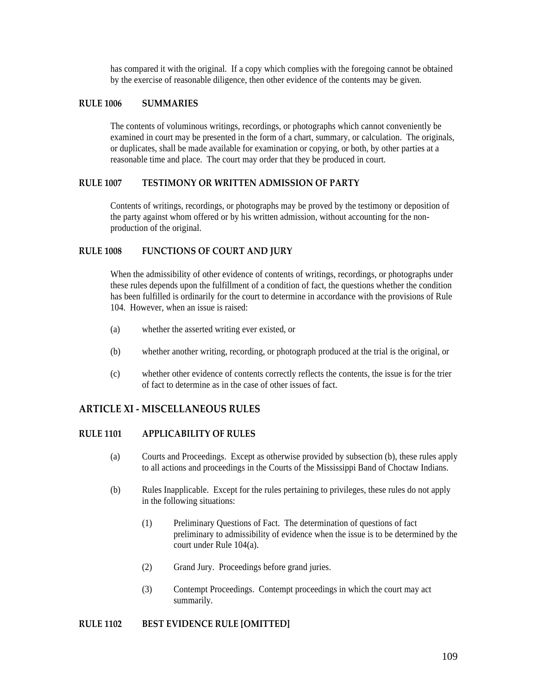has compared it with the original. If a copy which complies with the foregoing cannot be obtained by the exercise of reasonable diligence, then other evidence of the contents may be given.

### **RULE 1006 SUMMARIES**

The contents of voluminous writings, recordings, or photographs which cannot conveniently be examined in court may be presented in the form of a chart, summary, or calculation. The originals, or duplicates, shall be made available for examination or copying, or both, by other parties at a reasonable time and place. The court may order that they be produced in court.

### **RULE 1007 TESTIMONY OR WRITTEN ADMISSION OF PARTY**

Contents of writings, recordings, or photographs may be proved by the testimony or deposition of the party against whom offered or by his written admission, without accounting for the nonproduction of the original.

### **RULE 1008 FUNCTIONS OF COURT AND JURY**

When the admissibility of other evidence of contents of writings, recordings, or photographs under these rules depends upon the fulfillment of a condition of fact, the questions whether the condition has been fulfilled is ordinarily for the court to determine in accordance with the provisions of Rule 104. However, when an issue is raised:

- (a) whether the asserted writing ever existed, or
- (b) whether another writing, recording, or photograph produced at the trial is the original, or
- (c) whether other evidence of contents correctly reflects the contents, the issue is for the trier of fact to determine as in the case of other issues of fact.

## **ARTICLE XI ‐ MISCELLANEOUS RULES**

#### **RULE 1101 APPLICABILITY OF RULES**

- (a) Courts and Proceedings. Except as otherwise provided by subsection (b), these rules apply to all actions and proceedings in the Courts of the Mississippi Band of Choctaw Indians.
- (b) Rules Inapplicable. Except for the rules pertaining to privileges, these rules do not apply in the following situations:
	- (1) Preliminary Questions of Fact. The determination of questions of fact preliminary to admissibility of evidence when the issue is to be determined by the court under Rule 104(a).
	- (2) Grand Jury. Proceedings before grand juries.
	- (3) Contempt Proceedings. Contempt proceedings in which the court may act summarily.

### **RULE 1102 BEST EVIDENCE RULE [OMITTED]**